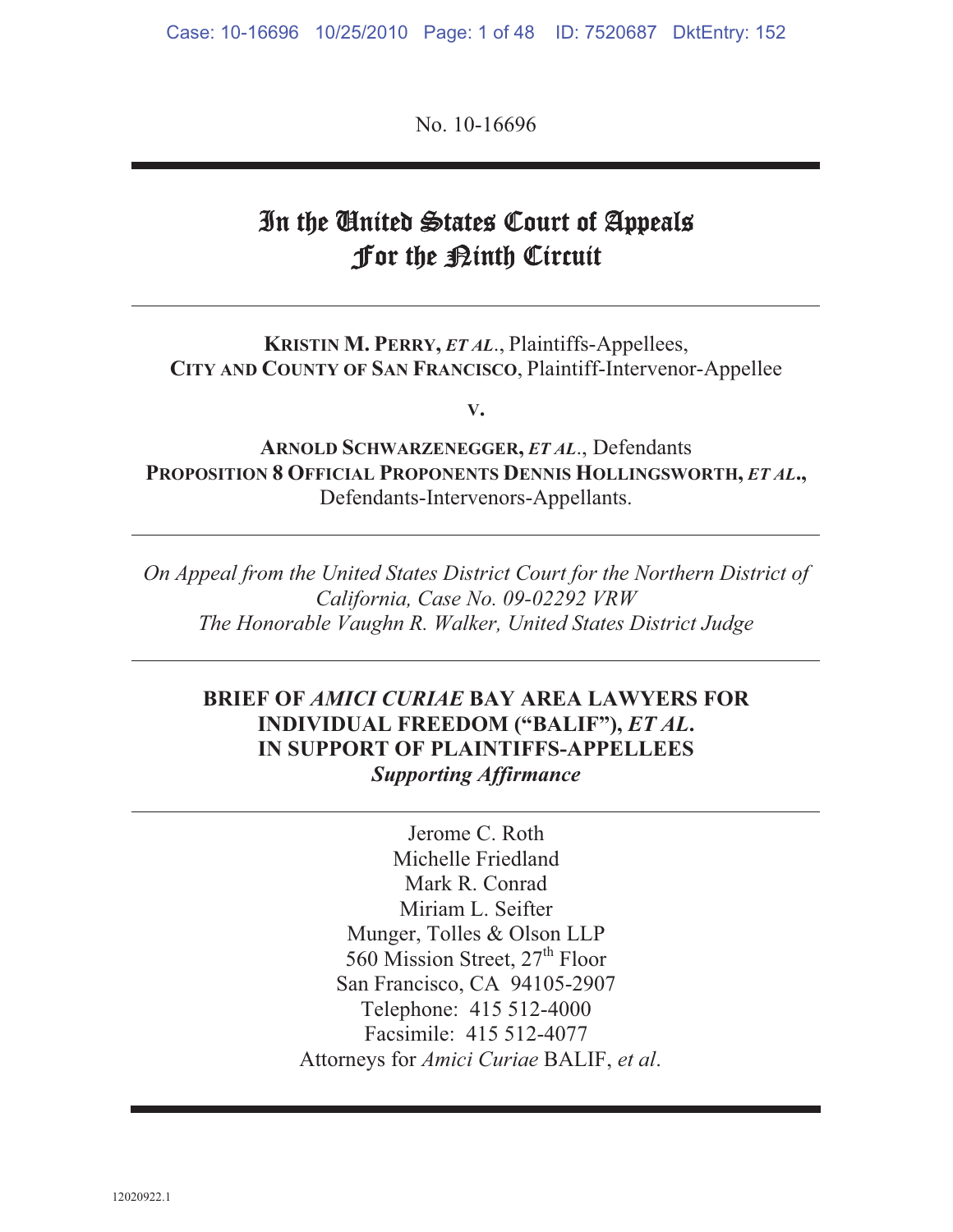No. 10-16696

# In the United States Court of Appeals for the <u>Pinth</u> Circuit

**KRISTIN M. PERRY,** *ET AL*., Plaintiffs-Appellees, **CITY AND COUNTY OF SAN FRANCISCO**, Plaintiff-Intervenor-Appellee

**V.**

**ARNOLD SCHWARZENEGGER,** *ET AL*., Defendants **PROPOSITION 8 OFFICIAL PROPONENTS DENNIS HOLLINGSWORTH,** *ET AL***.,** Defendants-Intervenors-Appellants.

*On Appeal from the United States District Court for the Northern District of California, Case No. 09-02292 VRW The Honorable Vaughn R. Walker, United States District Judge* 

#### **BRIEF OF** *AMICI CURIAE* **BAY AREA LAWYERS FOR INDIVIDUAL FREEDOM ("BALIF"),** *ET AL***. IN SUPPORT OF PLAINTIFFS-APPELLEES**  *Supporting Affirmance*

Jerome C. Roth Michelle Friedland Mark R. Conrad Miriam L. Seifter Munger, Tolles & Olson LLP 560 Mission Street,  $27<sup>th</sup>$  Floor San Francisco, CA 94105-2907 Telephone: 415 512-4000 Facsimile: 415 512-4077 Attorneys for *Amici Curiae* BALIF, *et al*.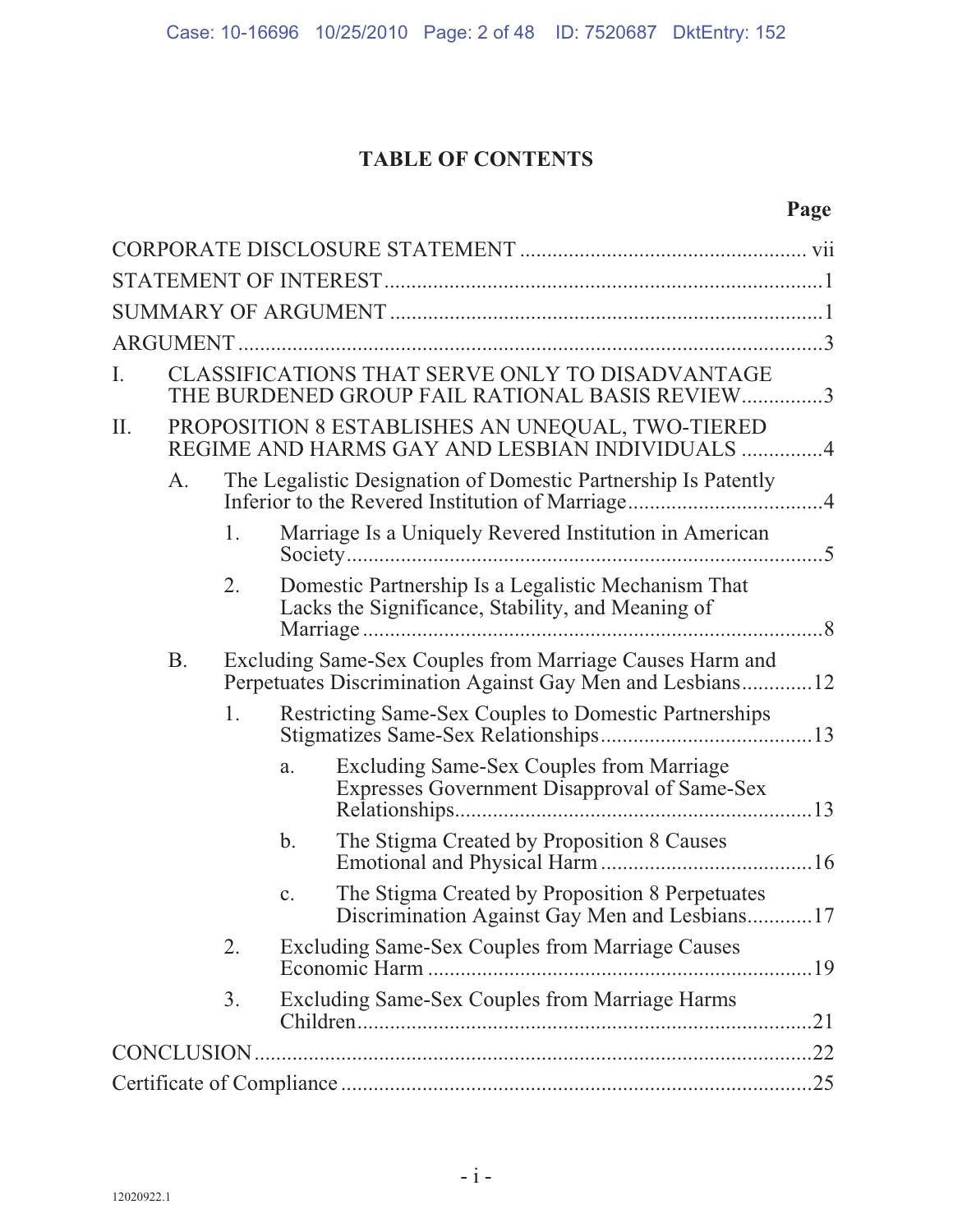## **TABLE OF CONTENTS**

## **Page**

| Ι.  |           |    |               | CLASSIFICATIONS THAT SERVE ONLY TO DISADVANTAGE<br>THE BURDENED GROUP FAIL RATIONAL BASIS REVIEW3                     |  |
|-----|-----------|----|---------------|-----------------------------------------------------------------------------------------------------------------------|--|
| II. |           |    |               | PROPOSITION 8 ESTABLISHES AN UNEQUAL, TWO-TIERED<br>REGIME AND HARMS GAY AND LESBIAN INDIVIDUALS 4                    |  |
|     | A.        |    |               | The Legalistic Designation of Domestic Partnership Is Patently                                                        |  |
|     |           | 1. |               | Marriage Is a Uniquely Revered Institution in American                                                                |  |
|     |           | 2. |               | Domestic Partnership Is a Legalistic Mechanism That<br>Lacks the Significance, Stability, and Meaning of              |  |
|     | <b>B.</b> |    |               | Excluding Same-Sex Couples from Marriage Causes Harm and<br>Perpetuates Discrimination Against Gay Men and Lesbians12 |  |
|     |           | 1. |               | <b>Restricting Same-Sex Couples to Domestic Partnerships</b>                                                          |  |
|     |           |    | a.            | Excluding Same-Sex Couples from Marriage<br>Expresses Government Disapproval of Same-Sex                              |  |
|     |           |    | $\mathbf b$ . | The Stigma Created by Proposition 8 Causes                                                                            |  |
|     |           |    | c.            | The Stigma Created by Proposition 8 Perpetuates<br>Discrimination Against Gay Men and Lesbians17                      |  |
|     |           | 2. |               | <b>Excluding Same-Sex Couples from Marriage Causes</b>                                                                |  |
|     |           | 3. |               | <b>Excluding Same-Sex Couples from Marriage Harms</b><br>.21                                                          |  |
|     |           |    |               |                                                                                                                       |  |
|     |           |    |               | 25                                                                                                                    |  |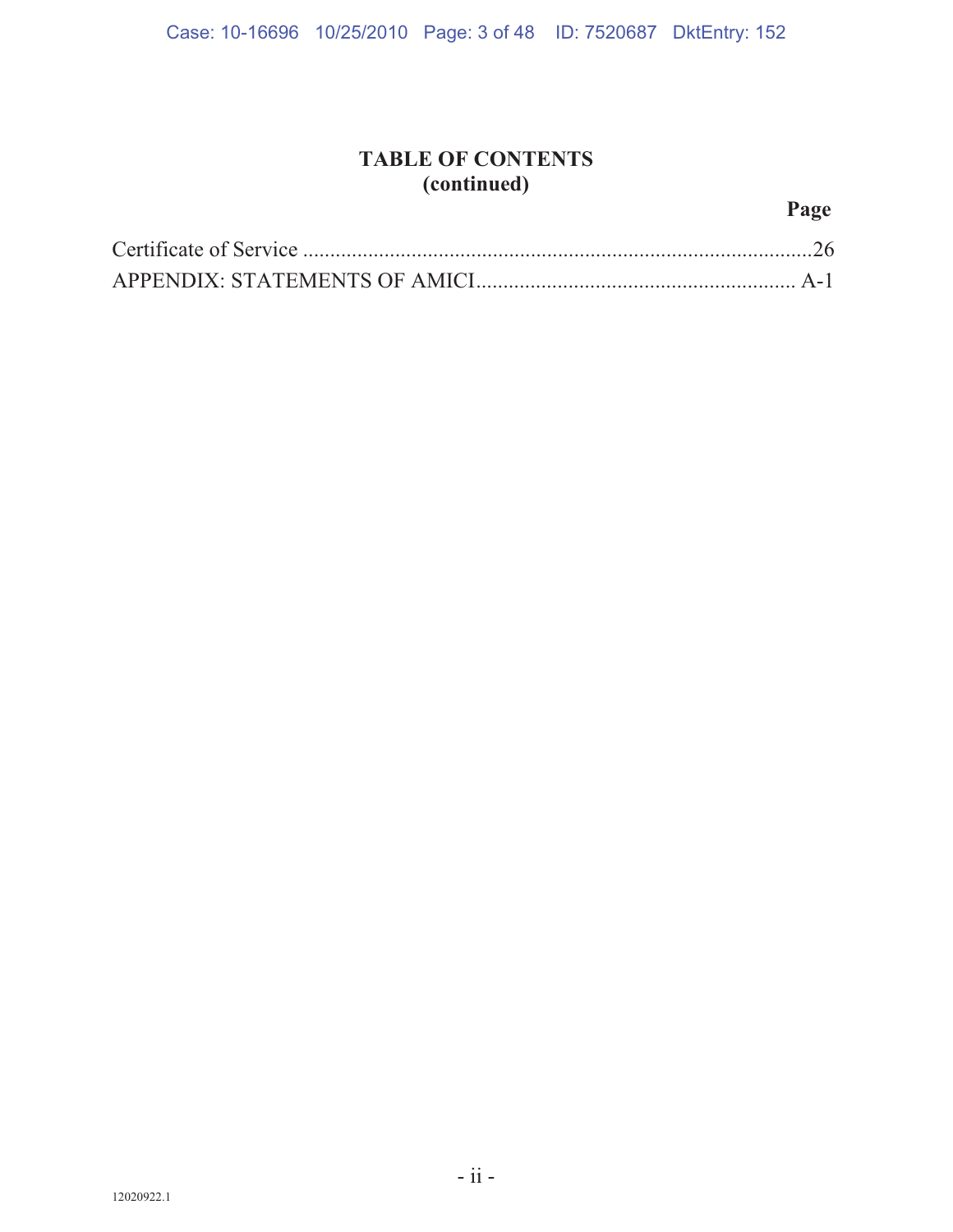## **TABLE OF CONTENTS (continued)**

## **Page**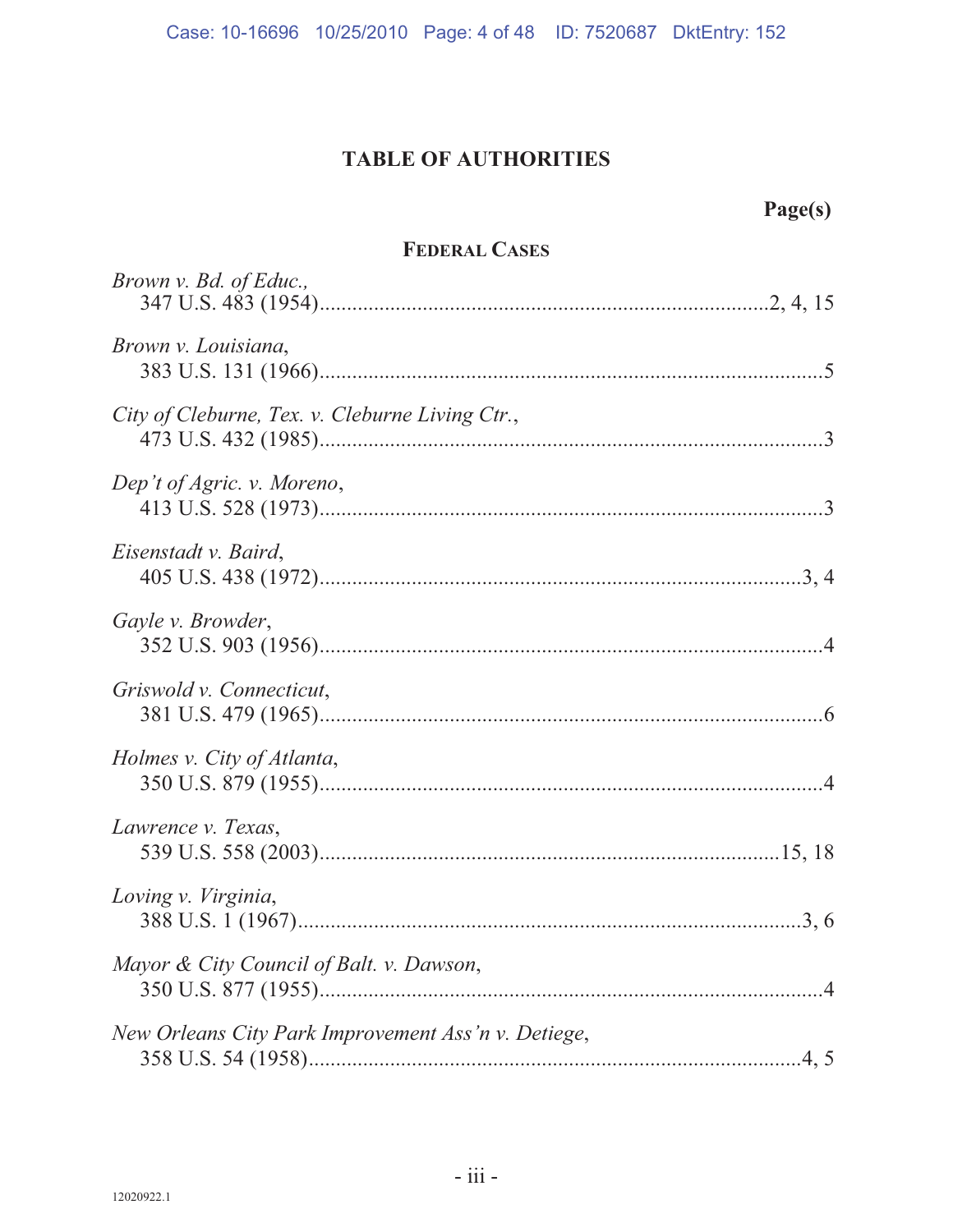## **TABLE OF AUTHORITIES**

| Page(s)                                             |  |  |  |  |  |
|-----------------------------------------------------|--|--|--|--|--|
| <b>FEDERAL CASES</b>                                |  |  |  |  |  |
| Brown v. Bd. of Educ.,                              |  |  |  |  |  |
| Brown v. Louisiana,                                 |  |  |  |  |  |
| City of Cleburne, Tex. v. Cleburne Living Ctr.,     |  |  |  |  |  |
| Dep't of Agric. v. Moreno,                          |  |  |  |  |  |
| Eisenstadt v. Baird,                                |  |  |  |  |  |
| Gayle v. Browder,                                   |  |  |  |  |  |
| Griswold v. Connecticut,                            |  |  |  |  |  |
| Holmes v. City of Atlanta,                          |  |  |  |  |  |
| Lawrence v. Texas,                                  |  |  |  |  |  |
| Loving v. Virginia,                                 |  |  |  |  |  |
| Mayor & City Council of Balt. v. Dawson,            |  |  |  |  |  |
| New Orleans City Park Improvement Ass'n v. Detiege, |  |  |  |  |  |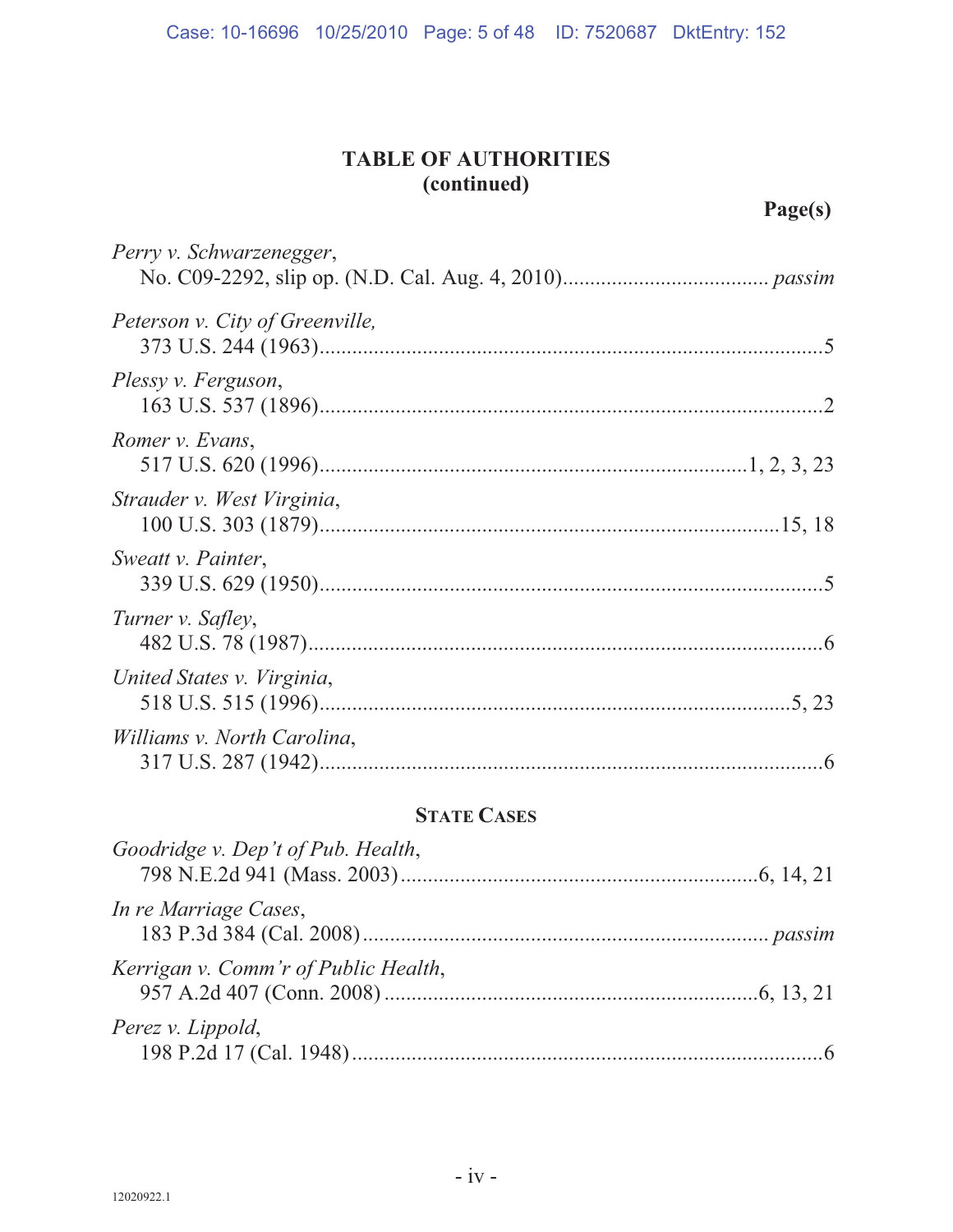## **TABLE OF AUTHORITIES (continued)**

**Page(s)**

| Perry v. Schwarzenegger,        |  |
|---------------------------------|--|
| Peterson v. City of Greenville, |  |
| Plessy v. Ferguson,             |  |
| Romer v. Evans,                 |  |
| Strauder v. West Virginia,      |  |
| Sweatt v. Painter,              |  |
| Turner v. Safley,               |  |
| United States v. Virginia,      |  |
| Williams v. North Carolina,     |  |

## **STATE CASES**

| Goodridge v. Dep't of Pub. Health,   |  |
|--------------------------------------|--|
| In re Marriage Cases,                |  |
| Kerrigan v. Comm'r of Public Health, |  |
| Perez v. Lippold,                    |  |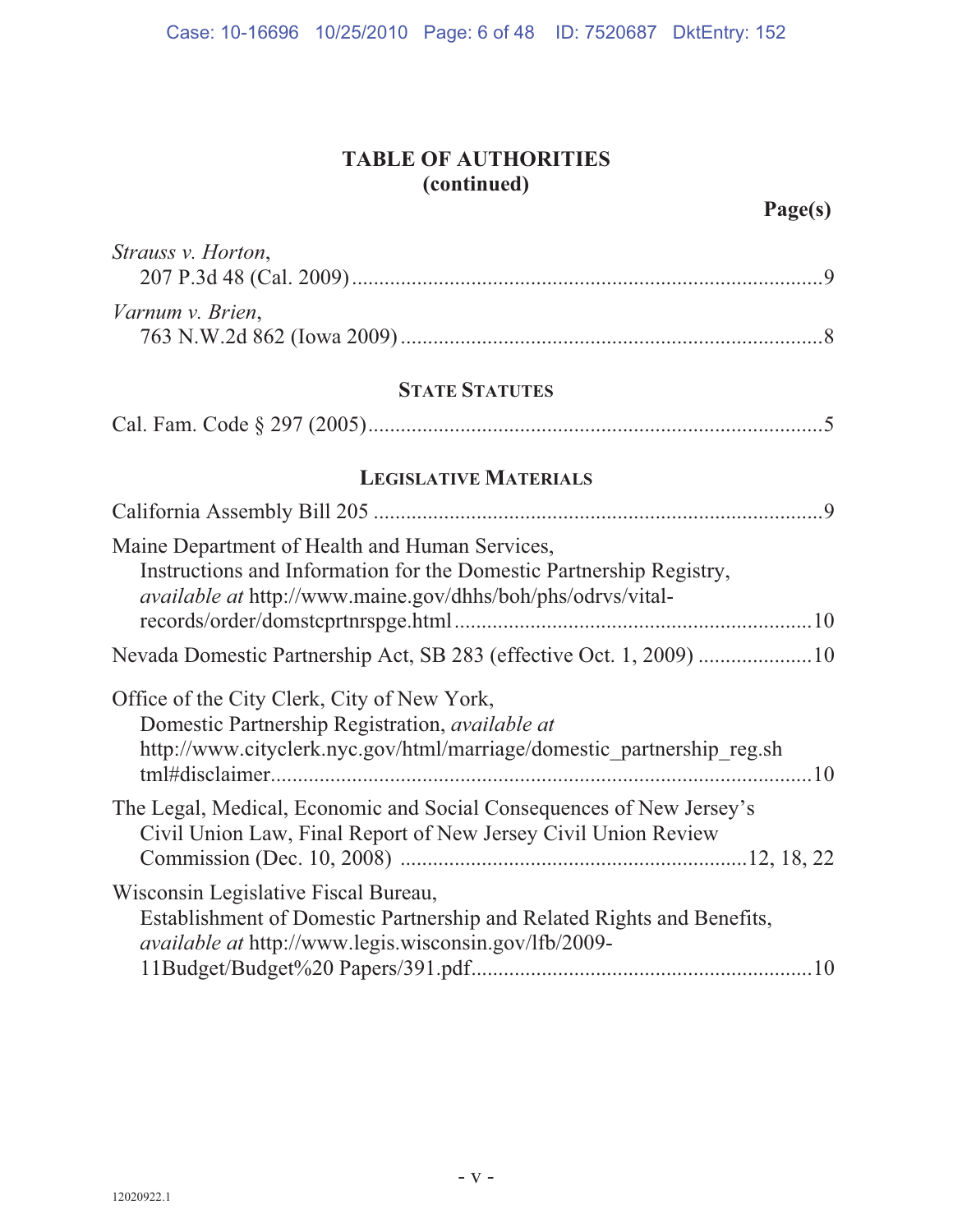## **TABLE OF AUTHORITIES (continued)**

| Strauss v. Horton,                                                                                                                                                                          |  |  |  |  |  |
|---------------------------------------------------------------------------------------------------------------------------------------------------------------------------------------------|--|--|--|--|--|
| Varnum v. Brien,                                                                                                                                                                            |  |  |  |  |  |
| <b>STATE STATUTES</b>                                                                                                                                                                       |  |  |  |  |  |
|                                                                                                                                                                                             |  |  |  |  |  |
| <b>LEGISLATIVE MATERIALS</b>                                                                                                                                                                |  |  |  |  |  |
|                                                                                                                                                                                             |  |  |  |  |  |
| Maine Department of Health and Human Services,<br>Instructions and Information for the Domestic Partnership Registry,<br><i>available at http://www.maine.gov/dhhs/boh/phs/odrvs/vital-</i> |  |  |  |  |  |
| Nevada Domestic Partnership Act, SB 283 (effective Oct. 1, 2009) 10                                                                                                                         |  |  |  |  |  |
| Office of the City Clerk, City of New York,<br>Domestic Partnership Registration, available at<br>http://www.cityclerk.nyc.gov/html/marriage/domestic partnership reg.sh                    |  |  |  |  |  |
| The Legal, Medical, Economic and Social Consequences of New Jersey's<br>Civil Union Law, Final Report of New Jersey Civil Union Review                                                      |  |  |  |  |  |
| Wisconsin Legislative Fiscal Bureau,<br>Establishment of Domestic Partnership and Related Rights and Benefits,<br><i>available at http://www.legis.wisconsin.gov/lfb/2009-</i>              |  |  |  |  |  |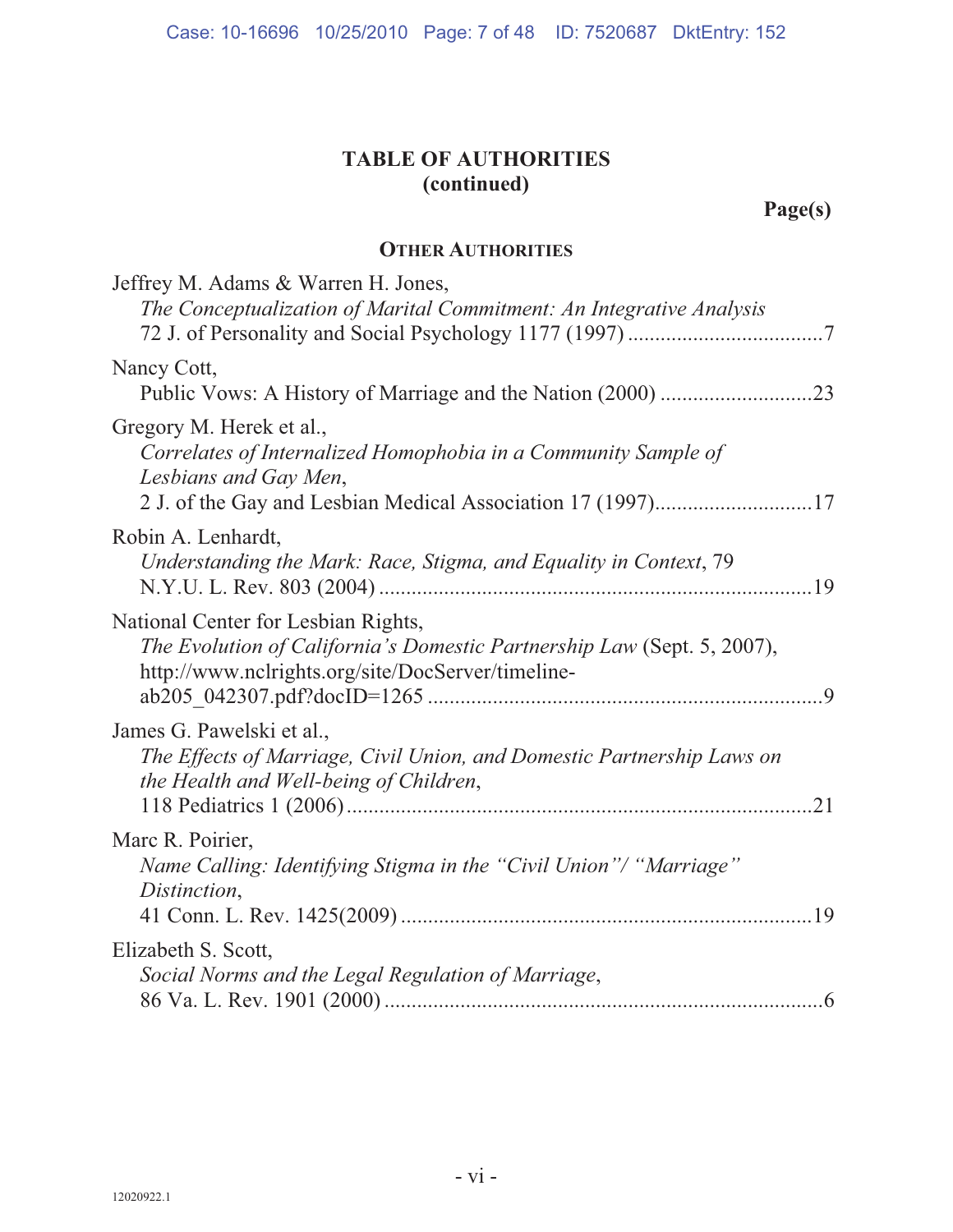## **TABLE OF AUTHORITIES (continued)**

**Page(s)**

#### **OTHER AUTHORITIES**

| Jeffrey M. Adams & Warren H. Jones,<br>The Conceptualization of Marital Commitment: An Integrative Analysis                                                         |
|---------------------------------------------------------------------------------------------------------------------------------------------------------------------|
| Nancy Cott,                                                                                                                                                         |
| Gregory M. Herek et al.,<br>Correlates of Internalized Homophobia in a Community Sample of<br>Lesbians and Gay Men,                                                 |
| Robin A. Lenhardt,<br>Understanding the Mark: Race, Stigma, and Equality in Context, 79                                                                             |
| National Center for Lesbian Rights,<br>The Evolution of California's Domestic Partnership Law (Sept. 5, 2007),<br>http://www.nclrights.org/site/DocServer/timeline- |
| James G. Pawelski et al.,<br>The Effects of Marriage, Civil Union, and Domestic Partnership Laws on<br>the Health and Well-being of Children,                       |
| Marc R. Poirier,<br>Name Calling: Identifying Stigma in the "Civil Union"/ "Marriage"<br>Distinction,                                                               |
| Elizabeth S. Scott,<br>Social Norms and the Legal Regulation of Marriage,                                                                                           |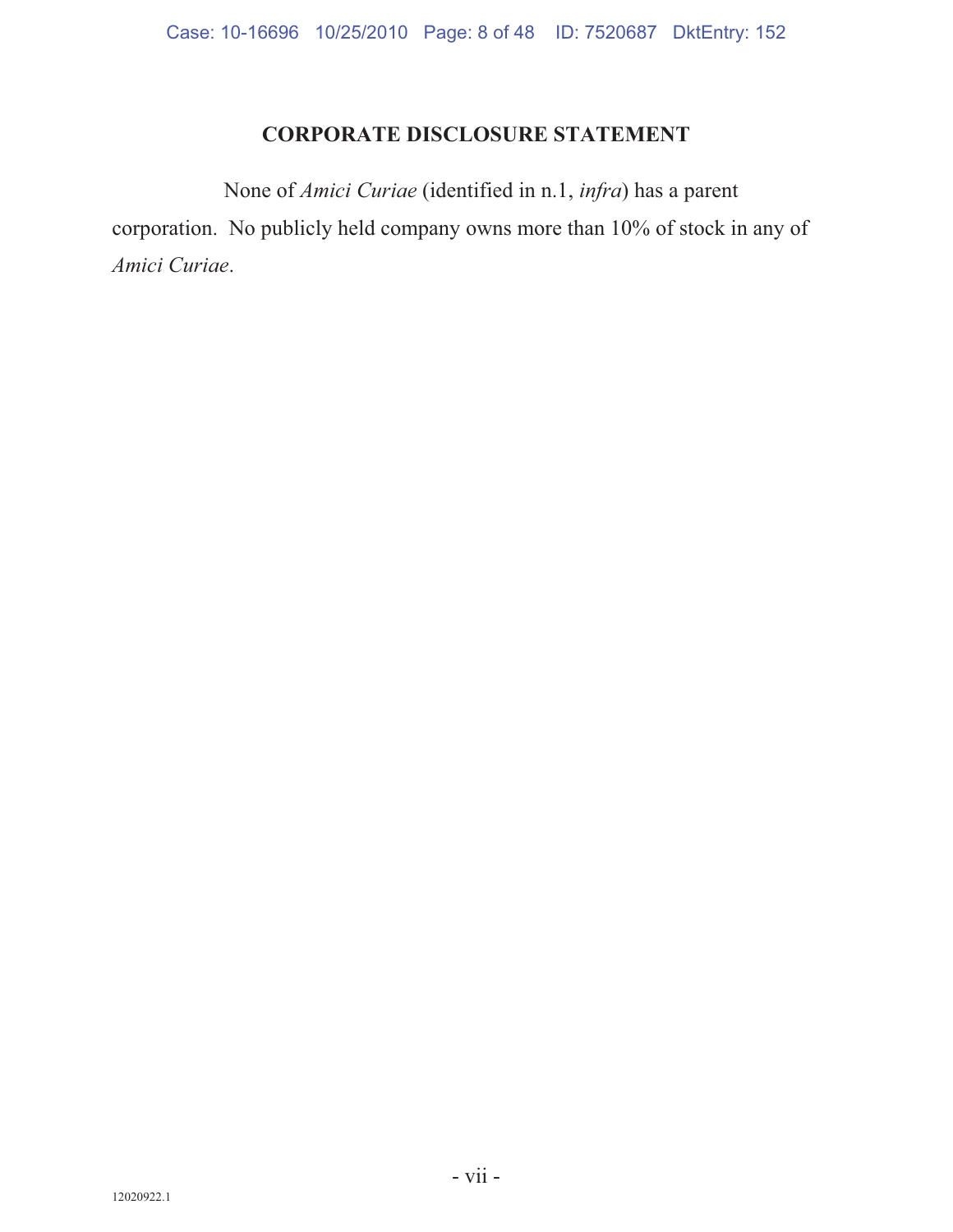## **CORPORATE DISCLOSURE STATEMENT**

None of *Amici Curiae* (identified in n.1, *infra*) has a parent corporation. No publicly held company owns more than 10% of stock in any of *Amici Curiae*.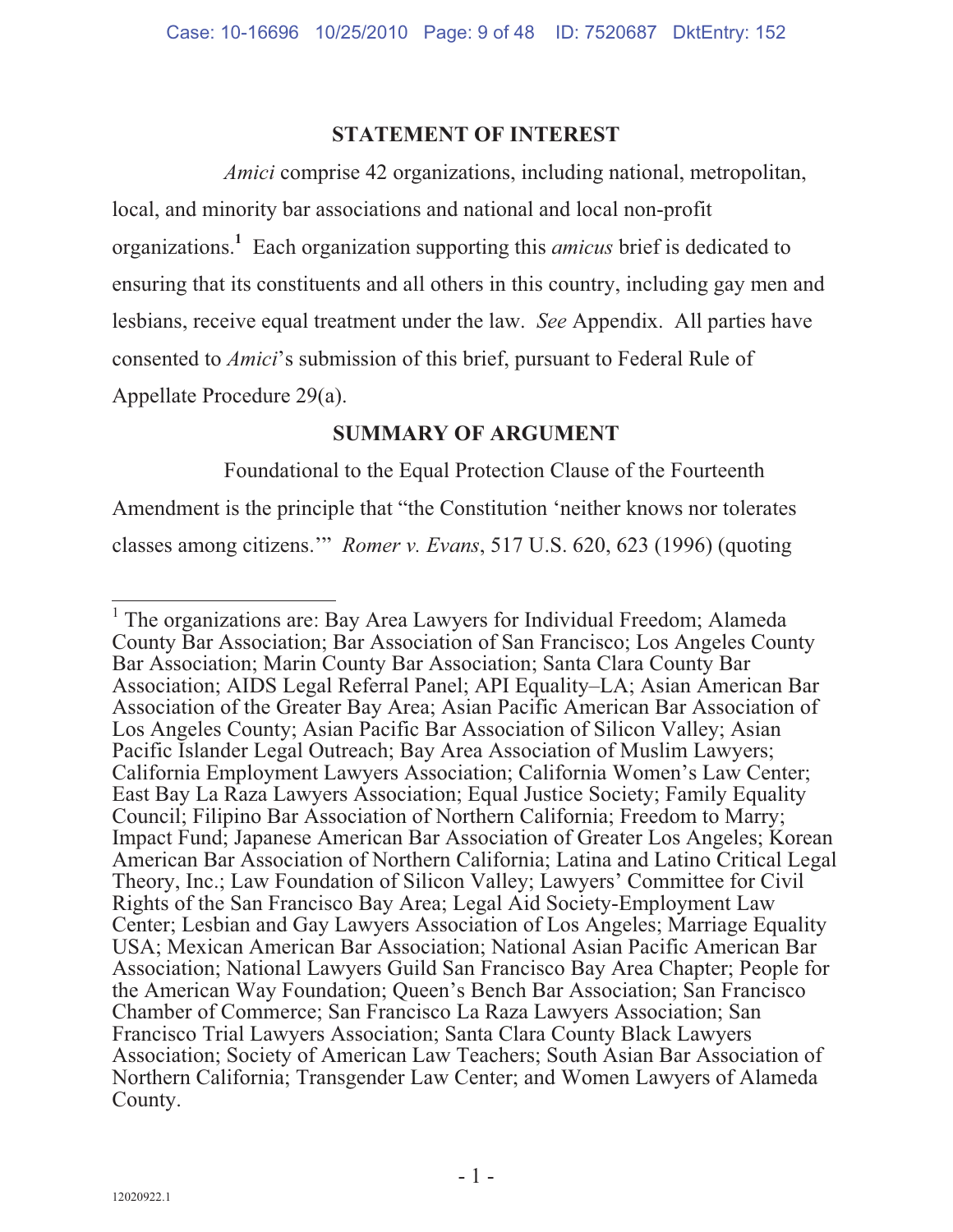#### **STATEMENT OF INTEREST**

*Amici* comprise 42 organizations, including national, metropolitan, local, and minority bar associations and national and local non-profit organizations.**<sup>1</sup>** Each organization supporting this *amicus* brief is dedicated to ensuring that its constituents and all others in this country, including gay men and lesbians, receive equal treatment under the law. *See* Appendix. All parties have consented to *Amici*'s submission of this brief, pursuant to Federal Rule of Appellate Procedure 29(a).

#### **SUMMARY OF ARGUMENT**

Foundational to the Equal Protection Clause of the Fourteenth Amendment is the principle that "the Constitution 'neither knows nor tolerates classes among citizens.'" *Romer v. Evans*, 517 U.S. 620, 623 (1996) (quoting

<sup>&</sup>lt;sup>1</sup> The organizations are: Bay Area Lawyers for Individual Freedom; Alameda County Bar Association; Bar Association of San Francisco; Los Angeles County Bar Association; Marin County Bar Association; Santa Clara County Bar Association; AIDS Legal Referral Panel; API Equality–LA; Asian American Bar Association of the Greater Bay Area; Asian Pacific American Bar Association of Los Angeles County; Asian Pacific Bar Association of Silicon Valley; Asian Pacific Islander Legal Outreach; Bay Area Association of Muslim Lawyers; California Employment Lawyers Association; California Women's Law Center; East Bay La Raza Lawyers Association; Equal Justice Society; Family Equality Council; Filipino Bar Association of Northern California; Freedom to Marry; Impact Fund; Japanese American Bar Association of Greater Los Angeles; Korean American Bar Association of Northern California; Latina and Latino Critical Legal Theory, Inc.; Law Foundation of Silicon Valley; Lawyers' Committee for Civil Rights of the San Francisco Bay Area; Legal Aid Society-Employment Law Center; Lesbian and Gay Lawyers Association of Los Angeles; Marriage Equality USA; Mexican American Bar Association; National Asian Pacific American Bar Association; National Lawyers Guild San Francisco Bay Area Chapter; People for the American Way Foundation; Queen's Bench Bar Association; San Francisco Chamber of Commerce; San Francisco La Raza Lawyers Association; San Francisco Trial Lawyers Association; Santa Clara County Black Lawyers Association; Society of American Law Teachers; South Asian Bar Association of Northern California; Transgender Law Center; and Women Lawyers of Alameda County.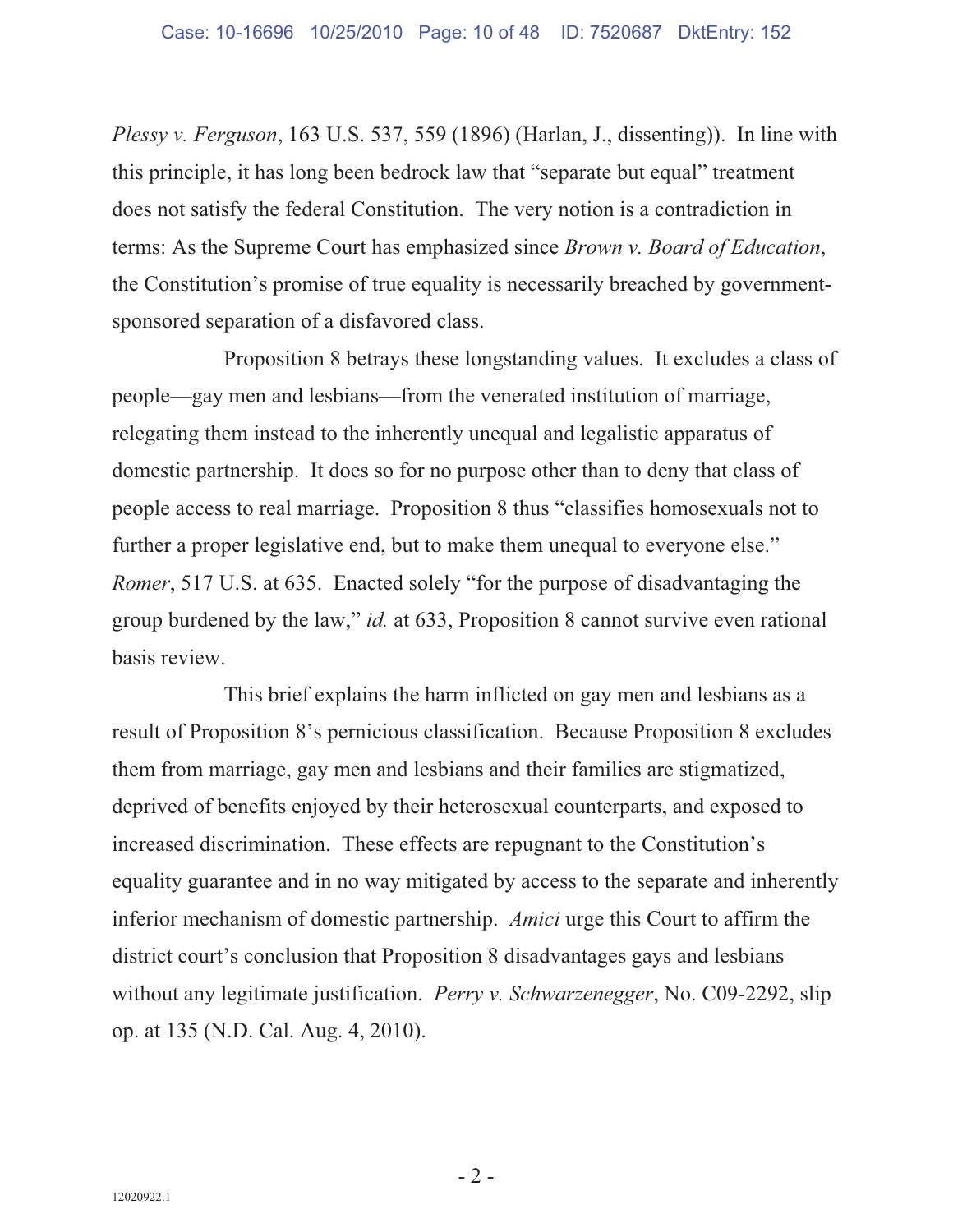*Plessy v. Ferguson*, 163 U.S. 537, 559 (1896) (Harlan, J., dissenting)). In line with this principle, it has long been bedrock law that "separate but equal" treatment does not satisfy the federal Constitution. The very notion is a contradiction in terms: As the Supreme Court has emphasized since *Brown v. Board of Education*, the Constitution's promise of true equality is necessarily breached by governmentsponsored separation of a disfavored class.

Proposition 8 betrays these longstanding values. It excludes a class of people—gay men and lesbians—from the venerated institution of marriage, relegating them instead to the inherently unequal and legalistic apparatus of domestic partnership. It does so for no purpose other than to deny that class of people access to real marriage. Proposition 8 thus "classifies homosexuals not to further a proper legislative end, but to make them unequal to everyone else." *Romer*, 517 U.S. at 635. Enacted solely "for the purpose of disadvantaging the group burdened by the law," *id.* at 633, Proposition 8 cannot survive even rational basis review.

This brief explains the harm inflicted on gay men and lesbians as a result of Proposition 8's pernicious classification. Because Proposition 8 excludes them from marriage, gay men and lesbians and their families are stigmatized, deprived of benefits enjoyed by their heterosexual counterparts, and exposed to increased discrimination. These effects are repugnant to the Constitution's equality guarantee and in no way mitigated by access to the separate and inherently inferior mechanism of domestic partnership. *Amici* urge this Court to affirm the district court's conclusion that Proposition 8 disadvantages gays and lesbians without any legitimate justification. *Perry v. Schwarzenegger*, No. C09-2292, slip op. at 135 (N.D. Cal. Aug. 4, 2010).

 $-2$  -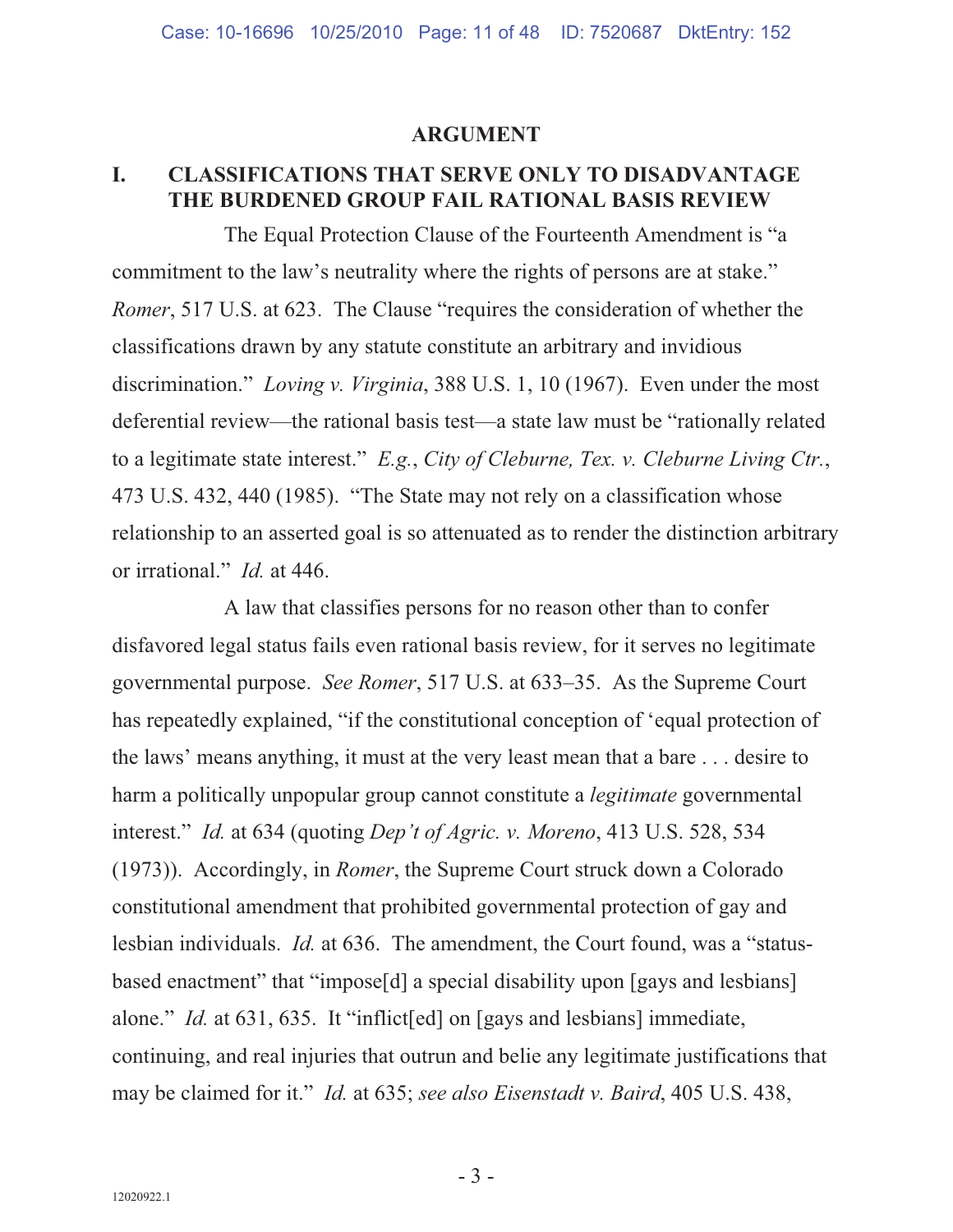#### **ARGUMENT**

#### **I. CLASSIFICATIONS THAT SERVE ONLY TO DISADVANTAGE THE BURDENED GROUP FAIL RATIONAL BASIS REVIEW**

The Equal Protection Clause of the Fourteenth Amendment is "a commitment to the law's neutrality where the rights of persons are at stake." *Romer*, 517 U.S. at 623. The Clause "requires the consideration of whether the classifications drawn by any statute constitute an arbitrary and invidious discrimination." *Loving v. Virginia*, 388 U.S. 1, 10 (1967). Even under the most deferential review—the rational basis test—a state law must be "rationally related to a legitimate state interest." *E.g.*, *City of Cleburne, Tex. v. Cleburne Living Ctr.*, 473 U.S. 432, 440 (1985). "The State may not rely on a classification whose relationship to an asserted goal is so attenuated as to render the distinction arbitrary or irrational." *Id.* at 446.

A law that classifies persons for no reason other than to confer disfavored legal status fails even rational basis review, for it serves no legitimate governmental purpose. *See Romer*, 517 U.S. at 633–35. As the Supreme Court has repeatedly explained, "if the constitutional conception of 'equal protection of the laws' means anything, it must at the very least mean that a bare . . . desire to harm a politically unpopular group cannot constitute a *legitimate* governmental interest." *Id.* at 634 (quoting *Dep't of Agric. v. Moreno*, 413 U.S. 528, 534 (1973)). Accordingly, in *Romer*, the Supreme Court struck down a Colorado constitutional amendment that prohibited governmental protection of gay and lesbian individuals. *Id.* at 636. The amendment, the Court found, was a "statusbased enactment" that "impose[d] a special disability upon [gays and lesbians] alone." *Id.* at 631, 635. It "inflict [ed] on [gays and lesbians] immediate, continuing, and real injuries that outrun and belie any legitimate justifications that may be claimed for it." *Id.* at 635; *see also Eisenstadt v. Baird*, 405 U.S. 438,

 $-3-$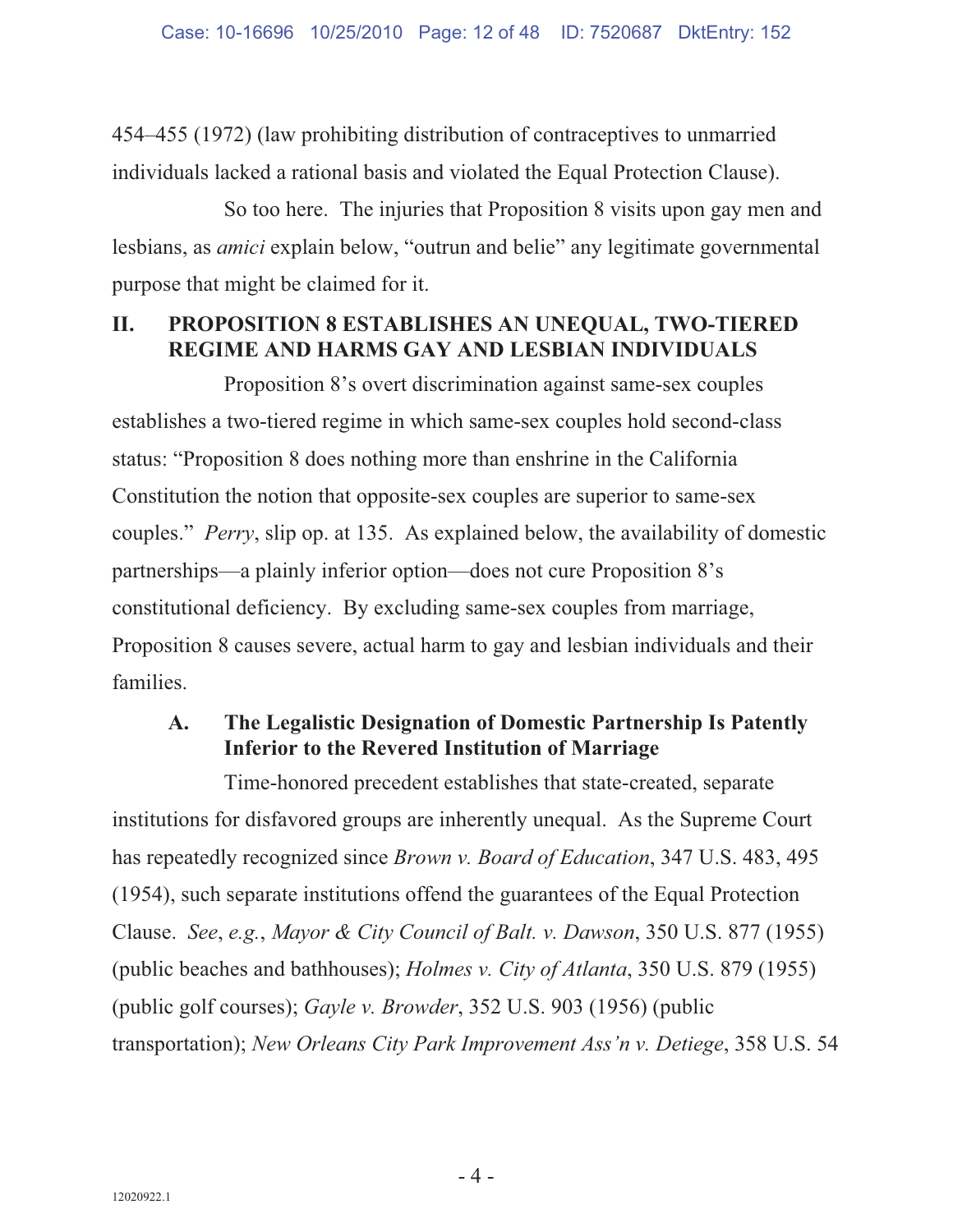454–455 (1972) (law prohibiting distribution of contraceptives to unmarried individuals lacked a rational basis and violated the Equal Protection Clause).

So too here. The injuries that Proposition 8 visits upon gay men and lesbians, as *amici* explain below, "outrun and belie" any legitimate governmental purpose that might be claimed for it.

### **II. PROPOSITION 8 ESTABLISHES AN UNEQUAL, TWO-TIERED REGIME AND HARMS GAY AND LESBIAN INDIVIDUALS**

Proposition 8's overt discrimination against same-sex couples establishes a two-tiered regime in which same-sex couples hold second-class status: "Proposition 8 does nothing more than enshrine in the California Constitution the notion that opposite-sex couples are superior to same-sex couples." *Perry*, slip op. at 135. As explained below, the availability of domestic partnerships—a plainly inferior option—does not cure Proposition 8's constitutional deficiency. By excluding same-sex couples from marriage, Proposition 8 causes severe, actual harm to gay and lesbian individuals and their families.

### **A. The Legalistic Designation of Domestic Partnership Is Patently Inferior to the Revered Institution of Marriage**

Time-honored precedent establishes that state-created, separate institutions for disfavored groups are inherently unequal. As the Supreme Court has repeatedly recognized since *Brown v. Board of Education*, 347 U.S. 483, 495 (1954), such separate institutions offend the guarantees of the Equal Protection Clause. *See*, *e.g.*, *Mayor & City Council of Balt. v. Dawson*, 350 U.S. 877 (1955) (public beaches and bathhouses); *Holmes v. City of Atlanta*, 350 U.S. 879 (1955) (public golf courses); *Gayle v. Browder*, 352 U.S. 903 (1956) (public transportation); *New Orleans City Park Improvement Ass'n v. Detiege*, 358 U.S. 54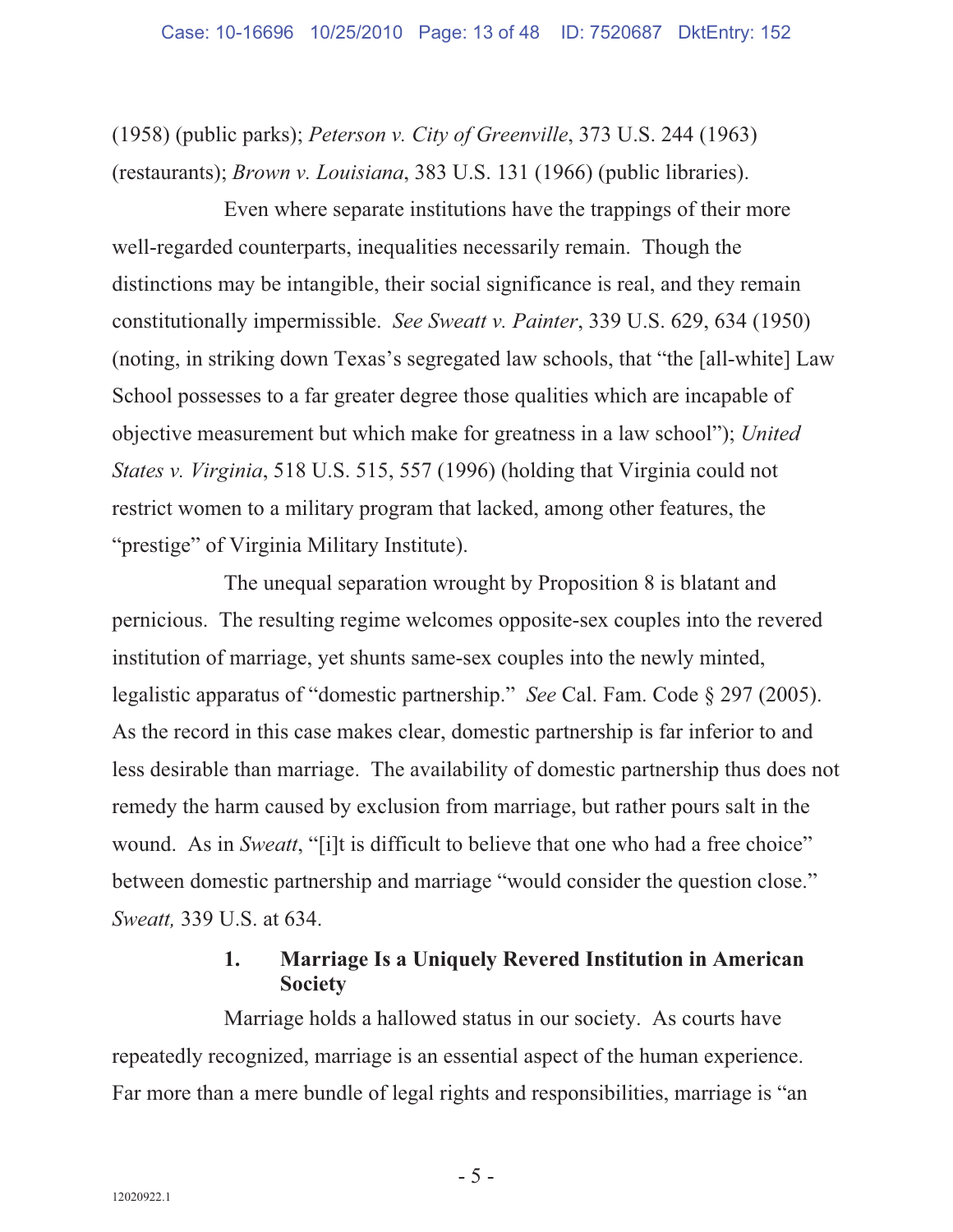(1958) (public parks); *Peterson v. City of Greenville*, 373 U.S. 244 (1963) (restaurants); *Brown v. Louisiana*, 383 U.S. 131 (1966) (public libraries).

Even where separate institutions have the trappings of their more well-regarded counterparts, inequalities necessarily remain. Though the distinctions may be intangible, their social significance is real, and they remain constitutionally impermissible. *See Sweatt v. Painter*, 339 U.S. 629, 634 (1950) (noting, in striking down Texas's segregated law schools, that "the [all-white] Law School possesses to a far greater degree those qualities which are incapable of objective measurement but which make for greatness in a law school"); *United States v. Virginia*, 518 U.S. 515, 557 (1996) (holding that Virginia could not restrict women to a military program that lacked, among other features, the "prestige" of Virginia Military Institute).

The unequal separation wrought by Proposition 8 is blatant and pernicious. The resulting regime welcomes opposite-sex couples into the revered institution of marriage, yet shunts same-sex couples into the newly minted, legalistic apparatus of "domestic partnership." *See* Cal. Fam. Code § 297 (2005). As the record in this case makes clear, domestic partnership is far inferior to and less desirable than marriage. The availability of domestic partnership thus does not remedy the harm caused by exclusion from marriage, but rather pours salt in the wound. As in *Sweatt*, "[i]t is difficult to believe that one who had a free choice" between domestic partnership and marriage "would consider the question close." *Sweatt,* 339 U.S. at 634.

### **1. Marriage Is a Uniquely Revered Institution in American Society**

Marriage holds a hallowed status in our society. As courts have repeatedly recognized, marriage is an essential aspect of the human experience. Far more than a mere bundle of legal rights and responsibilities, marriage is "an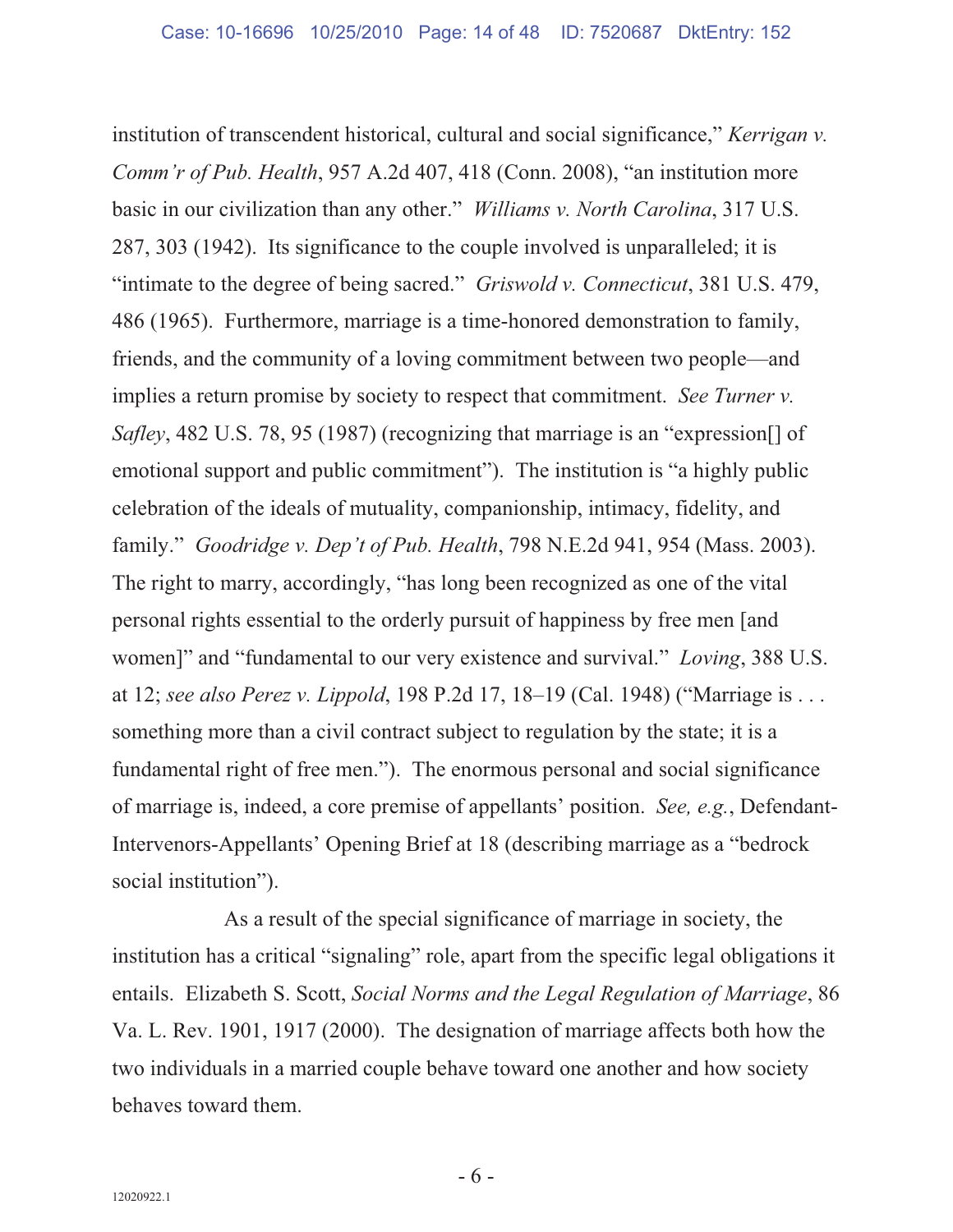institution of transcendent historical, cultural and social significance," *Kerrigan v. Comm'r of Pub. Health*, 957 A.2d 407, 418 (Conn. 2008), "an institution more basic in our civilization than any other." *Williams v. North Carolina*, 317 U.S. 287, 303 (1942). Its significance to the couple involved is unparalleled; it is "intimate to the degree of being sacred." *Griswold v. Connecticut*, 381 U.S. 479, 486 (1965). Furthermore, marriage is a time-honored demonstration to family, friends, and the community of a loving commitment between two people—and implies a return promise by society to respect that commitment. *See Turner v. Safley*, 482 U.S. 78, 95 (1987) (recognizing that marriage is an "expression[] of emotional support and public commitment"). The institution is "a highly public celebration of the ideals of mutuality, companionship, intimacy, fidelity, and family." *Goodridge v. Dep't of Pub. Health*, 798 N.E.2d 941, 954 (Mass. 2003). The right to marry, accordingly, "has long been recognized as one of the vital personal rights essential to the orderly pursuit of happiness by free men [and women]" and "fundamental to our very existence and survival." *Loving*, 388 U.S. at 12; *see also Perez v. Lippold*, 198 P.2d 17, 18–19 (Cal. 1948) ("Marriage is . . . something more than a civil contract subject to regulation by the state; it is a fundamental right of free men."). The enormous personal and social significance of marriage is, indeed, a core premise of appellants' position. *See, e.g.*, Defendant-Intervenors-Appellants' Opening Brief at 18 (describing marriage as a "bedrock social institution").

As a result of the special significance of marriage in society, the institution has a critical "signaling" role, apart from the specific legal obligations it entails. Elizabeth S. Scott, *Social Norms and the Legal Regulation of Marriage*, 86 Va. L. Rev. 1901, 1917 (2000). The designation of marriage affects both how the two individuals in a married couple behave toward one another and how society behaves toward them.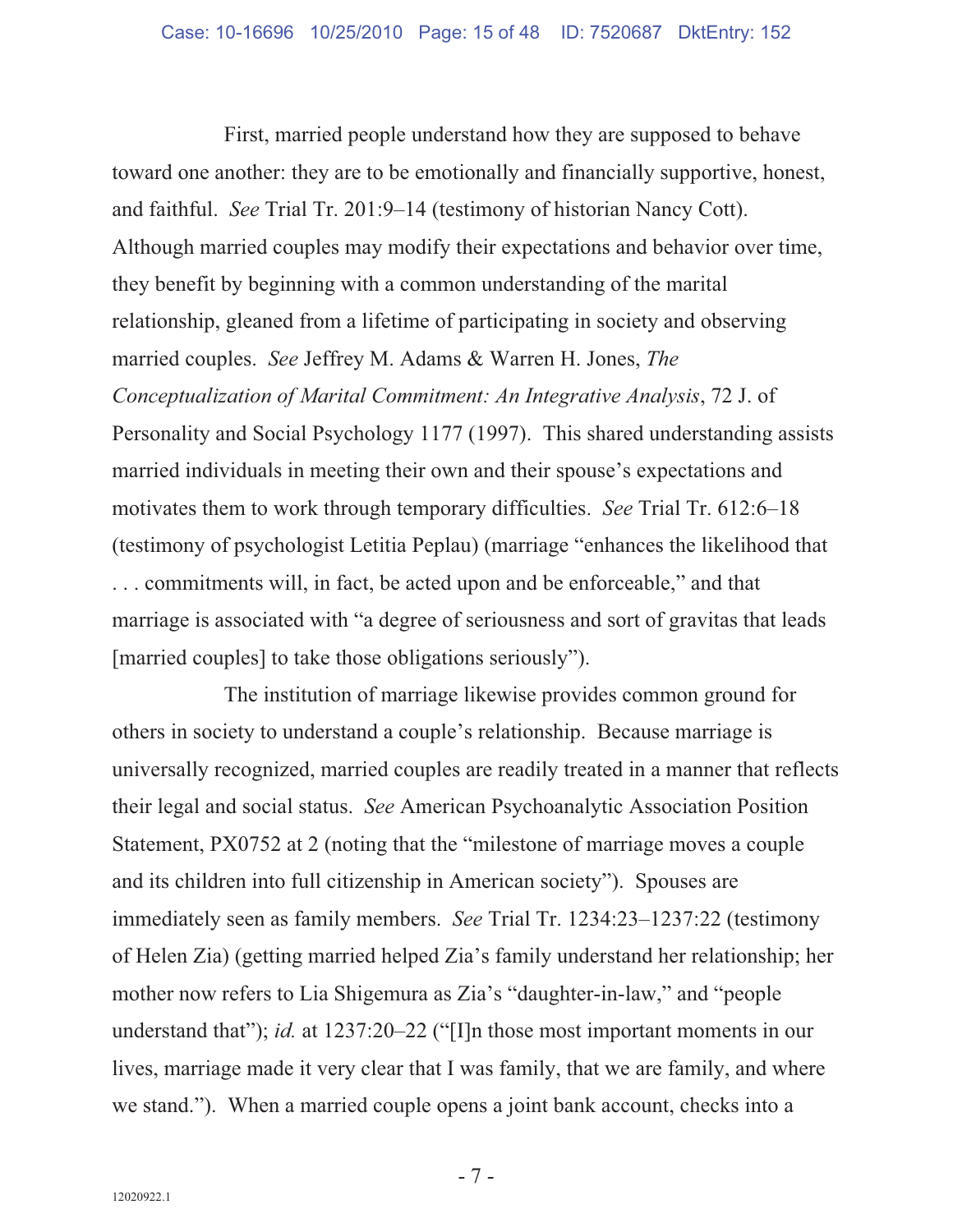First, married people understand how they are supposed to behave toward one another: they are to be emotionally and financially supportive, honest, and faithful. *See* Trial Tr. 201:9–14 (testimony of historian Nancy Cott). Although married couples may modify their expectations and behavior over time, they benefit by beginning with a common understanding of the marital relationship, gleaned from a lifetime of participating in society and observing married couples. *See* Jeffrey M. Adams & Warren H. Jones, *The Conceptualization of Marital Commitment: An Integrative Analysis*, 72 J. of Personality and Social Psychology 1177 (1997). This shared understanding assists married individuals in meeting their own and their spouse's expectations and motivates them to work through temporary difficulties. *See* Trial Tr. 612:6–18 (testimony of psychologist Letitia Peplau) (marriage "enhances the likelihood that . . . commitments will, in fact, be acted upon and be enforceable," and that marriage is associated with "a degree of seriousness and sort of gravitas that leads [married couples] to take those obligations seriously").

The institution of marriage likewise provides common ground for others in society to understand a couple's relationship. Because marriage is universally recognized, married couples are readily treated in a manner that reflects their legal and social status. *See* American Psychoanalytic Association Position Statement, PX0752 at 2 (noting that the "milestone of marriage moves a couple and its children into full citizenship in American society"). Spouses are immediately seen as family members. *See* Trial Tr. 1234:23–1237:22 (testimony of Helen Zia) (getting married helped Zia's family understand her relationship; her mother now refers to Lia Shigemura as Zia's "daughter-in-law," and "people understand that"); *id.* at 1237:20–22 ("[I]n those most important moments in our lives, marriage made it very clear that I was family, that we are family, and where we stand."). When a married couple opens a joint bank account, checks into a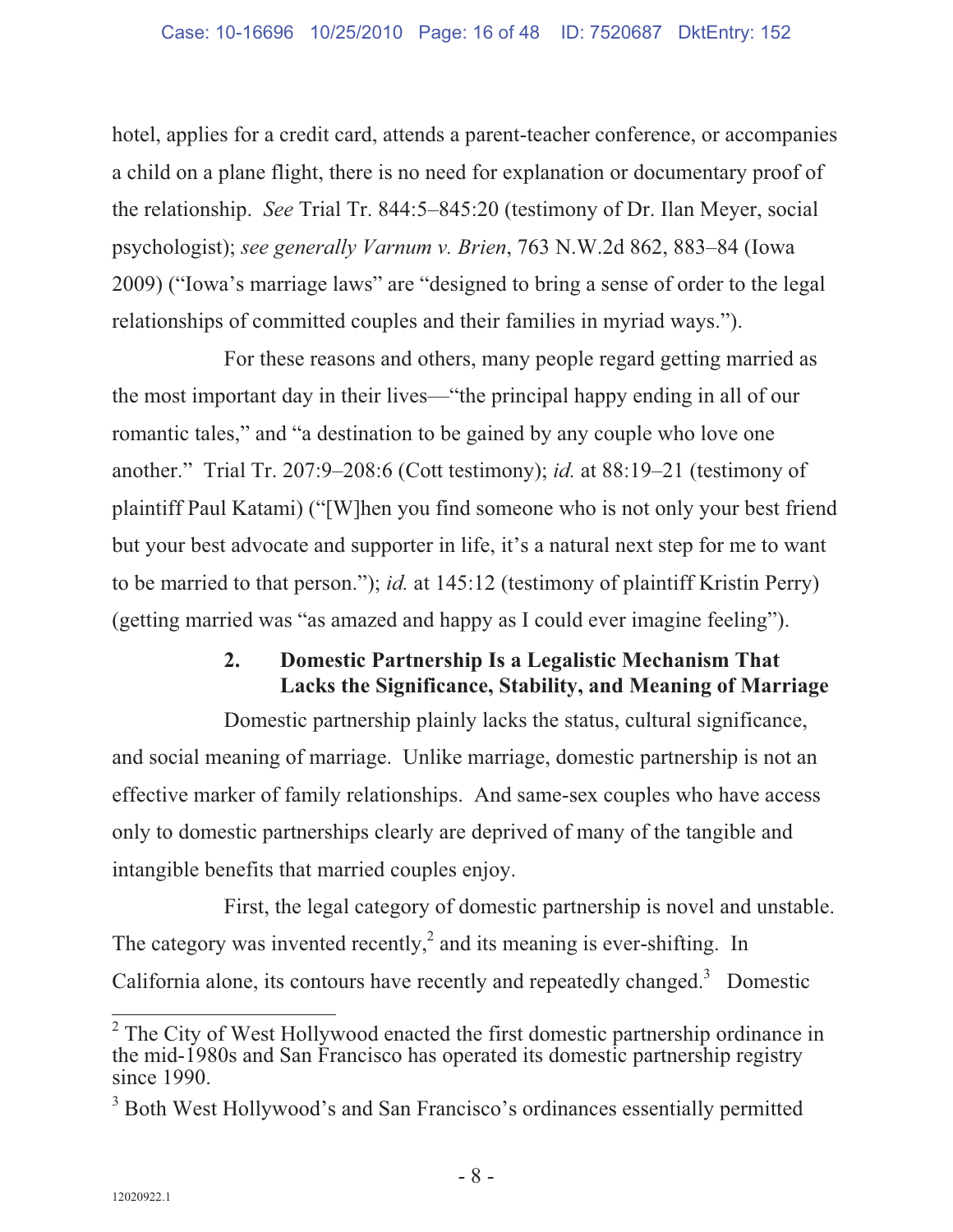hotel, applies for a credit card, attends a parent-teacher conference, or accompanies a child on a plane flight, there is no need for explanation or documentary proof of the relationship. *See* Trial Tr. 844:5–845:20 (testimony of Dr. Ilan Meyer, social psychologist); *see generally Varnum v. Brien*, 763 N.W.2d 862, 883–84 (Iowa 2009) ("Iowa's marriage laws" are "designed to bring a sense of order to the legal relationships of committed couples and their families in myriad ways.").

For these reasons and others, many people regard getting married as the most important day in their lives—"the principal happy ending in all of our romantic tales," and "a destination to be gained by any couple who love one another." Trial Tr. 207:9–208:6 (Cott testimony); *id.* at 88:19–21 (testimony of plaintiff Paul Katami) ("[W]hen you find someone who is not only your best friend but your best advocate and supporter in life, it's a natural next step for me to want to be married to that person."); *id.* at 145:12 (testimony of plaintiff Kristin Perry) (getting married was "as amazed and happy as I could ever imagine feeling").

### **2. Domestic Partnership Is a Legalistic Mechanism That Lacks the Significance, Stability, and Meaning of Marriage**

Domestic partnership plainly lacks the status, cultural significance, and social meaning of marriage. Unlike marriage, domestic partnership is not an effective marker of family relationships. And same-sex couples who have access only to domestic partnerships clearly are deprived of many of the tangible and intangible benefits that married couples enjoy.

First, the legal category of domestic partnership is novel and unstable. The category was invented recently,<sup>2</sup> and its meaning is ever-shifting. In California alone, its contours have recently and repeatedly changed. $3$  Domestic

<sup>&</sup>lt;sup>2</sup> The City of West Hollywood enacted the first domestic partnership ordinance in the mid-1980s and San Francisco has operated its domestic partnership registry since 1990.

<sup>&</sup>lt;sup>3</sup> Both West Hollywood's and San Francisco's ordinances essentially permitted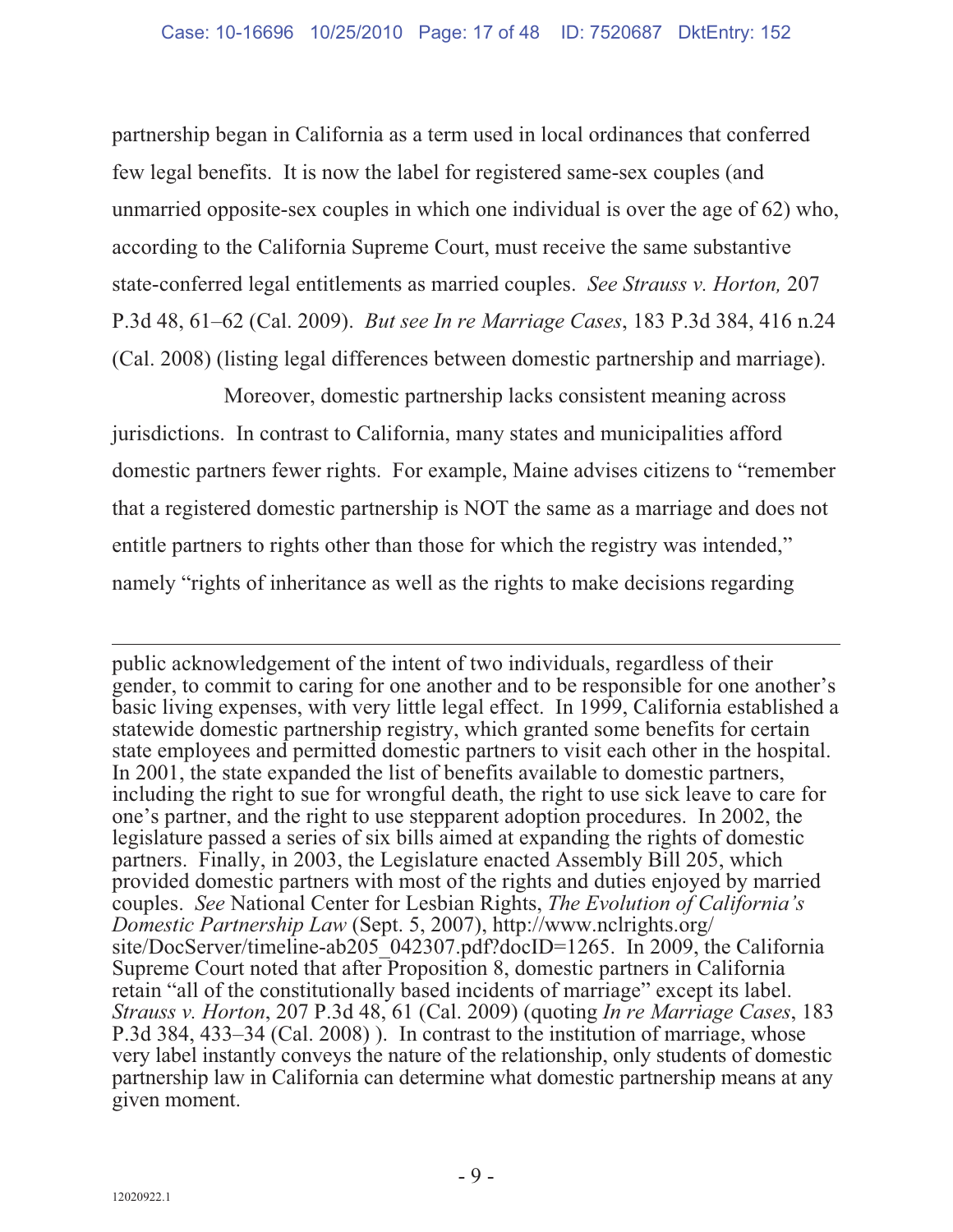partnership began in California as a term used in local ordinances that conferred few legal benefits. It is now the label for registered same-sex couples (and unmarried opposite-sex couples in which one individual is over the age of 62) who, according to the California Supreme Court, must receive the same substantive state-conferred legal entitlements as married couples. *See Strauss v. Horton,* 207 P.3d 48, 61–62 (Cal. 2009). *But see In re Marriage Cases*, 183 P.3d 384, 416 n.24 (Cal. 2008) (listing legal differences between domestic partnership and marriage).

Moreover, domestic partnership lacks consistent meaning across jurisdictions. In contrast to California, many states and municipalities afford domestic partners fewer rights. For example, Maine advises citizens to "remember that a registered domestic partnership is NOT the same as a marriage and does not entitle partners to rights other than those for which the registry was intended," namely "rights of inheritance as well as the rights to make decisions regarding

 $\overline{a}$ public acknowledgement of the intent of two individuals, regardless of their gender, to commit to caring for one another and to be responsible for one another's basic living expenses, with very little legal effect. In 1999, California established a statewide domestic partnership registry, which granted some benefits for certain state employees and permitted domestic partners to visit each other in the hospital. In 2001, the state expanded the list of benefits available to domestic partners, including the right to sue for wrongful death, the right to use sick leave to care for one's partner, and the right to use stepparent adoption procedures. In 2002, the legislature passed a series of six bills aimed at expanding the rights of domestic partners. Finally, in 2003, the Legislature enacted Assembly Bill 205, which provided domestic partners with most of the rights and duties enjoyed by married couples. *See* National Center for Lesbian Rights, *The Evolution of California's Domestic Partnership Law* (Sept. 5, 2007), http://www.nclrights.org/ site/DocServer/timeline-ab205\_042307.pdf?docID=1265. In 2009, the California Supreme Court noted that after Proposition 8, domestic partners in California retain "all of the constitutionally based incidents of marriage" except its label. *Strauss v. Horton*, 207 P.3d 48, 61 (Cal. 2009) (quoting *In re Marriage Cases*, 183 P.3d 384, 433–34 (Cal. 2008) ). In contrast to the institution of marriage, whose very label instantly conveys the nature of the relationship, only students of domestic partnership law in California can determine what domestic partnership means at any given moment.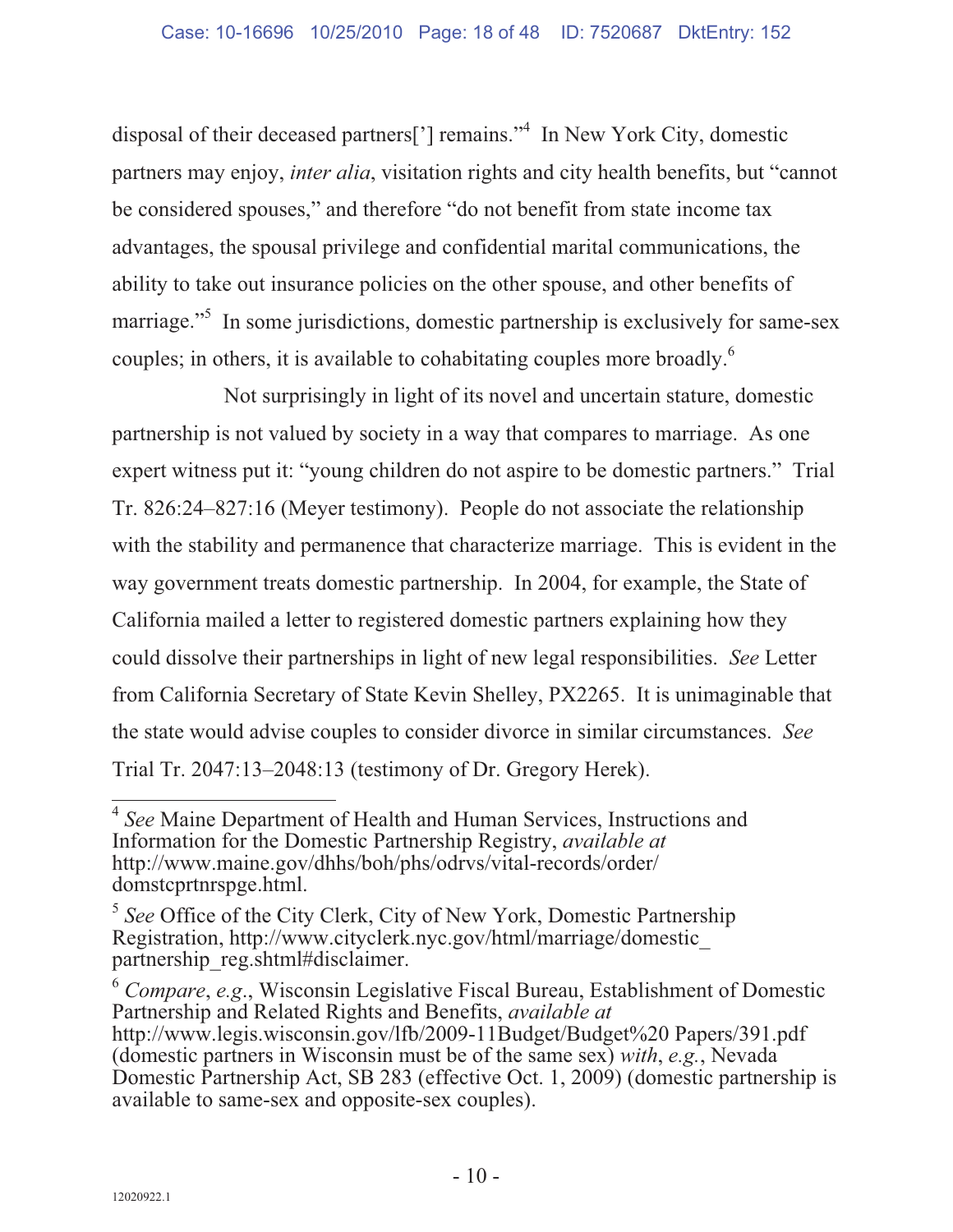disposal of their deceased partners['] remains."<sup>4</sup> In New York City, domestic partners may enjoy, *inter alia*, visitation rights and city health benefits, but "cannot be considered spouses," and therefore "do not benefit from state income tax advantages, the spousal privilege and confidential marital communications, the ability to take out insurance policies on the other spouse, and other benefits of marriage."<sup>5</sup> In some jurisdictions, domestic partnership is exclusively for same-sex couples; in others, it is available to cohabitating couples more broadly.<sup>6</sup>

Not surprisingly in light of its novel and uncertain stature, domestic partnership is not valued by society in a way that compares to marriage. As one expert witness put it: "young children do not aspire to be domestic partners." Trial Tr. 826:24–827:16 (Meyer testimony). People do not associate the relationship with the stability and permanence that characterize marriage. This is evident in the way government treats domestic partnership. In 2004, for example, the State of California mailed a letter to registered domestic partners explaining how they could dissolve their partnerships in light of new legal responsibilities. *See* Letter from California Secretary of State Kevin Shelley, PX2265. It is unimaginable that the state would advise couples to consider divorce in similar circumstances. *See* Trial Tr. 2047:13–2048:13 (testimony of Dr. Gregory Herek).

 $\frac{1}{4}$ <sup>4</sup> *See* Maine Department of Health and Human Services, Instructions and Information for the Domestic Partnership Registry, *available at*  http://www.maine.gov/dhhs/boh/phs/odrvs/vital-records/order/ domstcprtnrspge.html.

<sup>5</sup> *See* Office of the City Clerk, City of New York, Domestic Partnership Registration, http://www.cityclerk.nyc.gov/html/marriage/domestic\_ partnership\_reg.shtml#disclaimer.

<sup>6</sup> *Compare*, *e.g*., Wisconsin Legislative Fiscal Bureau, Establishment of Domestic Partnership and Related Rights and Benefits, *available at*  http://www.legis.wisconsin.gov/lfb/2009-11Budget/Budget%20 Papers/391.pdf (domestic partners in Wisconsin must be of the same sex) *with*, *e.g.*, Nevada Domestic Partnership Act, SB 283 (effective Oct. 1, 2009) (domestic partnership is available to same-sex and opposite-sex couples).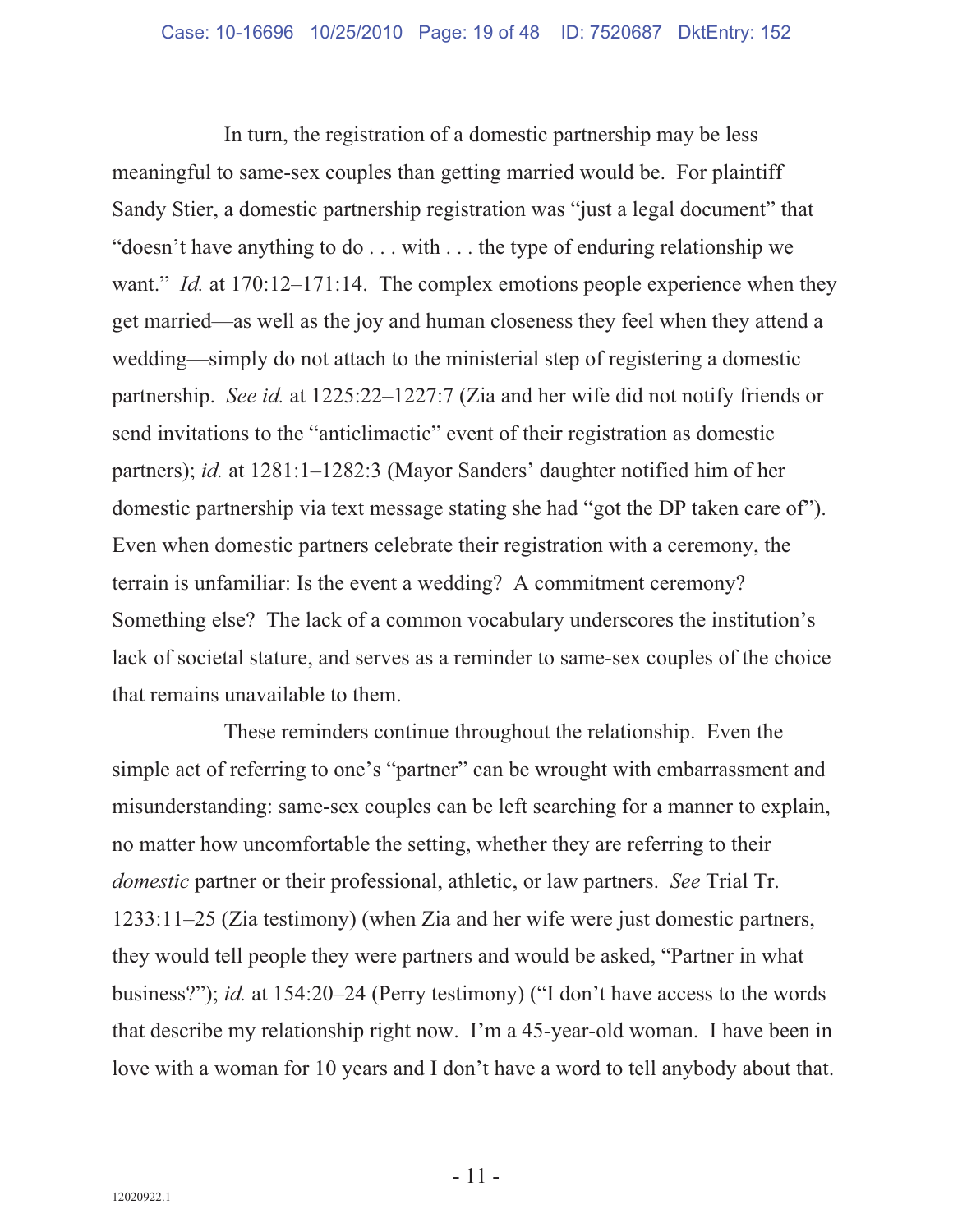In turn, the registration of a domestic partnership may be less meaningful to same-sex couples than getting married would be. For plaintiff Sandy Stier, a domestic partnership registration was "just a legal document" that "doesn't have anything to do . . . with . . . the type of enduring relationship we want." *Id.* at 170:12–171:14. The complex emotions people experience when they get married—as well as the joy and human closeness they feel when they attend a wedding—simply do not attach to the ministerial step of registering a domestic partnership. *See id.* at 1225:22–1227:7 (Zia and her wife did not notify friends or send invitations to the "anticlimactic" event of their registration as domestic partners); *id.* at 1281:1–1282:3 (Mayor Sanders' daughter notified him of her domestic partnership via text message stating she had "got the DP taken care of"). Even when domestic partners celebrate their registration with a ceremony, the terrain is unfamiliar: Is the event a wedding? A commitment ceremony? Something else? The lack of a common vocabulary underscores the institution's lack of societal stature, and serves as a reminder to same-sex couples of the choice that remains unavailable to them.

These reminders continue throughout the relationship. Even the simple act of referring to one's "partner" can be wrought with embarrassment and misunderstanding: same-sex couples can be left searching for a manner to explain, no matter how uncomfortable the setting, whether they are referring to their *domestic* partner or their professional, athletic, or law partners. *See* Trial Tr. 1233:11–25 (Zia testimony) (when Zia and her wife were just domestic partners, they would tell people they were partners and would be asked, "Partner in what business?"); *id.* at 154:20–24 (Perry testimony) ("I don't have access to the words that describe my relationship right now. I'm a 45-year-old woman. I have been in love with a woman for 10 years and I don't have a word to tell anybody about that.

 $-11$  -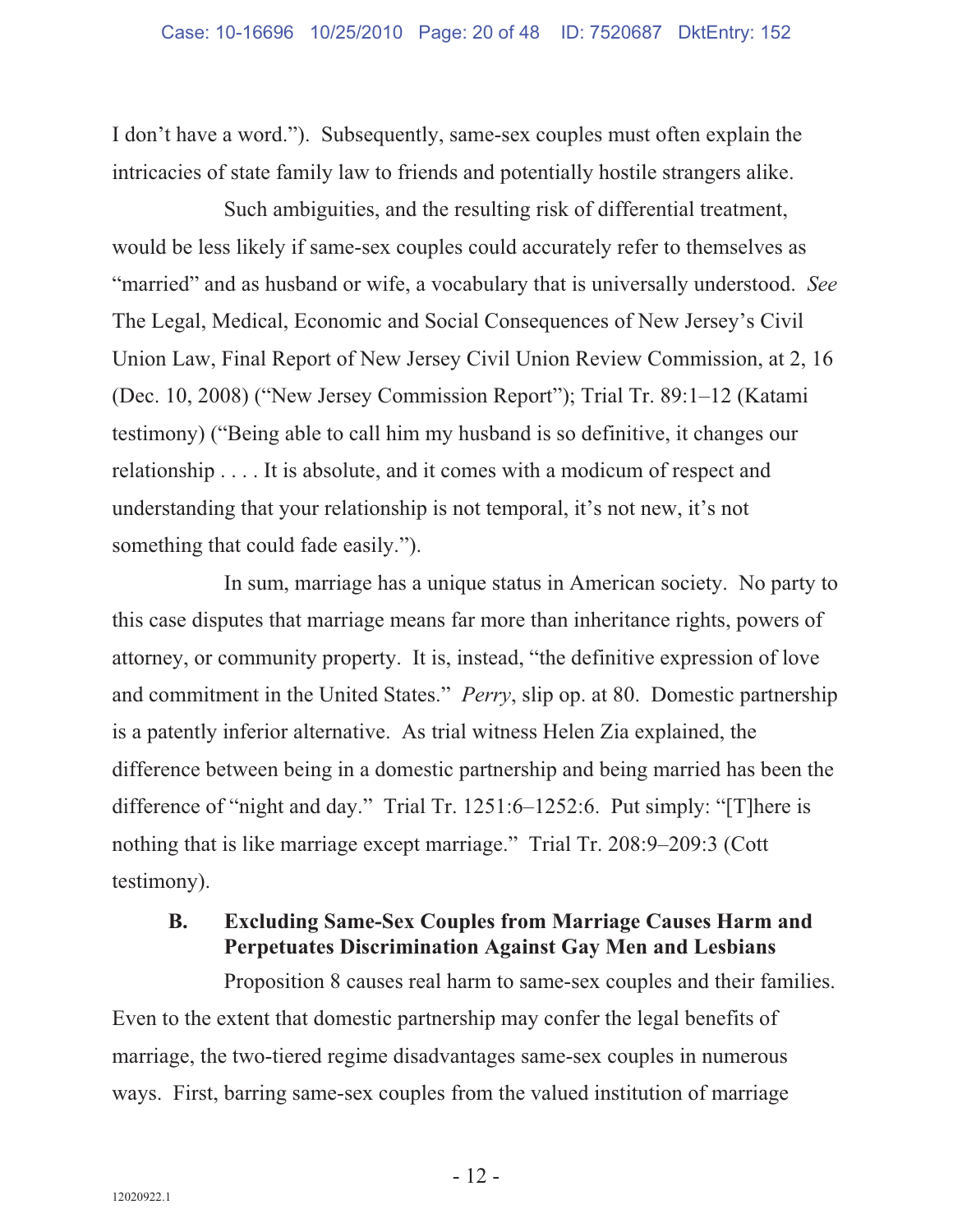I don't have a word."). Subsequently, same-sex couples must often explain the intricacies of state family law to friends and potentially hostile strangers alike.

Such ambiguities, and the resulting risk of differential treatment, would be less likely if same-sex couples could accurately refer to themselves as "married" and as husband or wife, a vocabulary that is universally understood. *See* The Legal, Medical, Economic and Social Consequences of New Jersey's Civil Union Law, Final Report of New Jersey Civil Union Review Commission, at 2, 16 (Dec. 10, 2008) ("New Jersey Commission Report"); Trial Tr. 89:1–12 (Katami testimony) ("Being able to call him my husband is so definitive, it changes our relationship . . . . It is absolute, and it comes with a modicum of respect and understanding that your relationship is not temporal, it's not new, it's not something that could fade easily.").

In sum, marriage has a unique status in American society. No party to this case disputes that marriage means far more than inheritance rights, powers of attorney, or community property. It is, instead, "the definitive expression of love and commitment in the United States." *Perry*, slip op. at 80. Domestic partnership is a patently inferior alternative. As trial witness Helen Zia explained, the difference between being in a domestic partnership and being married has been the difference of "night and day." Trial Tr. 1251:6–1252:6. Put simply: "[T]here is nothing that is like marriage except marriage." Trial Tr. 208:9–209:3 (Cott testimony).

### **B. Excluding Same-Sex Couples from Marriage Causes Harm and Perpetuates Discrimination Against Gay Men and Lesbians**

Proposition 8 causes real harm to same-sex couples and their families. Even to the extent that domestic partnership may confer the legal benefits of marriage, the two-tiered regime disadvantages same-sex couples in numerous ways. First, barring same-sex couples from the valued institution of marriage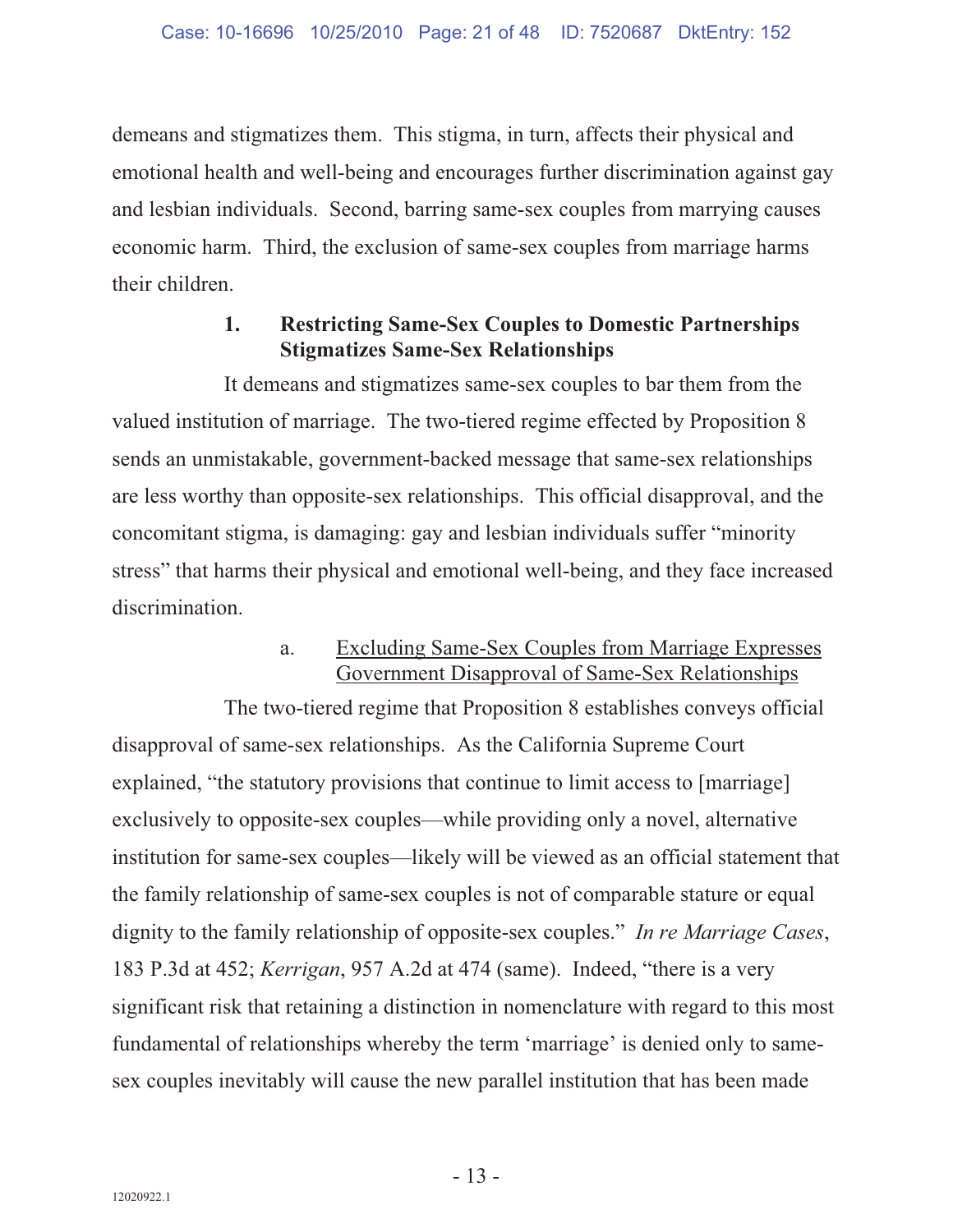demeans and stigmatizes them. This stigma, in turn, affects their physical and emotional health and well-being and encourages further discrimination against gay and lesbian individuals. Second, barring same-sex couples from marrying causes economic harm. Third, the exclusion of same-sex couples from marriage harms their children.

#### **1. Restricting Same-Sex Couples to Domestic Partnerships Stigmatizes Same-Sex Relationships**

It demeans and stigmatizes same-sex couples to bar them from the valued institution of marriage. The two-tiered regime effected by Proposition 8 sends an unmistakable, government-backed message that same-sex relationships are less worthy than opposite-sex relationships. This official disapproval, and the concomitant stigma, is damaging: gay and lesbian individuals suffer "minority stress" that harms their physical and emotional well-being, and they face increased discrimination.

#### a. Excluding Same-Sex Couples from Marriage Expresses Government Disapproval of Same-Sex Relationships

The two-tiered regime that Proposition 8 establishes conveys official disapproval of same-sex relationships. As the California Supreme Court explained, "the statutory provisions that continue to limit access to [marriage] exclusively to opposite-sex couples—while providing only a novel, alternative institution for same-sex couples—likely will be viewed as an official statement that the family relationship of same-sex couples is not of comparable stature or equal dignity to the family relationship of opposite-sex couples." *In re Marriage Cases*, 183 P.3d at 452; *Kerrigan*, 957 A.2d at 474 (same). Indeed, "there is a very significant risk that retaining a distinction in nomenclature with regard to this most fundamental of relationships whereby the term 'marriage' is denied only to samesex couples inevitably will cause the new parallel institution that has been made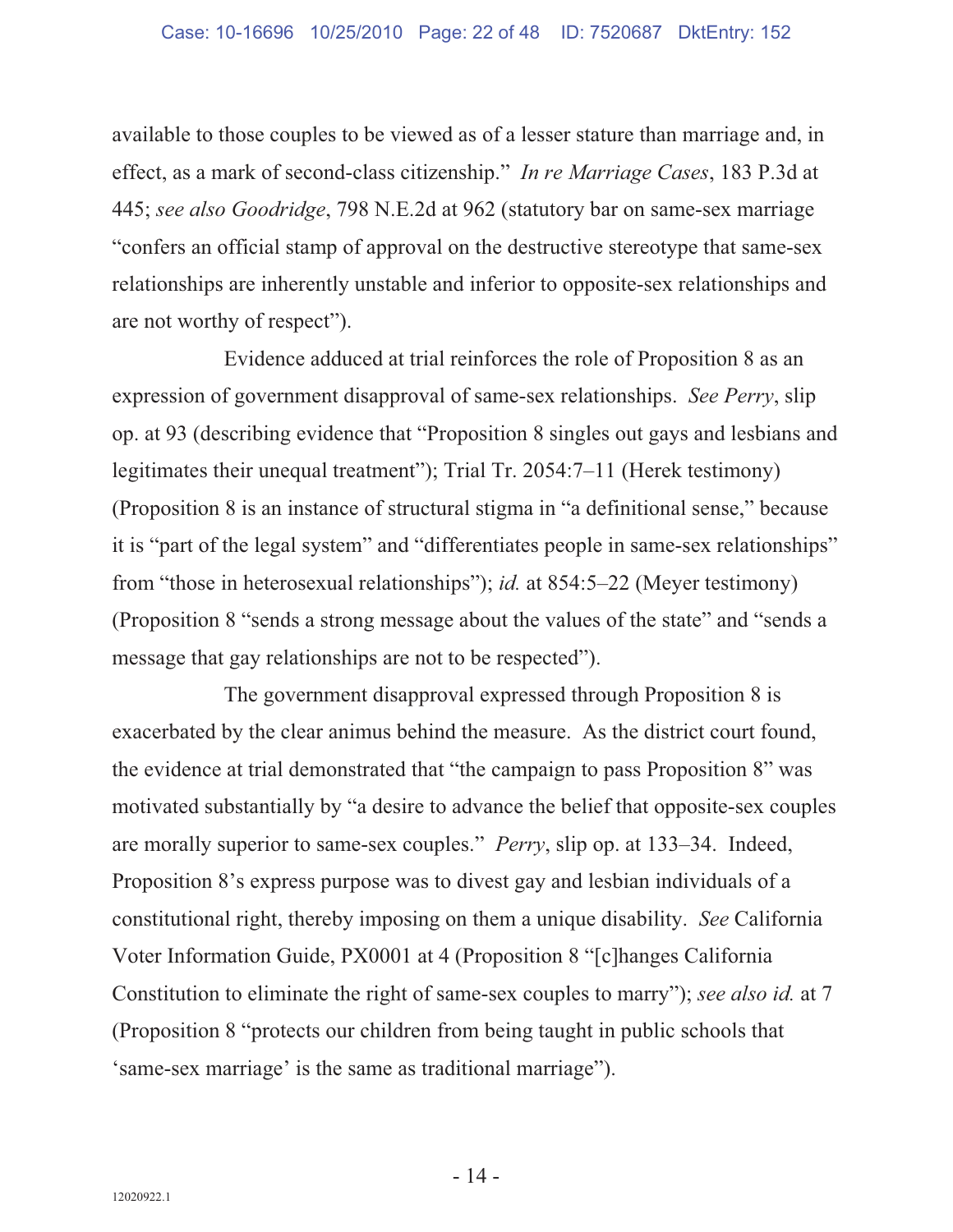available to those couples to be viewed as of a lesser stature than marriage and, in effect, as a mark of second-class citizenship." *In re Marriage Cases*, 183 P.3d at 445; *see also Goodridge*, 798 N.E.2d at 962 (statutory bar on same-sex marriage "confers an official stamp of approval on the destructive stereotype that same-sex relationships are inherently unstable and inferior to opposite-sex relationships and are not worthy of respect").

Evidence adduced at trial reinforces the role of Proposition 8 as an expression of government disapproval of same-sex relationships. *See Perry*, slip op. at 93 (describing evidence that "Proposition 8 singles out gays and lesbians and legitimates their unequal treatment"); Trial Tr. 2054:7–11 (Herek testimony) (Proposition 8 is an instance of structural stigma in "a definitional sense," because it is "part of the legal system" and "differentiates people in same-sex relationships" from "those in heterosexual relationships"); *id.* at 854:5–22 (Meyer testimony) (Proposition 8 "sends a strong message about the values of the state" and "sends a message that gay relationships are not to be respected").

The government disapproval expressed through Proposition 8 is exacerbated by the clear animus behind the measure. As the district court found, the evidence at trial demonstrated that "the campaign to pass Proposition 8" was motivated substantially by "a desire to advance the belief that opposite-sex couples are morally superior to same-sex couples." *Perry*, slip op. at 133–34. Indeed, Proposition 8's express purpose was to divest gay and lesbian individuals of a constitutional right, thereby imposing on them a unique disability. *See* California Voter Information Guide, PX0001 at 4 (Proposition 8 "[c]hanges California Constitution to eliminate the right of same-sex couples to marry"); *see also id.* at 7 (Proposition 8 "protects our children from being taught in public schools that 'same-sex marriage' is the same as traditional marriage").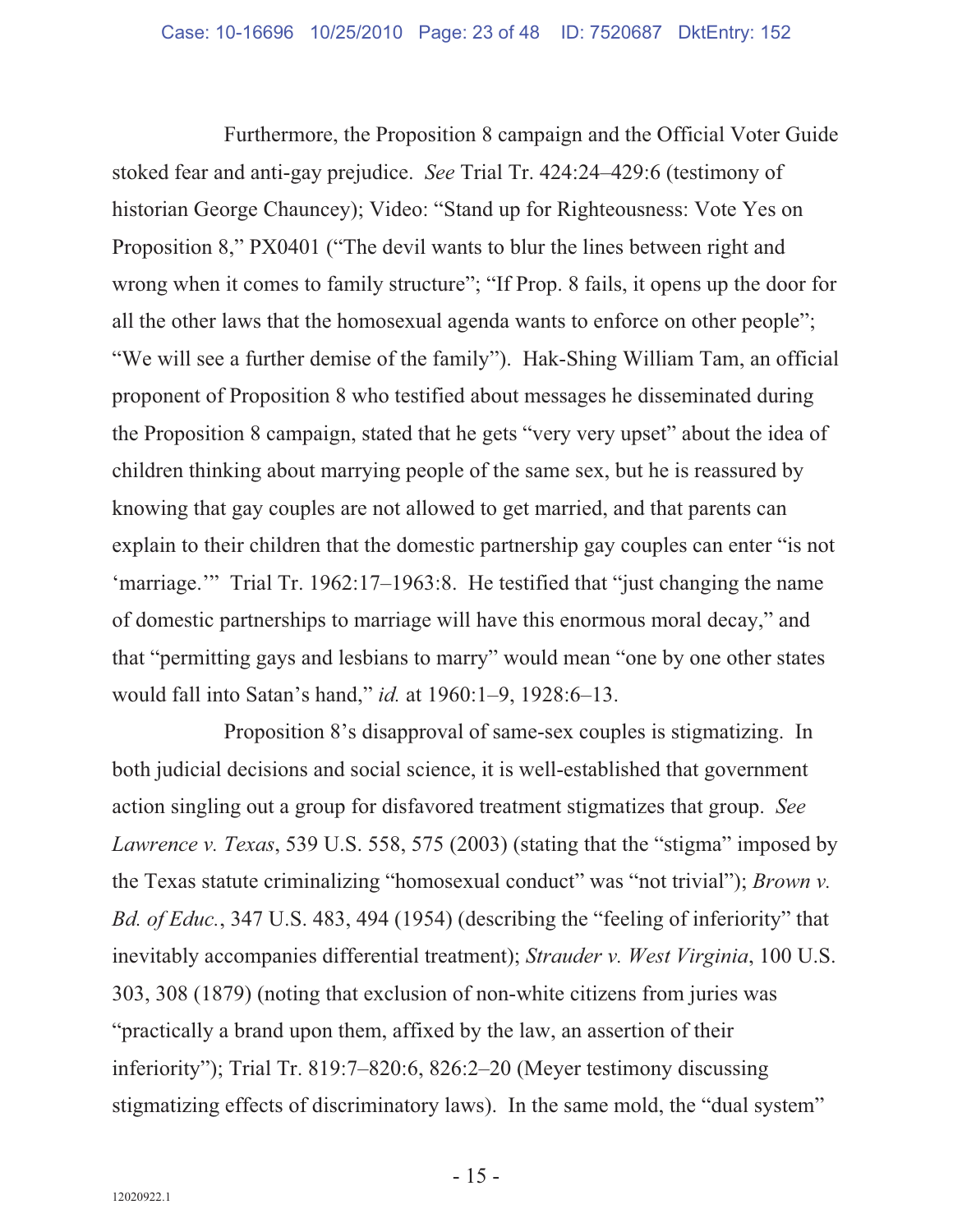Furthermore, the Proposition 8 campaign and the Official Voter Guide stoked fear and anti-gay prejudice. *See* Trial Tr. 424:24–429:6 (testimony of historian George Chauncey); Video: "Stand up for Righteousness: Vote Yes on Proposition 8," PX0401 ("The devil wants to blur the lines between right and wrong when it comes to family structure"; "If Prop. 8 fails, it opens up the door for all the other laws that the homosexual agenda wants to enforce on other people"; "We will see a further demise of the family"). Hak-Shing William Tam, an official proponent of Proposition 8 who testified about messages he disseminated during the Proposition 8 campaign, stated that he gets "very very upset" about the idea of children thinking about marrying people of the same sex, but he is reassured by knowing that gay couples are not allowed to get married, and that parents can explain to their children that the domestic partnership gay couples can enter "is not 'marriage."" Trial Tr. 1962:17-1963:8. He testified that "just changing the name of domestic partnerships to marriage will have this enormous moral decay," and that "permitting gays and lesbians to marry" would mean "one by one other states would fall into Satan's hand," *id.* at 1960:1–9, 1928:6–13.

Proposition 8's disapproval of same-sex couples is stigmatizing. In both judicial decisions and social science, it is well-established that government action singling out a group for disfavored treatment stigmatizes that group. *See Lawrence v. Texas*, 539 U.S. 558, 575 (2003) (stating that the "stigma" imposed by the Texas statute criminalizing "homosexual conduct" was "not trivial"); *Brown v. Bd. of Educ.*, 347 U.S. 483, 494 (1954) (describing the "feeling of inferiority" that inevitably accompanies differential treatment); *Strauder v. West Virginia*, 100 U.S. 303, 308 (1879) (noting that exclusion of non-white citizens from juries was "practically a brand upon them, affixed by the law, an assertion of their inferiority"); Trial Tr. 819:7–820:6, 826:2–20 (Meyer testimony discussing stigmatizing effects of discriminatory laws). In the same mold, the "dual system"

 $-15$  -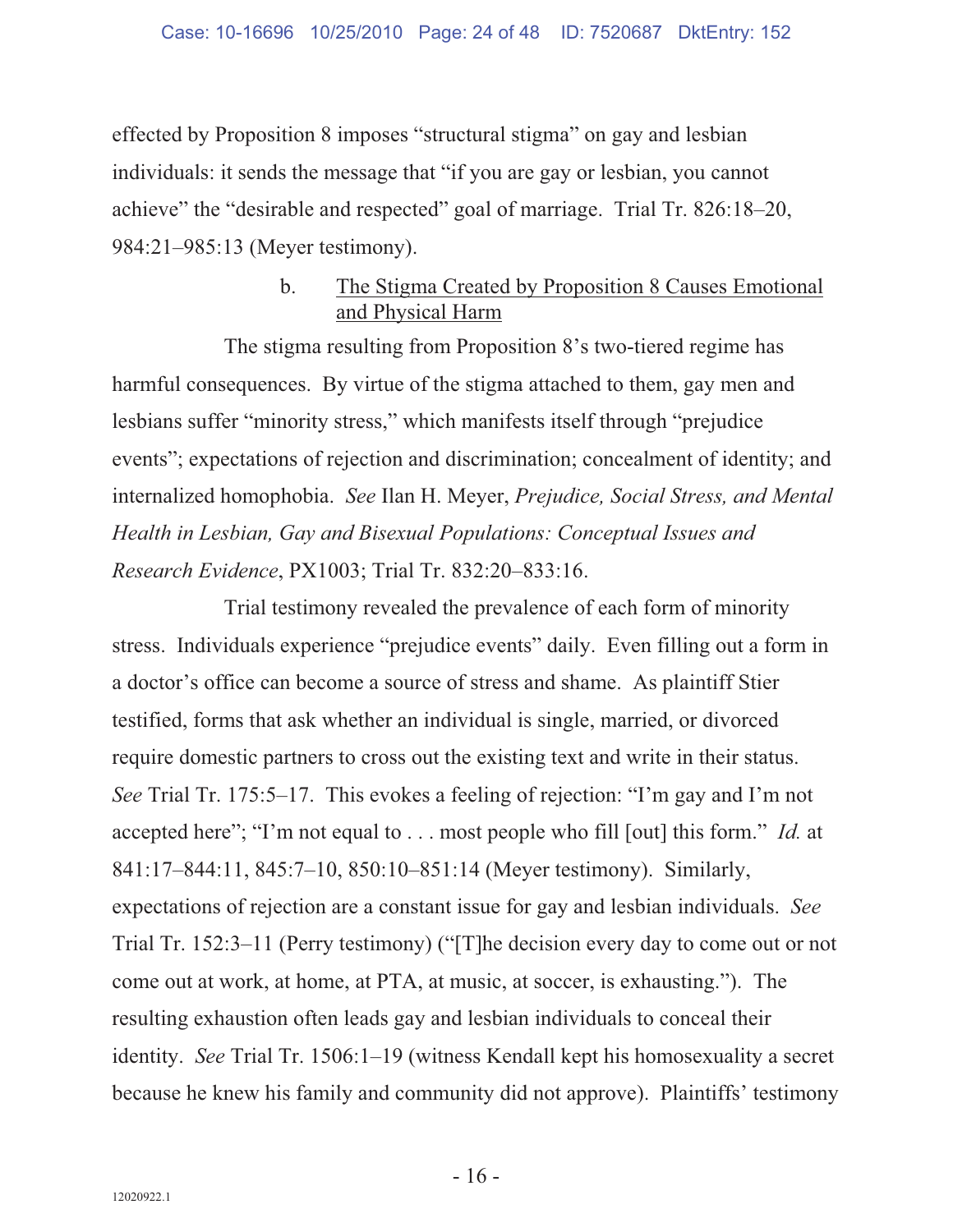effected by Proposition 8 imposes "structural stigma" on gay and lesbian individuals: it sends the message that "if you are gay or lesbian, you cannot achieve" the "desirable and respected" goal of marriage. Trial Tr. 826:18–20, 984:21–985:13 (Meyer testimony).

#### b. The Stigma Created by Proposition 8 Causes Emotional and Physical Harm

The stigma resulting from Proposition 8's two-tiered regime has harmful consequences. By virtue of the stigma attached to them, gay men and lesbians suffer "minority stress," which manifests itself through "prejudice events"; expectations of rejection and discrimination; concealment of identity; and internalized homophobia. *See* Ilan H. Meyer, *Prejudice, Social Stress, and Mental Health in Lesbian, Gay and Bisexual Populations: Conceptual Issues and Research Evidence*, PX1003; Trial Tr. 832:20–833:16.

Trial testimony revealed the prevalence of each form of minority stress. Individuals experience "prejudice events" daily. Even filling out a form in a doctor's office can become a source of stress and shame. As plaintiff Stier testified, forms that ask whether an individual is single, married, or divorced require domestic partners to cross out the existing text and write in their status. *See* Trial Tr. 175:5–17. This evokes a feeling of rejection: "I'm gay and I'm not accepted here"; "I'm not equal to . . . most people who fill [out] this form." *Id.* at 841:17–844:11, 845:7–10, 850:10–851:14 (Meyer testimony). Similarly, expectations of rejection are a constant issue for gay and lesbian individuals. *See* Trial Tr. 152:3–11 (Perry testimony) ("[T]he decision every day to come out or not come out at work, at home, at PTA, at music, at soccer, is exhausting."). The resulting exhaustion often leads gay and lesbian individuals to conceal their identity. *See* Trial Tr. 1506:1–19 (witness Kendall kept his homosexuality a secret because he knew his family and community did not approve). Plaintiffs' testimony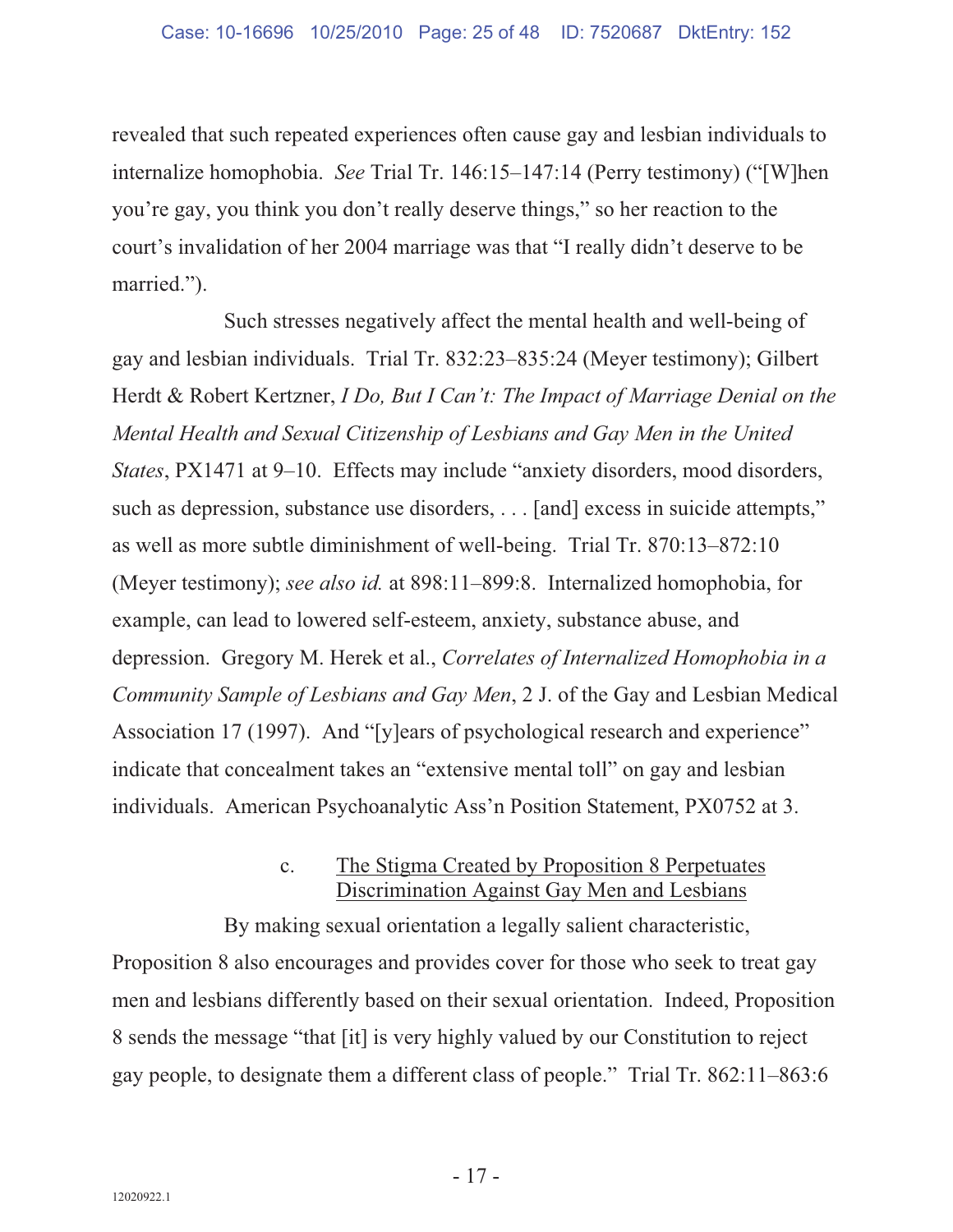revealed that such repeated experiences often cause gay and lesbian individuals to internalize homophobia. *See* Trial Tr. 146:15–147:14 (Perry testimony) ("[W]hen you're gay, you think you don't really deserve things," so her reaction to the court's invalidation of her 2004 marriage was that "I really didn't deserve to be married.").

Such stresses negatively affect the mental health and well-being of gay and lesbian individuals. Trial Tr. 832:23–835:24 (Meyer testimony); Gilbert Herdt & Robert Kertzner, *I Do, But I Can't: The Impact of Marriage Denial on the Mental Health and Sexual Citizenship of Lesbians and Gay Men in the United States*, PX1471 at 9–10. Effects may include "anxiety disorders, mood disorders, such as depression, substance use disorders, . . . [and] excess in suicide attempts," as well as more subtle diminishment of well-being. Trial Tr. 870:13–872:10 (Meyer testimony); *see also id.* at 898:11–899:8. Internalized homophobia, for example, can lead to lowered self-esteem, anxiety, substance abuse, and depression. Gregory M. Herek et al., *Correlates of Internalized Homophobia in a Community Sample of Lesbians and Gay Men*, 2 J. of the Gay and Lesbian Medical Association 17 (1997). And "[y]ears of psychological research and experience" indicate that concealment takes an "extensive mental toll" on gay and lesbian individuals. American Psychoanalytic Ass'n Position Statement, PX0752 at 3.

#### c. The Stigma Created by Proposition 8 Perpetuates Discrimination Against Gay Men and Lesbians

By making sexual orientation a legally salient characteristic, Proposition 8 also encourages and provides cover for those who seek to treat gay men and lesbians differently based on their sexual orientation. Indeed, Proposition 8 sends the message "that [it] is very highly valued by our Constitution to reject gay people, to designate them a different class of people." Trial Tr. 862:11–863:6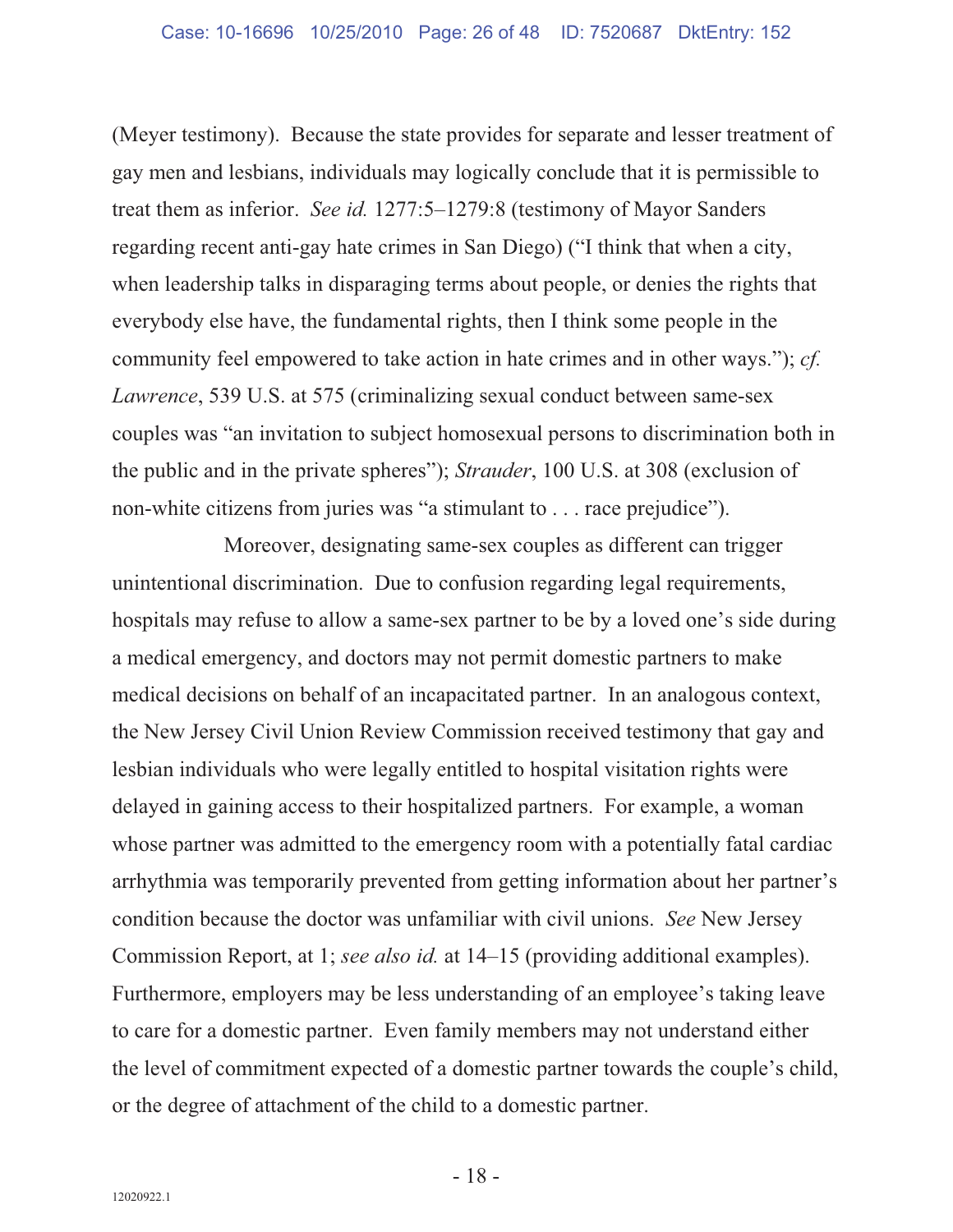(Meyer testimony). Because the state provides for separate and lesser treatment of gay men and lesbians, individuals may logically conclude that it is permissible to treat them as inferior. *See id.* 1277:5–1279:8 (testimony of Mayor Sanders regarding recent anti-gay hate crimes in San Diego) ("I think that when a city, when leadership talks in disparaging terms about people, or denies the rights that everybody else have, the fundamental rights, then I think some people in the community feel empowered to take action in hate crimes and in other ways."); *cf. Lawrence*, 539 U.S. at 575 (criminalizing sexual conduct between same-sex couples was "an invitation to subject homosexual persons to discrimination both in the public and in the private spheres"); *Strauder*, 100 U.S. at 308 (exclusion of non-white citizens from juries was "a stimulant to . . . race prejudice").

Moreover, designating same-sex couples as different can trigger unintentional discrimination. Due to confusion regarding legal requirements, hospitals may refuse to allow a same-sex partner to be by a loved one's side during a medical emergency, and doctors may not permit domestic partners to make medical decisions on behalf of an incapacitated partner. In an analogous context, the New Jersey Civil Union Review Commission received testimony that gay and lesbian individuals who were legally entitled to hospital visitation rights were delayed in gaining access to their hospitalized partners. For example, a woman whose partner was admitted to the emergency room with a potentially fatal cardiac arrhythmia was temporarily prevented from getting information about her partner's condition because the doctor was unfamiliar with civil unions. *See* New Jersey Commission Report, at 1; *see also id.* at 14–15 (providing additional examples). Furthermore, employers may be less understanding of an employee's taking leave to care for a domestic partner. Even family members may not understand either the level of commitment expected of a domestic partner towards the couple's child, or the degree of attachment of the child to a domestic partner.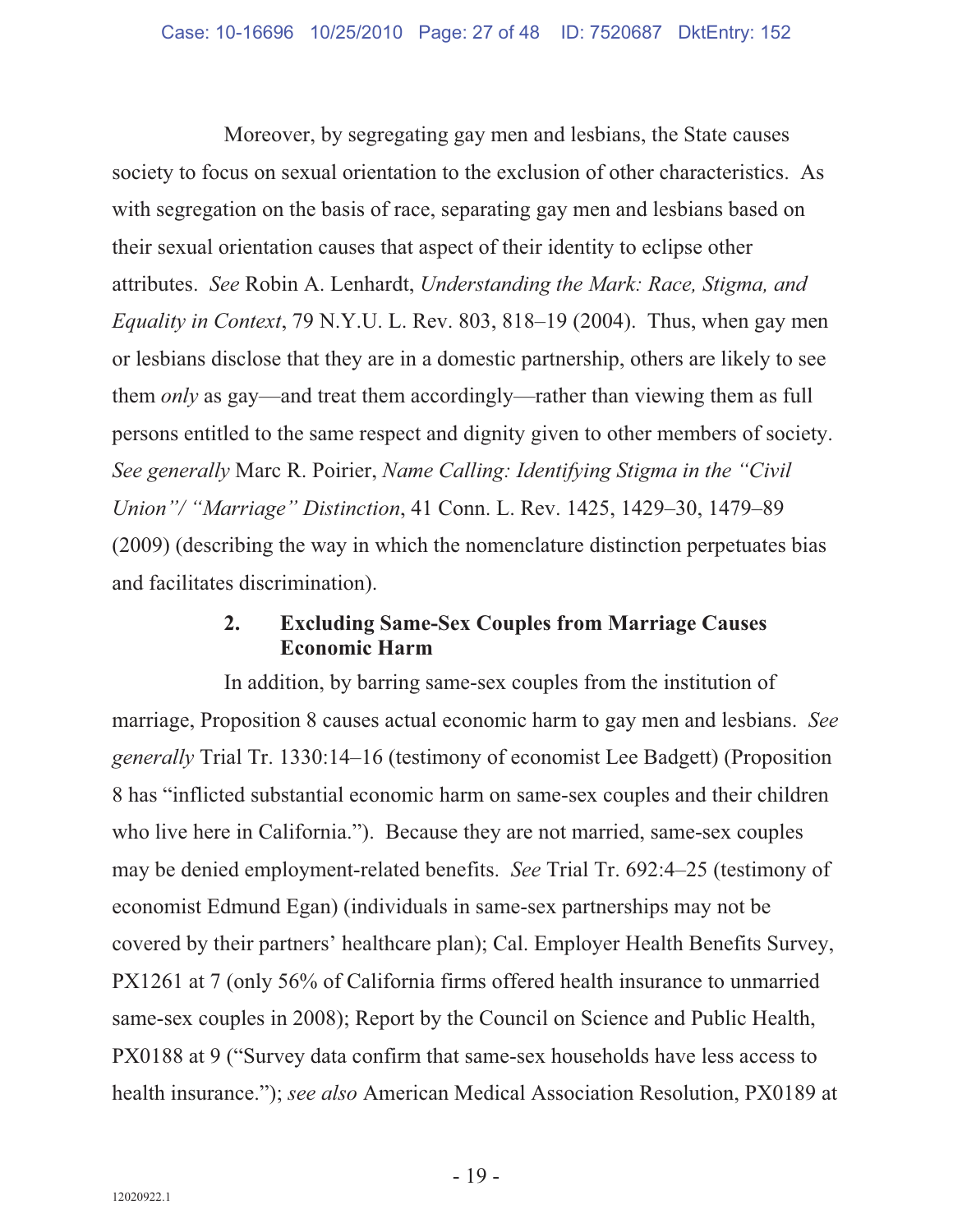Moreover, by segregating gay men and lesbians, the State causes society to focus on sexual orientation to the exclusion of other characteristics. As with segregation on the basis of race, separating gay men and lesbians based on their sexual orientation causes that aspect of their identity to eclipse other attributes. *See* Robin A. Lenhardt, *Understanding the Mark: Race, Stigma, and Equality in Context*, 79 N.Y.U. L. Rev. 803, 818–19 (2004). Thus, when gay men or lesbians disclose that they are in a domestic partnership, others are likely to see them *only* as gay—and treat them accordingly—rather than viewing them as full persons entitled to the same respect and dignity given to other members of society. *See generally* Marc R. Poirier, *Name Calling: Identifying Stigma in the "Civil Union"/ "Marriage" Distinction*, 41 Conn. L. Rev. 1425, 1429–30, 1479–89 (2009) (describing the way in which the nomenclature distinction perpetuates bias and facilitates discrimination).

#### **2. Excluding Same-Sex Couples from Marriage Causes Economic Harm**

In addition, by barring same-sex couples from the institution of marriage, Proposition 8 causes actual economic harm to gay men and lesbians. *See generally* Trial Tr. 1330:14–16 (testimony of economist Lee Badgett) (Proposition 8 has "inflicted substantial economic harm on same-sex couples and their children who live here in California."). Because they are not married, same-sex couples may be denied employment-related benefits. *See* Trial Tr. 692:4–25 (testimony of economist Edmund Egan) (individuals in same-sex partnerships may not be covered by their partners' healthcare plan); Cal. Employer Health Benefits Survey, PX1261 at 7 (only 56% of California firms offered health insurance to unmarried same-sex couples in 2008); Report by the Council on Science and Public Health, PX0188 at 9 ("Survey data confirm that same-sex households have less access to health insurance."); *see also* American Medical Association Resolution, PX0189 at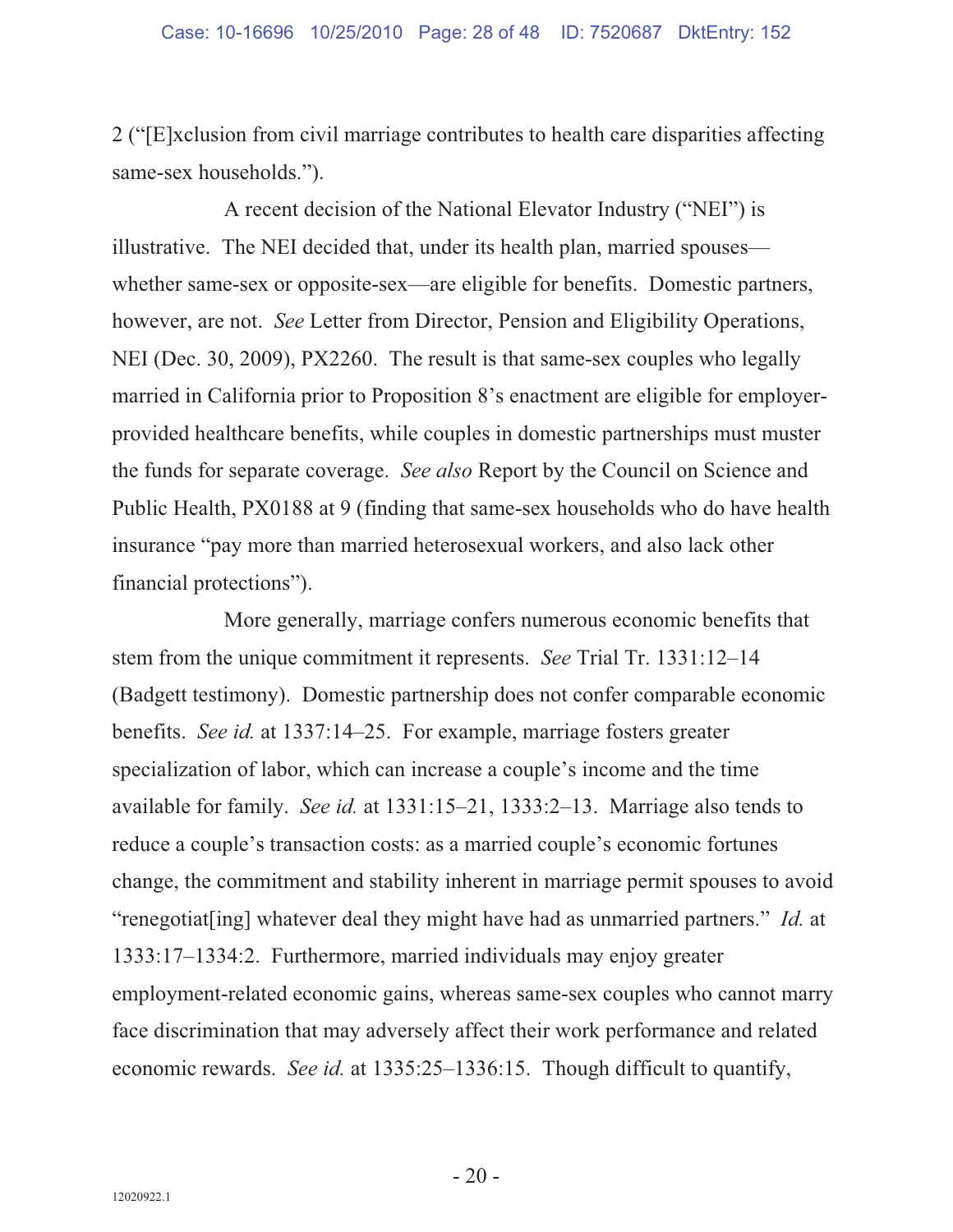2 ("[E]xclusion from civil marriage contributes to health care disparities affecting same-sex households.").

A recent decision of the National Elevator Industry ("NEI") is illustrative. The NEI decided that, under its health plan, married spouses whether same-sex or opposite-sex—are eligible for benefits. Domestic partners, however, are not. *See* Letter from Director, Pension and Eligibility Operations, NEI (Dec. 30, 2009), PX2260. The result is that same-sex couples who legally married in California prior to Proposition 8's enactment are eligible for employerprovided healthcare benefits, while couples in domestic partnerships must muster the funds for separate coverage. *See also* Report by the Council on Science and Public Health, PX0188 at 9 (finding that same-sex households who do have health insurance "pay more than married heterosexual workers, and also lack other financial protections").

More generally, marriage confers numerous economic benefits that stem from the unique commitment it represents. *See* Trial Tr. 1331:12–14 (Badgett testimony). Domestic partnership does not confer comparable economic benefits. *See id.* at 1337:14–25. For example, marriage fosters greater specialization of labor, which can increase a couple's income and the time available for family. *See id.* at 1331:15–21, 1333:2–13. Marriage also tends to reduce a couple's transaction costs: as a married couple's economic fortunes change, the commitment and stability inherent in marriage permit spouses to avoid "renegotiat[ing] whatever deal they might have had as unmarried partners." *Id.* at 1333:17–1334:2. Furthermore, married individuals may enjoy greater employment-related economic gains, whereas same-sex couples who cannot marry face discrimination that may adversely affect their work performance and related economic rewards. *See id.* at 1335:25–1336:15. Though difficult to quantify,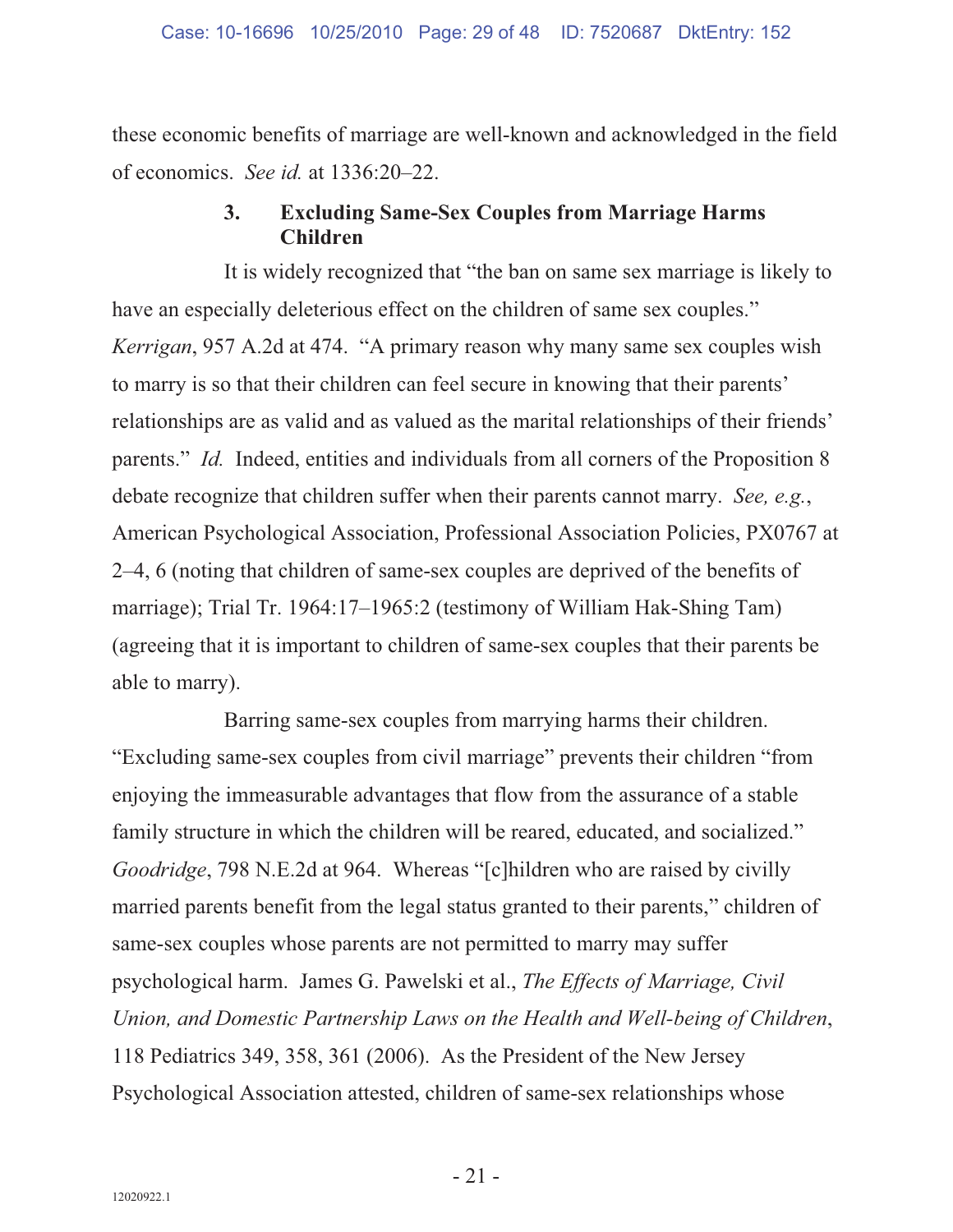these economic benefits of marriage are well-known and acknowledged in the field of economics. *See id.* at 1336:20–22.

#### **3. Excluding Same-Sex Couples from Marriage Harms Children**

It is widely recognized that "the ban on same sex marriage is likely to have an especially deleterious effect on the children of same sex couples." *Kerrigan*, 957 A.2d at 474. "A primary reason why many same sex couples wish to marry is so that their children can feel secure in knowing that their parents' relationships are as valid and as valued as the marital relationships of their friends' parents." *Id.* Indeed, entities and individuals from all corners of the Proposition 8 debate recognize that children suffer when their parents cannot marry. *See, e.g.*, American Psychological Association, Professional Association Policies, PX0767 at 2–4, 6 (noting that children of same-sex couples are deprived of the benefits of marriage); Trial Tr. 1964:17–1965:2 (testimony of William Hak-Shing Tam) (agreeing that it is important to children of same-sex couples that their parents be able to marry).

Barring same-sex couples from marrying harms their children. "Excluding same-sex couples from civil marriage" prevents their children "from enjoying the immeasurable advantages that flow from the assurance of a stable family structure in which the children will be reared, educated, and socialized." *Goodridge*, 798 N.E.2d at 964. Whereas "[c]hildren who are raised by civilly married parents benefit from the legal status granted to their parents," children of same-sex couples whose parents are not permitted to marry may suffer psychological harm. James G. Pawelski et al., *The Effects of Marriage, Civil Union, and Domestic Partnership Laws on the Health and Well-being of Children*, 118 Pediatrics 349, 358, 361 (2006). As the President of the New Jersey Psychological Association attested, children of same-sex relationships whose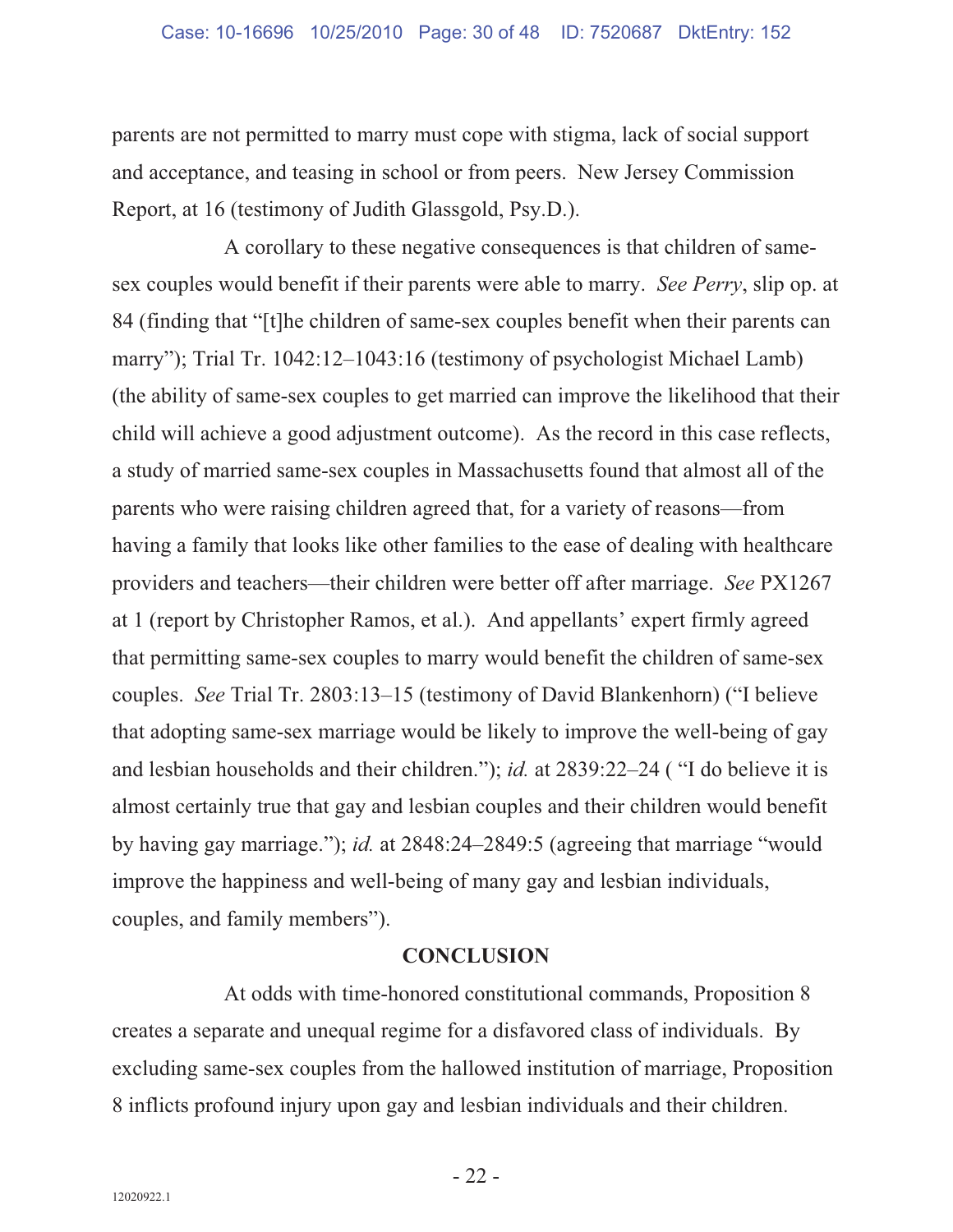parents are not permitted to marry must cope with stigma, lack of social support and acceptance, and teasing in school or from peers. New Jersey Commission Report, at 16 (testimony of Judith Glassgold, Psy.D.).

A corollary to these negative consequences is that children of samesex couples would benefit if their parents were able to marry. *See Perry*, slip op. at 84 (finding that "[t]he children of same-sex couples benefit when their parents can marry"); Trial Tr. 1042:12–1043:16 (testimony of psychologist Michael Lamb) (the ability of same-sex couples to get married can improve the likelihood that their child will achieve a good adjustment outcome). As the record in this case reflects, a study of married same-sex couples in Massachusetts found that almost all of the parents who were raising children agreed that, for a variety of reasons—from having a family that looks like other families to the ease of dealing with healthcare providers and teachers—their children were better off after marriage. *See* PX1267 at 1 (report by Christopher Ramos, et al.). And appellants' expert firmly agreed that permitting same-sex couples to marry would benefit the children of same-sex couples. *See* Trial Tr. 2803:13–15 (testimony of David Blankenhorn) ("I believe that adopting same-sex marriage would be likely to improve the well-being of gay and lesbian households and their children."); *id.* at 2839:22–24 ( "I do believe it is almost certainly true that gay and lesbian couples and their children would benefit by having gay marriage."); *id.* at 2848:24–2849:5 (agreeing that marriage "would improve the happiness and well-being of many gay and lesbian individuals, couples, and family members").

#### **CONCLUSION**

At odds with time-honored constitutional commands, Proposition 8 creates a separate and unequal regime for a disfavored class of individuals. By excluding same-sex couples from the hallowed institution of marriage, Proposition 8 inflicts profound injury upon gay and lesbian individuals and their children.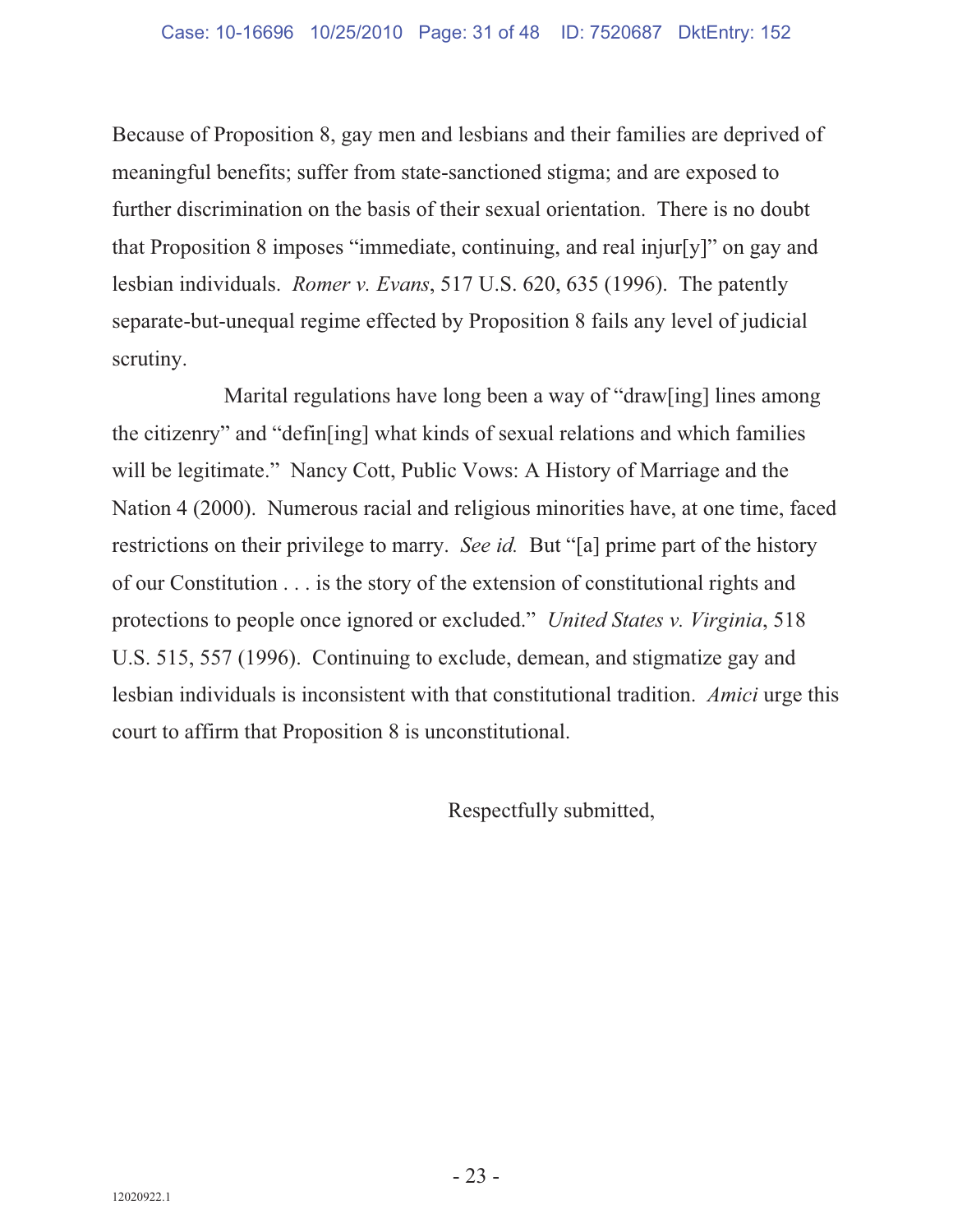Because of Proposition 8, gay men and lesbians and their families are deprived of meaningful benefits; suffer from state-sanctioned stigma; and are exposed to further discrimination on the basis of their sexual orientation. There is no doubt that Proposition 8 imposes "immediate, continuing, and real injur[y]" on gay and lesbian individuals. *Romer v. Evans*, 517 U.S. 620, 635 (1996). The patently separate-but-unequal regime effected by Proposition 8 fails any level of judicial scrutiny.

Marital regulations have long been a way of "draw[ing] lines among the citizenry" and "defin[ing] what kinds of sexual relations and which families will be legitimate." Nancy Cott, Public Vows: A History of Marriage and the Nation 4 (2000). Numerous racial and religious minorities have, at one time, faced restrictions on their privilege to marry. *See id.* But "[a] prime part of the history of our Constitution . . . is the story of the extension of constitutional rights and protections to people once ignored or excluded." *United States v. Virginia*, 518 U.S. 515, 557 (1996). Continuing to exclude, demean, and stigmatize gay and lesbian individuals is inconsistent with that constitutional tradition. *Amici* urge this court to affirm that Proposition 8 is unconstitutional.

Respectfully submitted,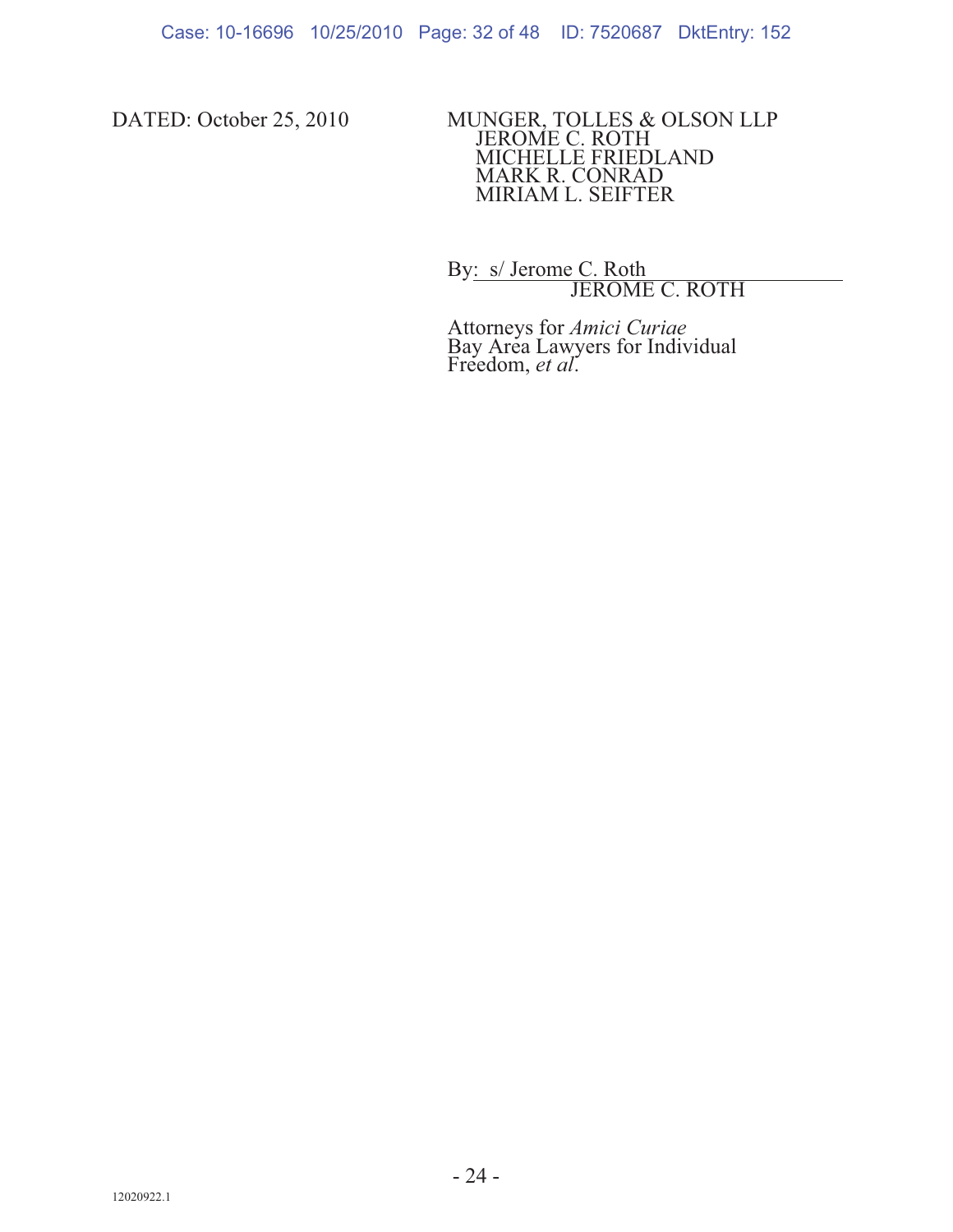DATED: October 25, 2010 MUNGER, TOLLES & OLSON LLP JEROME C. ROTH MICHELLE FRIEDLAND MARK R. CONRAD MIRIAM L. SEIFTER

> By: s/ Jerome C. Roth JEROME C. ROTH

Attorneys for *Amici Curiae* Bay Area Lawyers for Individual Freedom, *et al*.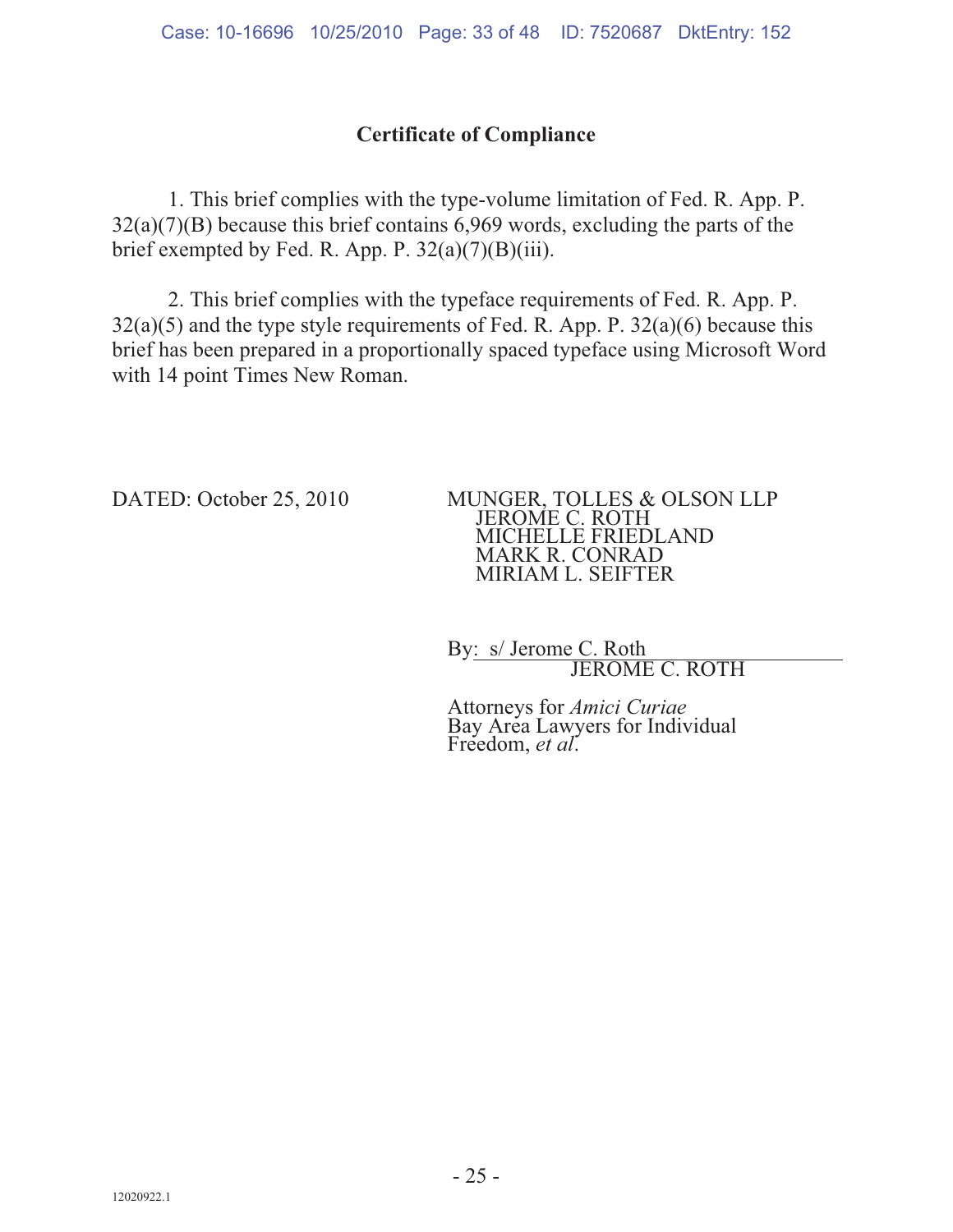#### **Certificate of Compliance**

 1. This brief complies with the type-volume limitation of Fed. R. App. P. 32(a)(7)(B) because this brief contains 6,969 words, excluding the parts of the brief exempted by Fed. R. App. P.  $32(a)(7)(B)(iii)$ .

 2. This brief complies with the typeface requirements of Fed. R. App. P.  $32(a)(5)$  and the type style requirements of Fed. R. App. P.  $32(a)(6)$  because this brief has been prepared in a proportionally spaced typeface using Microsoft Word with 14 point Times New Roman.

DATED: October 25, 2010 MUNGER, TOLLES & OLSON LLP JEROME C. ROTH MICHELLE FRIEDLAND MARK R. CONRAD MIRIAM L. SEIFTER

> By: s/ Jerome C. Roth JEROME C. ROTH

Attorneys for *Amici Curiae* Bay Area Lawyers for Individual Freedom, *et al*.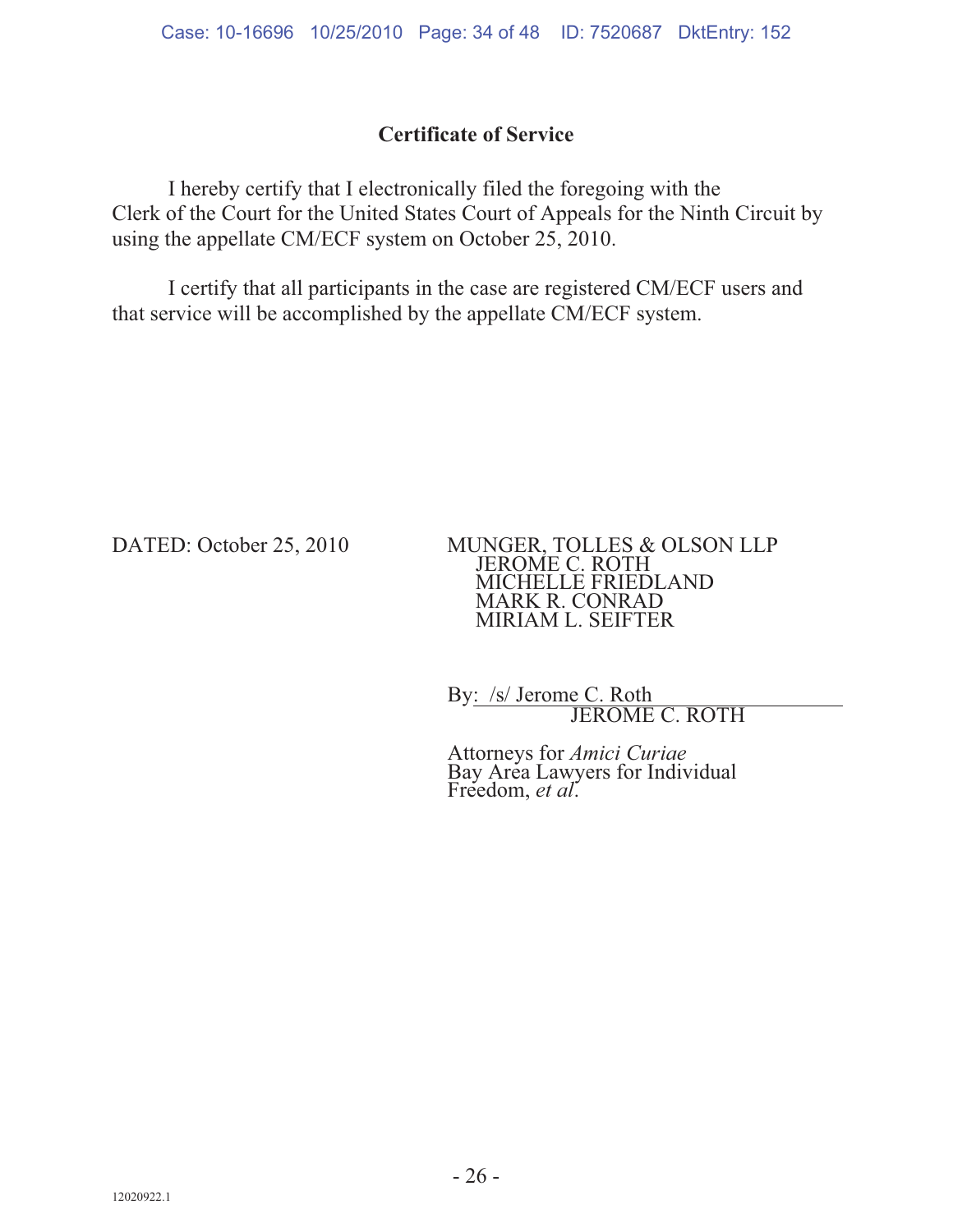#### **Certificate of Service**

 I hereby certify that I electronically filed the foregoing with the Clerk of the Court for the United States Court of Appeals for the Ninth Circuit by using the appellate CM/ECF system on October 25, 2010.

 I certify that all participants in the case are registered CM/ECF users and that service will be accomplished by the appellate CM/ECF system.

DATED: October 25, 2010 MUNGER, TOLLES & OLSON LLP JEROME C. ROTH MICHELLE FRIEDLAND MARK R. CONRAD MIRIAM L. SEIFTER

> By: /s/ Jerome C. Roth JEROME C. ROTH

Attorneys for *Amici Curiae* Bay Area Lawyers for Individual Freedom, *et al*.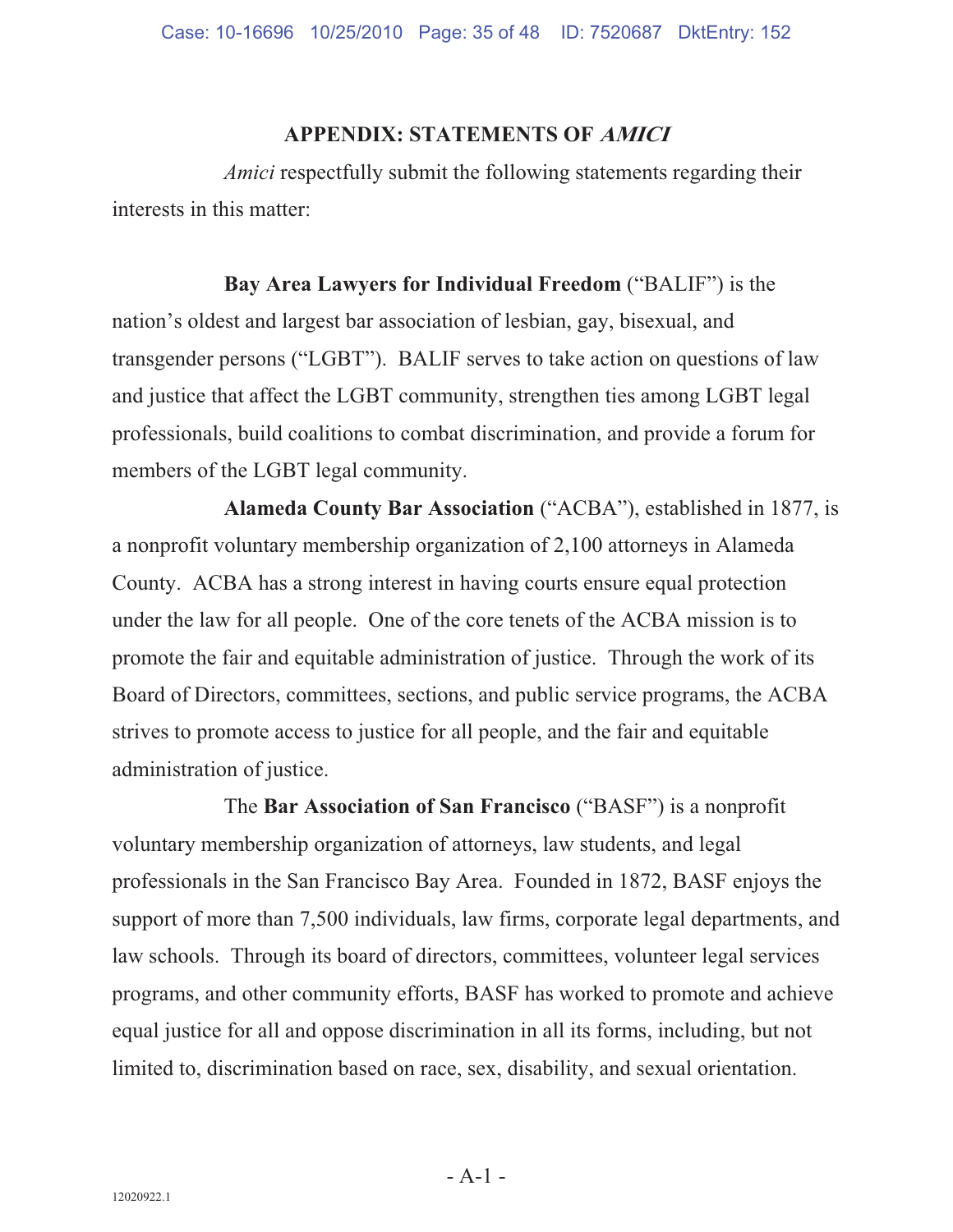#### **APPENDIX: STATEMENTS OF AMICI**

*Amici* respectfully submit the following statements regarding their interests in this matter:

#### **Bay Area Lawyers for Individual Freedom** ("BALIF") is the

nation's oldest and largest bar association of lesbian, gay, bisexual, and transgender persons ("LGBT"). BALIF serves to take action on questions of law and justice that affect the LGBT community, strengthen ties among LGBT legal professionals, build coalitions to combat discrimination, and provide a forum for members of the LGBT legal community.

**Alameda County Bar Association** ("ACBA"), established in 1877, is a nonprofit voluntary membership organization of 2,100 attorneys in Alameda County. ACBA has a strong interest in having courts ensure equal protection under the law for all people. One of the core tenets of the ACBA mission is to promote the fair and equitable administration of justice. Through the work of its Board of Directors, committees, sections, and public service programs, the ACBA strives to promote access to justice for all people, and the fair and equitable administration of justice.

The **Bar Association of San Francisco** ("BASF") is a nonprofit voluntary membership organization of attorneys, law students, and legal professionals in the San Francisco Bay Area. Founded in 1872, BASF enjoys the support of more than 7,500 individuals, law firms, corporate legal departments, and law schools. Through its board of directors, committees, volunteer legal services programs, and other community efforts, BASF has worked to promote and achieve equal justice for all and oppose discrimination in all its forms, including, but not limited to, discrimination based on race, sex, disability, and sexual orientation.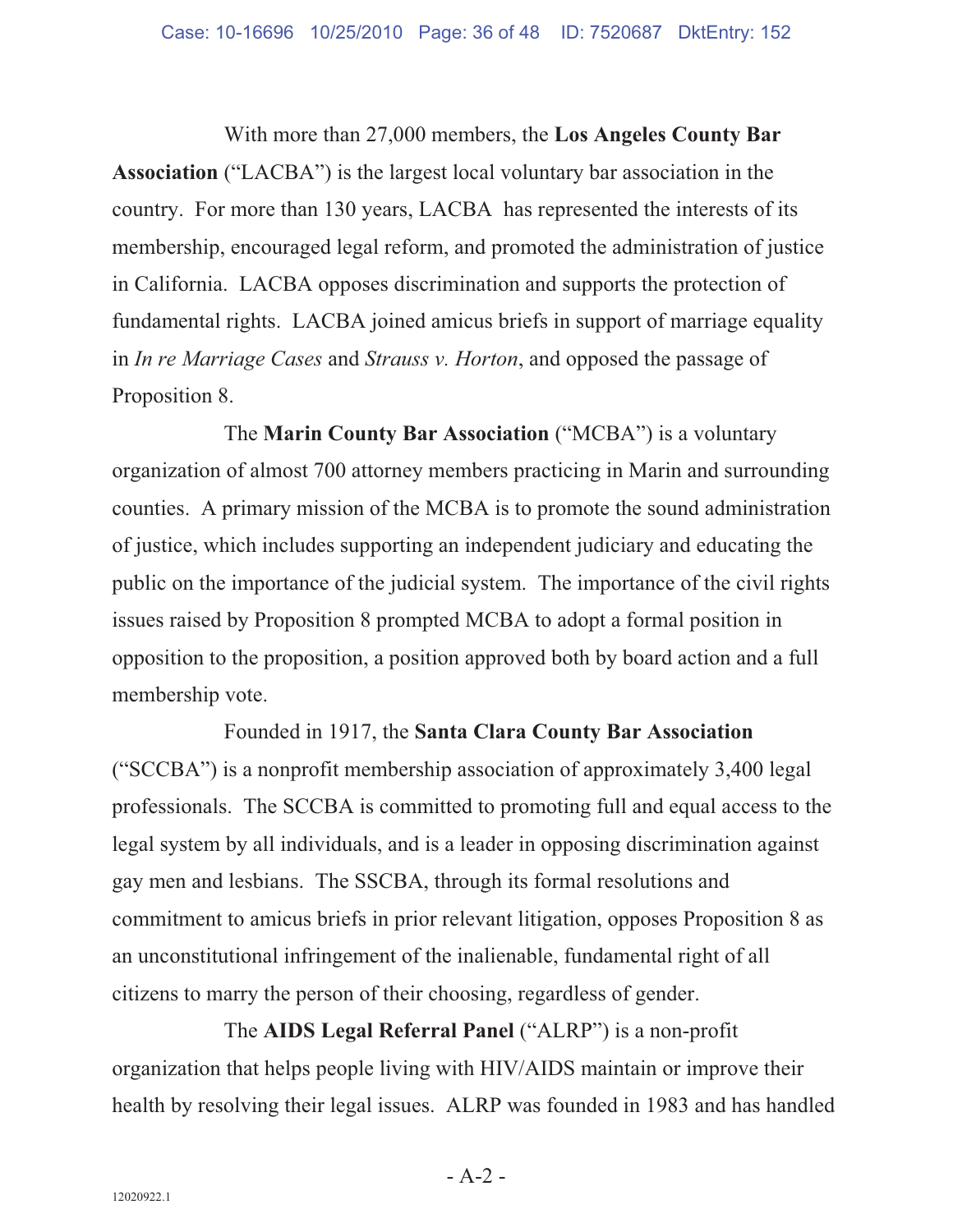With more than 27,000 members, the **Los Angeles County Bar Association** ("LACBA") is the largest local voluntary bar association in the country. For more than 130 years, LACBA has represented the interests of its membership, encouraged legal reform, and promoted the administration of justice in California. LACBA opposes discrimination and supports the protection of fundamental rights. LACBA joined amicus briefs in support of marriage equality in *In re Marriage Cases* and *Strauss v. Horton*, and opposed the passage of Proposition 8.

The **Marin County Bar Association** ("MCBA") is a voluntary organization of almost 700 attorney members practicing in Marin and surrounding counties. A primary mission of the MCBA is to promote the sound administration of justice, which includes supporting an independent judiciary and educating the public on the importance of the judicial system. The importance of the civil rights issues raised by Proposition 8 prompted MCBA to adopt a formal position in opposition to the proposition, a position approved both by board action and a full membership vote.

Founded in 1917, the **Santa Clara County Bar Association** ("SCCBA") is a nonprofit membership association of approximately 3,400 legal professionals. The SCCBA is committed to promoting full and equal access to the legal system by all individuals, and is a leader in opposing discrimination against gay men and lesbians. The SSCBA, through its formal resolutions and commitment to amicus briefs in prior relevant litigation, opposes Proposition 8 as an unconstitutional infringement of the inalienable, fundamental right of all citizens to marry the person of their choosing, regardless of gender.

The **AIDS Legal Referral Panel** ("ALRP") is a non-profit organization that helps people living with HIV/AIDS maintain or improve their health by resolving their legal issues. ALRP was founded in 1983 and has handled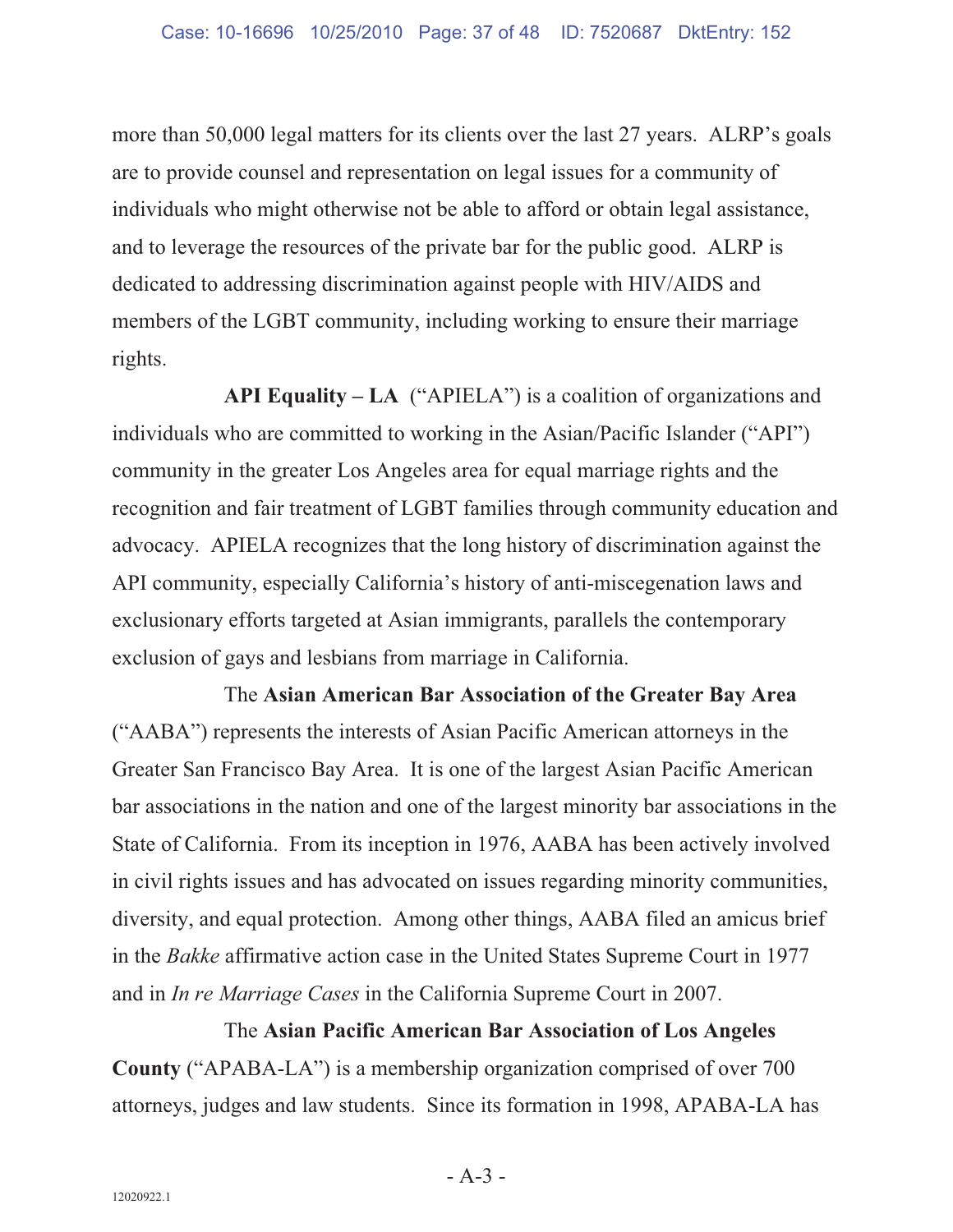more than 50,000 legal matters for its clients over the last 27 years. ALRP's goals are to provide counsel and representation on legal issues for a community of individuals who might otherwise not be able to afford or obtain legal assistance, and to leverage the resources of the private bar for the public good. ALRP is dedicated to addressing discrimination against people with HIV/AIDS and members of the LGBT community, including working to ensure their marriage rights.

**API Equality – LA** ("APIELA") is a coalition of organizations and individuals who are committed to working in the Asian/Pacific Islander ("API") community in the greater Los Angeles area for equal marriage rights and the recognition and fair treatment of LGBT families through community education and advocacy. APIELA recognizes that the long history of discrimination against the API community, especially California's history of anti-miscegenation laws and exclusionary efforts targeted at Asian immigrants, parallels the contemporary exclusion of gays and lesbians from marriage in California.

The **Asian American Bar Association of the Greater Bay Area** ("AABA") represents the interests of Asian Pacific American attorneys in the Greater San Francisco Bay Area. It is one of the largest Asian Pacific American bar associations in the nation and one of the largest minority bar associations in the State of California. From its inception in 1976, AABA has been actively involved in civil rights issues and has advocated on issues regarding minority communities, diversity, and equal protection. Among other things, AABA filed an amicus brief in the *Bakke* affirmative action case in the United States Supreme Court in 1977 and in *In re Marriage Cases* in the California Supreme Court in 2007.

The **Asian Pacific American Bar Association of Los Angeles County** ("APABA-LA") is a membership organization comprised of over 700 attorneys, judges and law students. Since its formation in 1998, APABA-LA has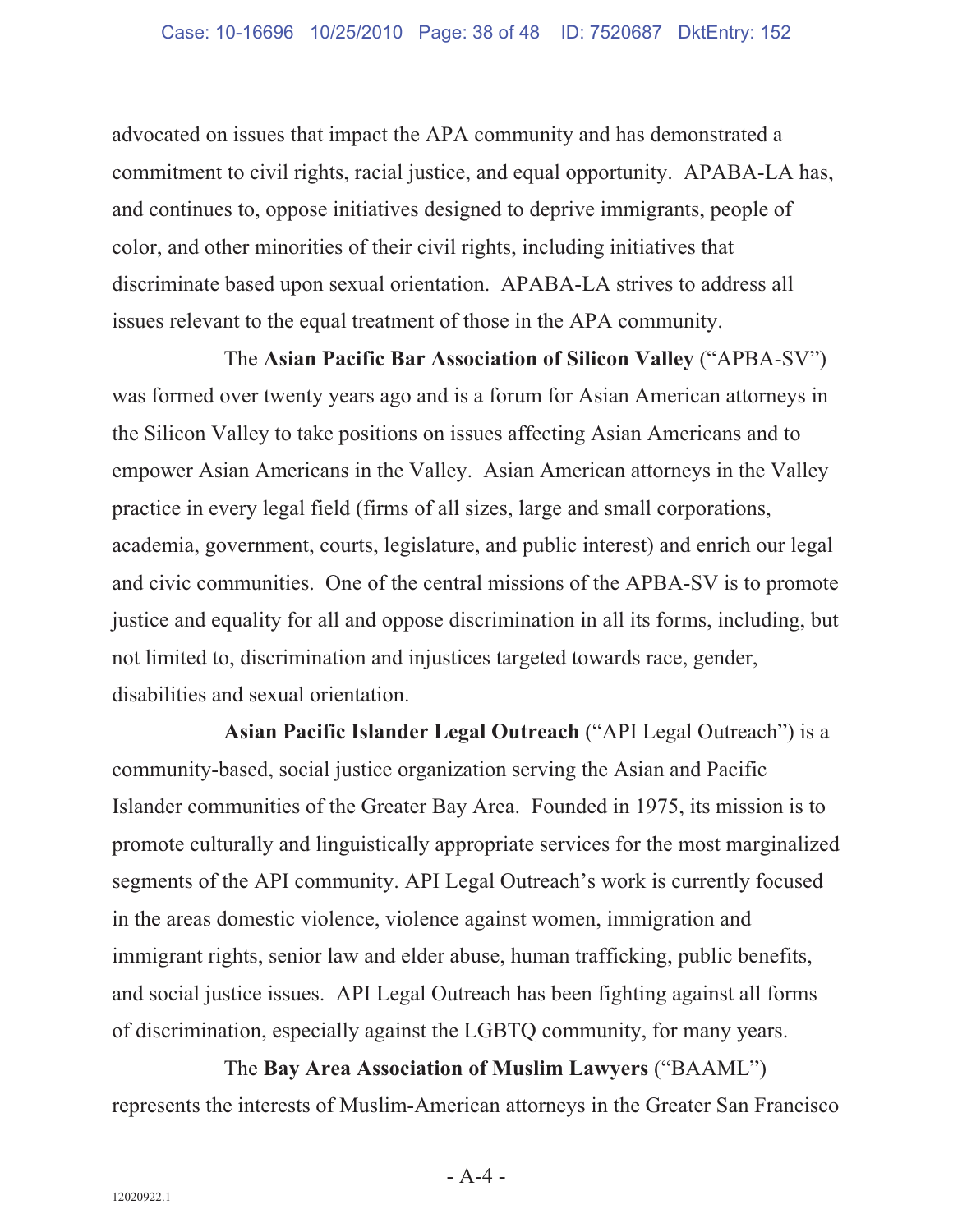advocated on issues that impact the APA community and has demonstrated a commitment to civil rights, racial justice, and equal opportunity. APABA-LA has, and continues to, oppose initiatives designed to deprive immigrants, people of color, and other minorities of their civil rights, including initiatives that discriminate based upon sexual orientation. APABA-LA strives to address all issues relevant to the equal treatment of those in the APA community.

The **Asian Pacific Bar Association of Silicon Valley** ("APBA-SV") was formed over twenty years ago and is a forum for Asian American attorneys in the Silicon Valley to take positions on issues affecting Asian Americans and to empower Asian Americans in the Valley. Asian American attorneys in the Valley practice in every legal field (firms of all sizes, large and small corporations, academia, government, courts, legislature, and public interest) and enrich our legal and civic communities. One of the central missions of the APBA-SV is to promote justice and equality for all and oppose discrimination in all its forms, including, but not limited to, discrimination and injustices targeted towards race, gender, disabilities and sexual orientation.

**Asian Pacific Islander Legal Outreach** ("API Legal Outreach") is a community-based, social justice organization serving the Asian and Pacific Islander communities of the Greater Bay Area. Founded in 1975, its mission is to promote culturally and linguistically appropriate services for the most marginalized segments of the API community. API Legal Outreach's work is currently focused in the areas domestic violence, violence against women, immigration and immigrant rights, senior law and elder abuse, human trafficking, public benefits, and social justice issues. API Legal Outreach has been fighting against all forms of discrimination, especially against the LGBTQ community, for many years.

The **Bay Area Association of Muslim Lawyers** ("BAAML") represents the interests of Muslim-American attorneys in the Greater San Francisco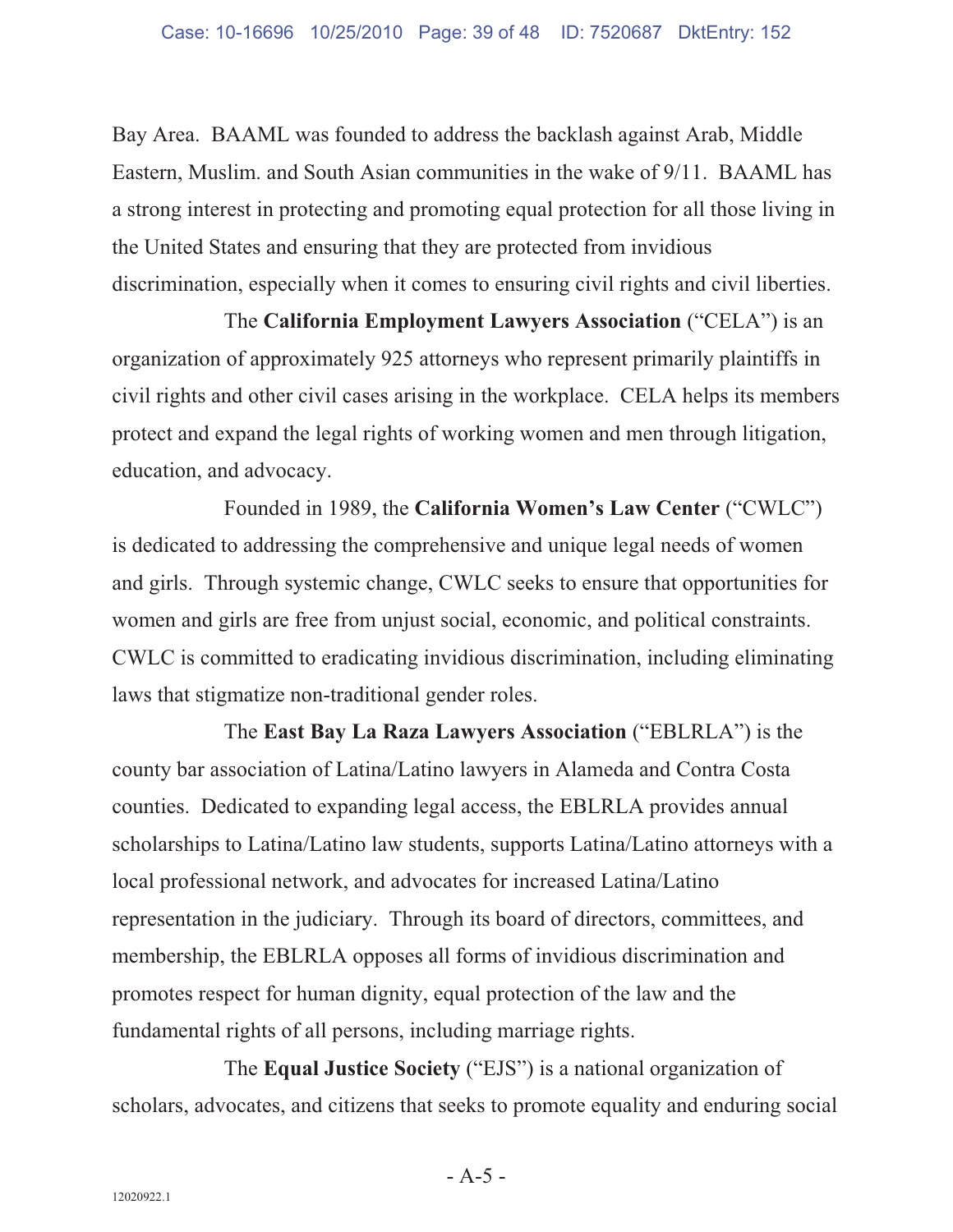Bay Area. BAAML was founded to address the backlash against Arab, Middle Eastern, Muslim. and South Asian communities in the wake of 9/11. BAAML has a strong interest in protecting and promoting equal protection for all those living in the United States and ensuring that they are protected from invidious discrimination, especially when it comes to ensuring civil rights and civil liberties.

The **California Employment Lawyers Association** ("CELA") is an organization of approximately 925 attorneys who represent primarily plaintiffs in civil rights and other civil cases arising in the workplace. CELA helps its members protect and expand the legal rights of working women and men through litigation, education, and advocacy.

Founded in 1989, the **California Women's Law Center** ("CWLC") is dedicated to addressing the comprehensive and unique legal needs of women and girls. Through systemic change, CWLC seeks to ensure that opportunities for women and girls are free from unjust social, economic, and political constraints. CWLC is committed to eradicating invidious discrimination, including eliminating laws that stigmatize non-traditional gender roles.

The **East Bay La Raza Lawyers Association** ("EBLRLA") is the county bar association of Latina/Latino lawyers in Alameda and Contra Costa counties. Dedicated to expanding legal access, the EBLRLA provides annual scholarships to Latina/Latino law students, supports Latina/Latino attorneys with a local professional network, and advocates for increased Latina/Latino representation in the judiciary. Through its board of directors, committees, and membership, the EBLRLA opposes all forms of invidious discrimination and promotes respect for human dignity, equal protection of the law and the fundamental rights of all persons, including marriage rights.

The **Equal Justice Society** ("EJS") is a national organization of scholars, advocates, and citizens that seeks to promote equality and enduring social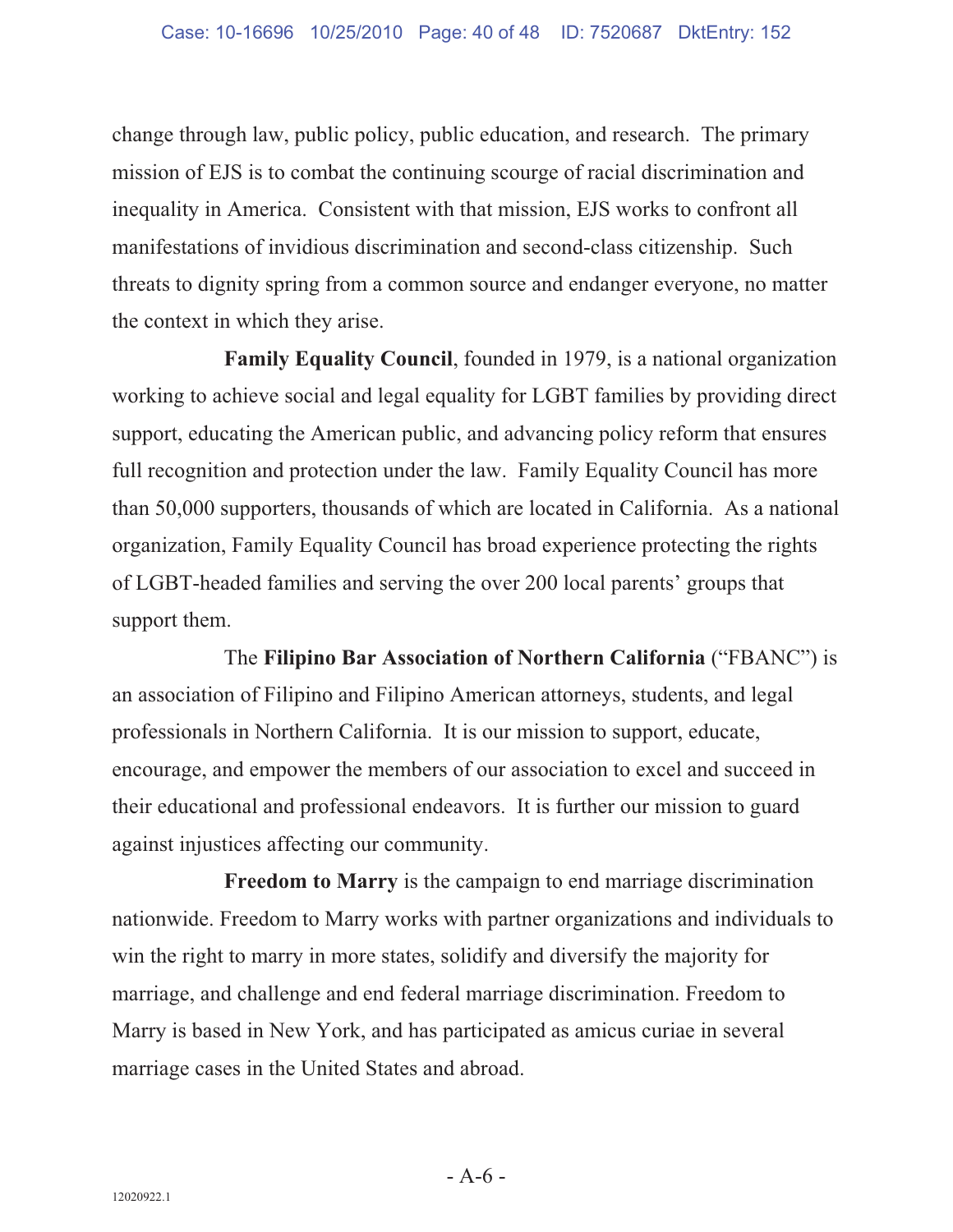change through law, public policy, public education, and research. The primary mission of EJS is to combat the continuing scourge of racial discrimination and inequality in America. Consistent with that mission, EJS works to confront all manifestations of invidious discrimination and second-class citizenship. Such threats to dignity spring from a common source and endanger everyone, no matter the context in which they arise.

**Family Equality Council**, founded in 1979, is a national organization working to achieve social and legal equality for LGBT families by providing direct support, educating the American public, and advancing policy reform that ensures full recognition and protection under the law. Family Equality Council has more than 50,000 supporters, thousands of which are located in California. As a national organization, Family Equality Council has broad experience protecting the rights of LGBT-headed families and serving the over 200 local parents' groups that support them.

The **Filipino Bar Association of Northern California** ("FBANC") is an association of Filipino and Filipino American attorneys, students, and legal professionals in Northern California. It is our mission to support, educate, encourage, and empower the members of our association to excel and succeed in their educational and professional endeavors. It is further our mission to guard against injustices affecting our community.

**Freedom to Marry** is the campaign to end marriage discrimination nationwide. Freedom to Marry works with partner organizations and individuals to win the right to marry in more states, solidify and diversify the majority for marriage, and challenge and end federal marriage discrimination. Freedom to Marry is based in New York, and has participated as amicus curiae in several marriage cases in the United States and abroad.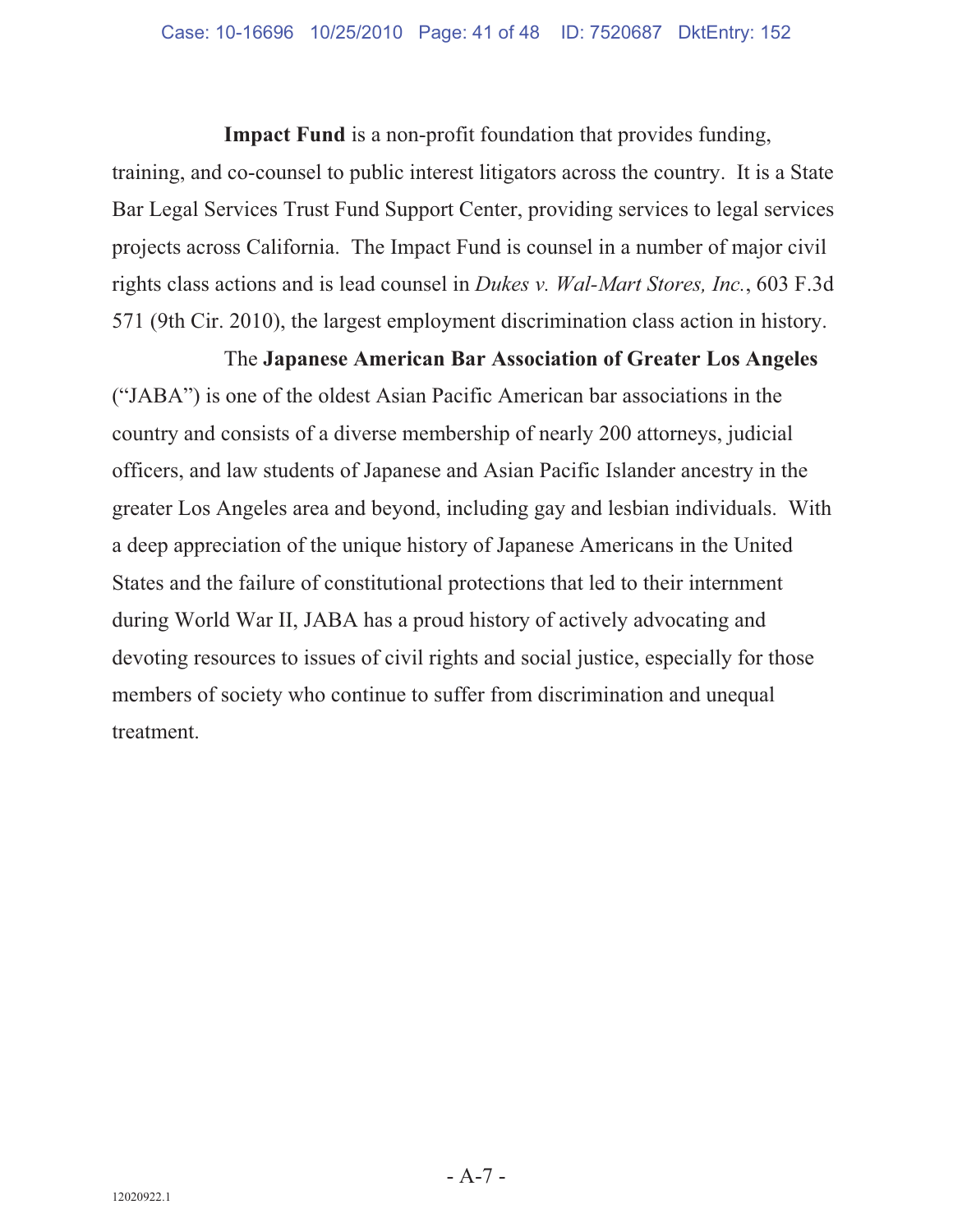**Impact Fund** is a non-profit foundation that provides funding, training, and co-counsel to public interest litigators across the country. It is a State Bar Legal Services Trust Fund Support Center, providing services to legal services projects across California. The Impact Fund is counsel in a number of major civil rights class actions and is lead counsel in *Dukes v. Wal-Mart Stores, Inc.*, 603 F.3d

571 (9th Cir. 2010), the largest employment discrimination class action in history. The **Japanese American Bar Association of Greater Los Angeles**  ("JABA") is one of the oldest Asian Pacific American bar associations in the country and consists of a diverse membership of nearly 200 attorneys, judicial officers, and law students of Japanese and Asian Pacific Islander ancestry in the

greater Los Angeles area and beyond, including gay and lesbian individuals. With a deep appreciation of the unique history of Japanese Americans in the United States and the failure of constitutional protections that led to their internment during World War II, JABA has a proud history of actively advocating and devoting resources to issues of civil rights and social justice, especially for those members of society who continue to suffer from discrimination and unequal treatment.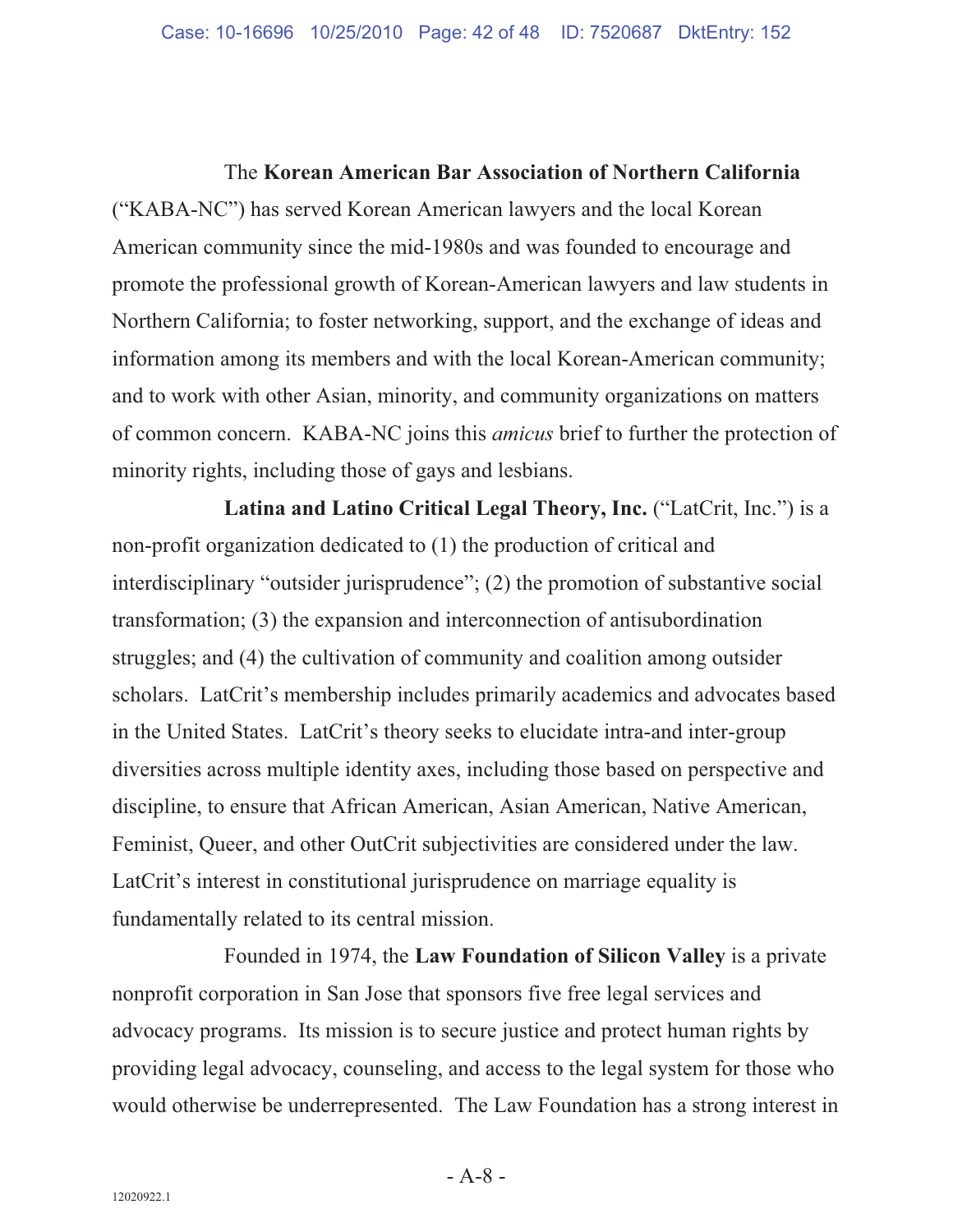The **Korean American Bar Association of Northern California**  ("KABA-NC") has served Korean American lawyers and the local Korean American community since the mid-1980s and was founded to encourage and promote the professional growth of Korean-American lawyers and law students in Northern California; to foster networking, support, and the exchange of ideas and information among its members and with the local Korean-American community; and to work with other Asian, minority, and community organizations on matters of common concern. KABA-NC joins this *amicus* brief to further the protection of minority rights, including those of gays and lesbians.

**Latina and Latino Critical Legal Theory, Inc.** ("LatCrit, Inc.") is a non-profit organization dedicated to (1) the production of critical and interdisciplinary "outsider jurisprudence"; (2) the promotion of substantive social transformation; (3) the expansion and interconnection of antisubordination struggles; and (4) the cultivation of community and coalition among outsider scholars. LatCrit's membership includes primarily academics and advocates based in the United States. LatCrit's theory seeks to elucidate intra-and inter-group diversities across multiple identity axes, including those based on perspective and discipline, to ensure that African American, Asian American, Native American, Feminist, Queer, and other OutCrit subjectivities are considered under the law. LatCrit's interest in constitutional jurisprudence on marriage equality is fundamentally related to its central mission.

Founded in 1974, the **Law Foundation of Silicon Valley** is a private nonprofit corporation in San Jose that sponsors five free legal services and advocacy programs. Its mission is to secure justice and protect human rights by providing legal advocacy, counseling, and access to the legal system for those who would otherwise be underrepresented. The Law Foundation has a strong interest in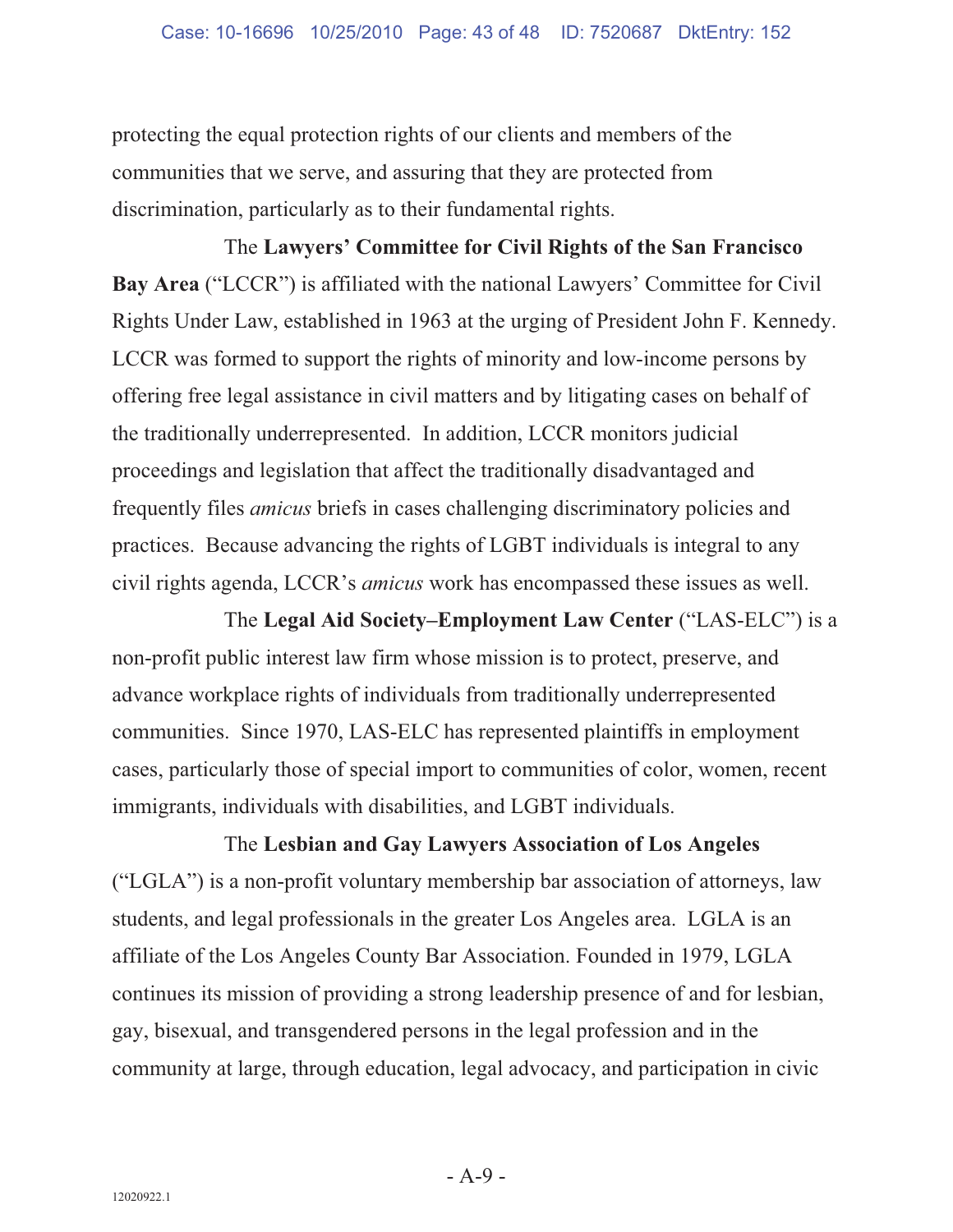protecting the equal protection rights of our clients and members of the communities that we serve, and assuring that they are protected from discrimination, particularly as to their fundamental rights.

The **Lawyers' Committee for Civil Rights of the San Francisco Bay Area** ("LCCR") is affiliated with the national Lawyers' Committee for Civil Rights Under Law, established in 1963 at the urging of President John F. Kennedy. LCCR was formed to support the rights of minority and low-income persons by offering free legal assistance in civil matters and by litigating cases on behalf of the traditionally underrepresented. In addition, LCCR monitors judicial proceedings and legislation that affect the traditionally disadvantaged and frequently files *amicus* briefs in cases challenging discriminatory policies and practices. Because advancing the rights of LGBT individuals is integral to any civil rights agenda, LCCR's *amicus* work has encompassed these issues as well.

The **Legal Aid Society–Employment Law Center** ("LAS-ELC") is a non-profit public interest law firm whose mission is to protect, preserve, and advance workplace rights of individuals from traditionally underrepresented communities. Since 1970, LAS-ELC has represented plaintiffs in employment cases, particularly those of special import to communities of color, women, recent immigrants, individuals with disabilities, and LGBT individuals.

The **Lesbian and Gay Lawyers Association of Los Angeles** ("LGLA") is a non-profit voluntary membership bar association of attorneys, law students, and legal professionals in the greater Los Angeles area. LGLA is an affiliate of the Los Angeles County Bar Association. Founded in 1979, LGLA continues its mission of providing a strong leadership presence of and for lesbian, gay, bisexual, and transgendered persons in the legal profession and in the community at large, through education, legal advocacy, and participation in civic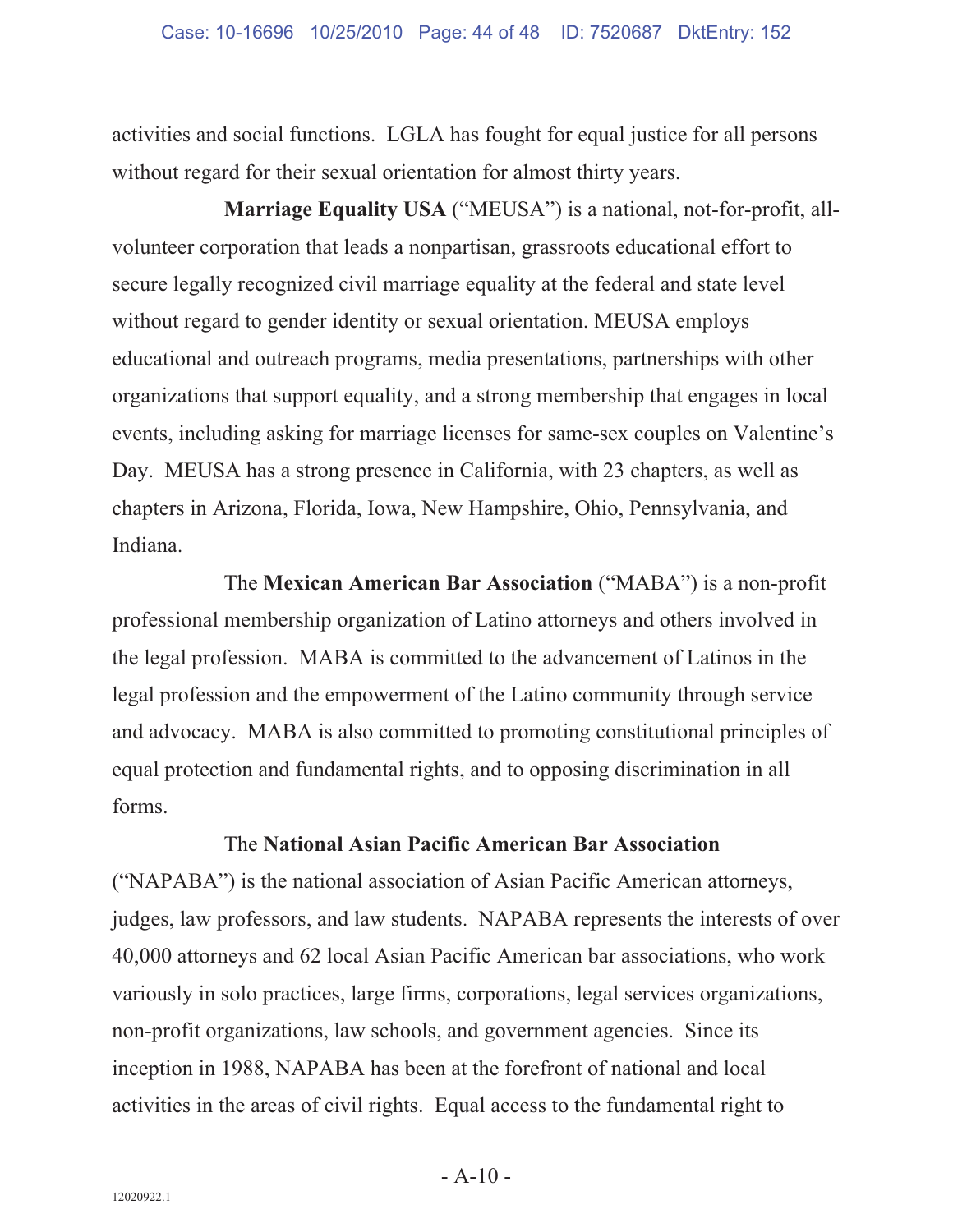activities and social functions. LGLA has fought for equal justice for all persons without regard for their sexual orientation for almost thirty years.

**Marriage Equality USA** ("MEUSA") is a national, not-for-profit, allvolunteer corporation that leads a nonpartisan, grassroots educational effort to secure legally recognized civil marriage equality at the federal and state level without regard to gender identity or sexual orientation. MEUSA employs educational and outreach programs, media presentations, partnerships with other organizations that support equality, and a strong membership that engages in local events, including asking for marriage licenses for same-sex couples on Valentine's Day. MEUSA has a strong presence in California, with 23 chapters, as well as chapters in Arizona, Florida, Iowa, New Hampshire, Ohio, Pennsylvania, and Indiana.

The **Mexican American Bar Association** ("MABA") is a non-profit professional membership organization of Latino attorneys and others involved in the legal profession. MABA is committed to the advancement of Latinos in the legal profession and the empowerment of the Latino community through service and advocacy. MABA is also committed to promoting constitutional principles of equal protection and fundamental rights, and to opposing discrimination in all forms.

#### The **National Asian Pacific American Bar Association**

("NAPABA") is the national association of Asian Pacific American attorneys, judges, law professors, and law students. NAPABA represents the interests of over 40,000 attorneys and 62 local Asian Pacific American bar associations, who work variously in solo practices, large firms, corporations, legal services organizations, non-profit organizations, law schools, and government agencies. Since its inception in 1988, NAPABA has been at the forefront of national and local activities in the areas of civil rights. Equal access to the fundamental right to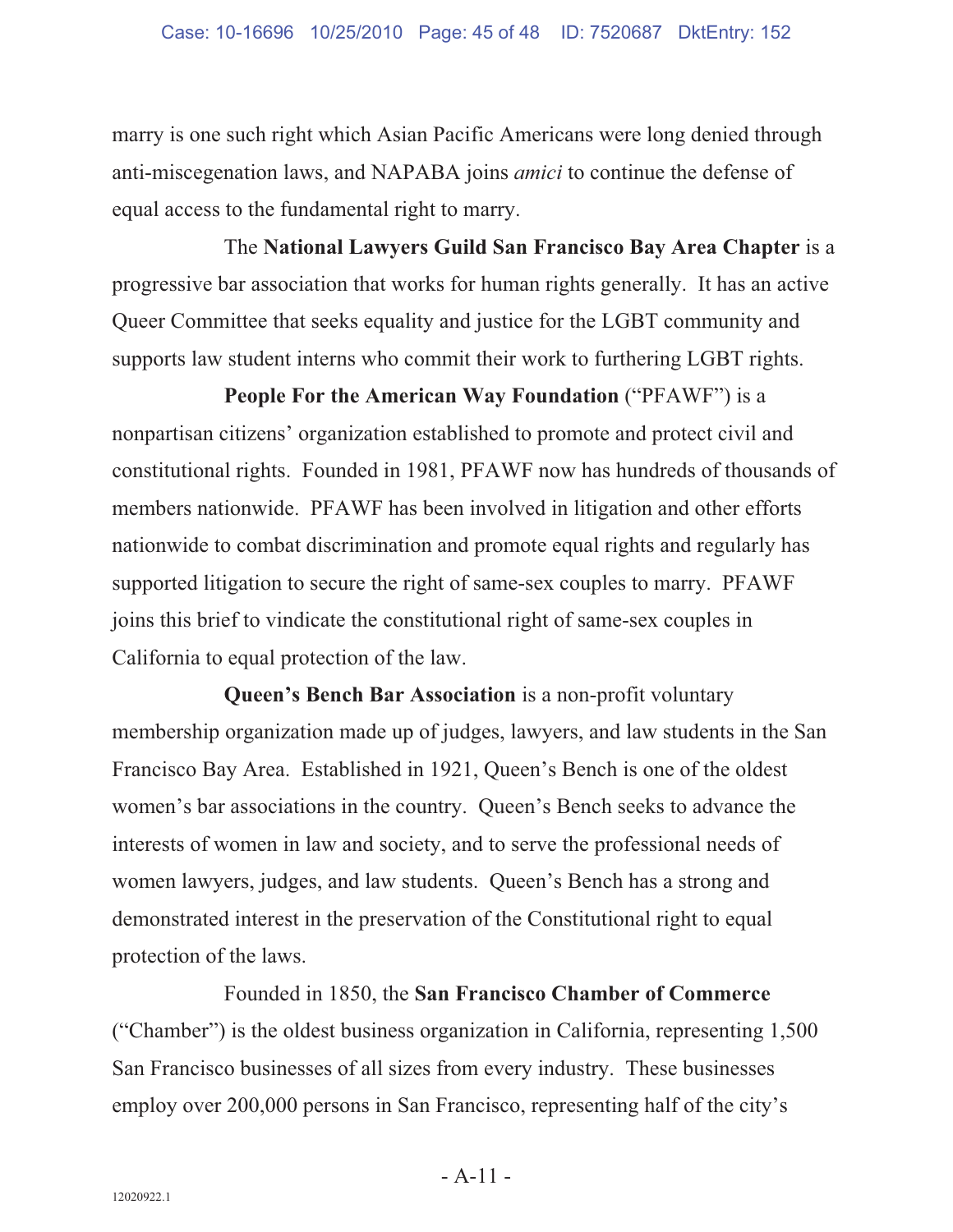marry is one such right which Asian Pacific Americans were long denied through anti-miscegenation laws, and NAPABA joins *amici* to continue the defense of equal access to the fundamental right to marry.

The **National Lawyers Guild San Francisco Bay Area Chapter** is a progressive bar association that works for human rights generally. It has an active Queer Committee that seeks equality and justice for the LGBT community and supports law student interns who commit their work to furthering LGBT rights.

**People For the American Way Foundation** ("PFAWF") is a nonpartisan citizens' organization established to promote and protect civil and constitutional rights. Founded in 1981, PFAWF now has hundreds of thousands of members nationwide. PFAWF has been involved in litigation and other efforts nationwide to combat discrimination and promote equal rights and regularly has supported litigation to secure the right of same-sex couples to marry. PFAWF joins this brief to vindicate the constitutional right of same-sex couples in California to equal protection of the law.

**Queen's Bench Bar Association** is a non-profit voluntary membership organization made up of judges, lawyers, and law students in the San Francisco Bay Area. Established in 1921, Queen's Bench is one of the oldest women's bar associations in the country. Queen's Bench seeks to advance the interests of women in law and society, and to serve the professional needs of women lawyers, judges, and law students. Queen's Bench has a strong and demonstrated interest in the preservation of the Constitutional right to equal protection of the laws.

Founded in 1850, the **San Francisco Chamber of Commerce**  ("Chamber") is the oldest business organization in California, representing 1,500 San Francisco businesses of all sizes from every industry. These businesses employ over 200,000 persons in San Francisco, representing half of the city's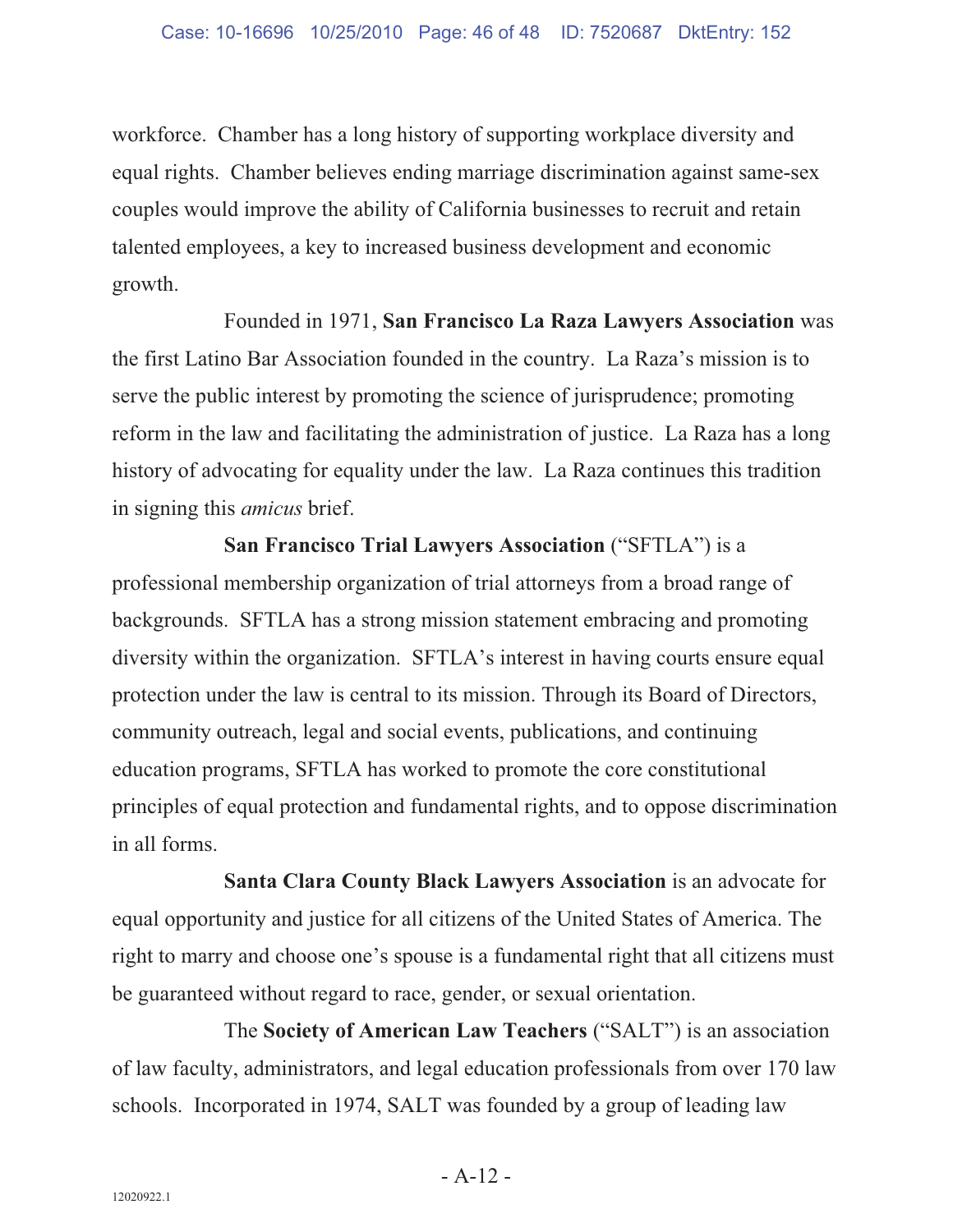workforce. Chamber has a long history of supporting workplace diversity and equal rights. Chamber believes ending marriage discrimination against same-sex couples would improve the ability of California businesses to recruit and retain talented employees, a key to increased business development and economic growth.

Founded in 1971, **San Francisco La Raza Lawyers Association** was the first Latino Bar Association founded in the country. La Raza's mission is to serve the public interest by promoting the science of jurisprudence; promoting reform in the law and facilitating the administration of justice. La Raza has a long history of advocating for equality under the law. La Raza continues this tradition in signing this *amicus* brief.

**San Francisco Trial Lawyers Association** ("SFTLA") is a professional membership organization of trial attorneys from a broad range of backgrounds. SFTLA has a strong mission statement embracing and promoting diversity within the organization. SFTLA's interest in having courts ensure equal protection under the law is central to its mission. Through its Board of Directors, community outreach, legal and social events, publications, and continuing education programs, SFTLA has worked to promote the core constitutional principles of equal protection and fundamental rights, and to oppose discrimination in all forms.

**Santa Clara County Black Lawyers Association** is an advocate for equal opportunity and justice for all citizens of the United States of America. The right to marry and choose one's spouse is a fundamental right that all citizens must be guaranteed without regard to race, gender, or sexual orientation.

The **Society of American Law Teachers** ("SALT") is an association of law faculty, administrators, and legal education professionals from over 170 law schools. Incorporated in 1974, SALT was founded by a group of leading law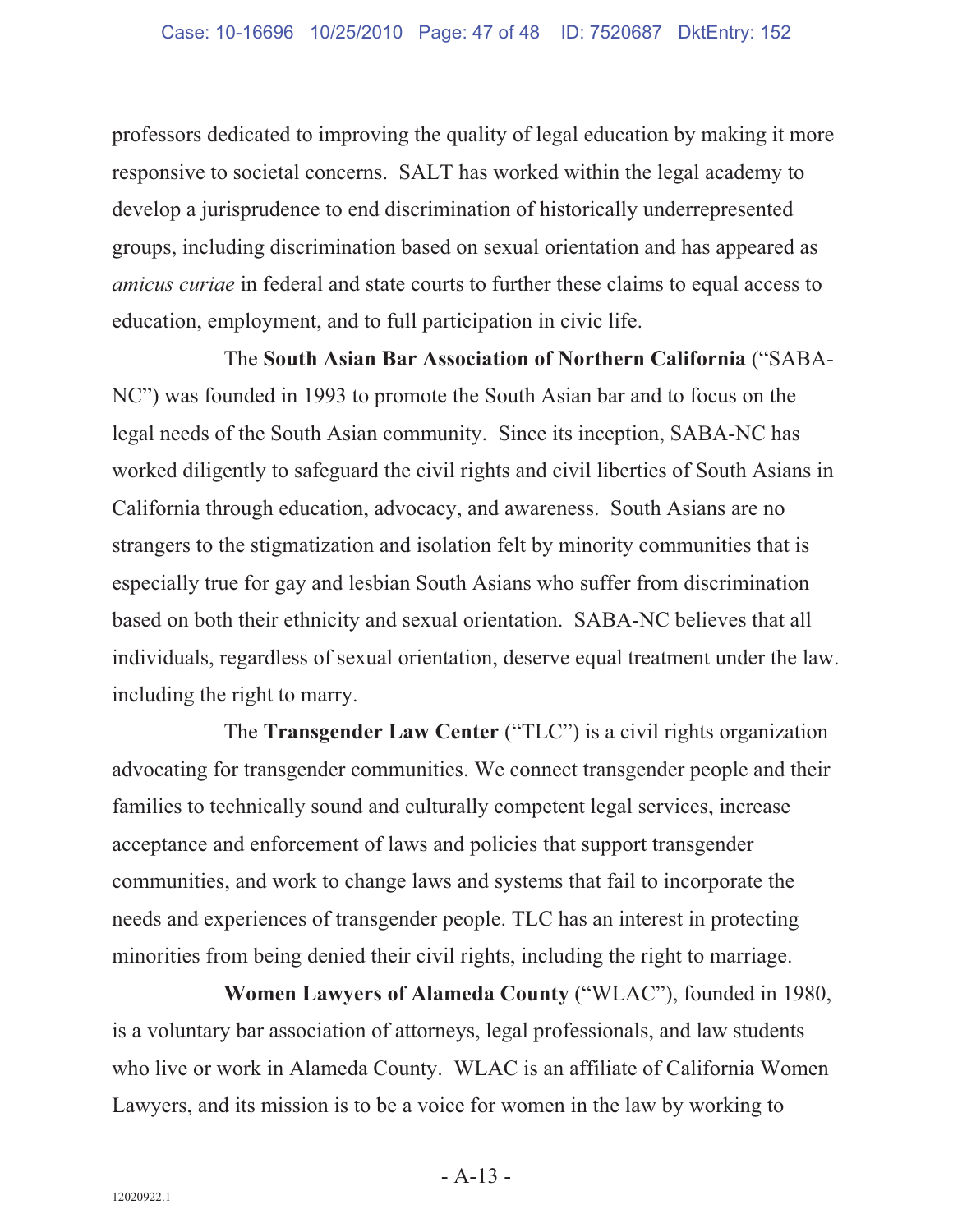professors dedicated to improving the quality of legal education by making it more responsive to societal concerns. SALT has worked within the legal academy to develop a jurisprudence to end discrimination of historically underrepresented groups, including discrimination based on sexual orientation and has appeared as *amicus curiae* in federal and state courts to further these claims to equal access to education, employment, and to full participation in civic life.

The **South Asian Bar Association of Northern California** ("SABA-NC") was founded in 1993 to promote the South Asian bar and to focus on the legal needs of the South Asian community. Since its inception, SABA-NC has worked diligently to safeguard the civil rights and civil liberties of South Asians in California through education, advocacy, and awareness. South Asians are no strangers to the stigmatization and isolation felt by minority communities that is especially true for gay and lesbian South Asians who suffer from discrimination based on both their ethnicity and sexual orientation. SABA-NC believes that all individuals, regardless of sexual orientation, deserve equal treatment under the law. including the right to marry.

The **Transgender Law Center** ("TLC") is a civil rights organization advocating for transgender communities. We connect transgender people and their families to technically sound and culturally competent legal services, increase acceptance and enforcement of laws and policies that support transgender communities, and work to change laws and systems that fail to incorporate the needs and experiences of transgender people. TLC has an interest in protecting minorities from being denied their civil rights, including the right to marriage.

**Women Lawyers of Alameda County** ("WLAC"), founded in 1980, is a voluntary bar association of attorneys, legal professionals, and law students who live or work in Alameda County. WLAC is an affiliate of California Women Lawyers, and its mission is to be a voice for women in the law by working to